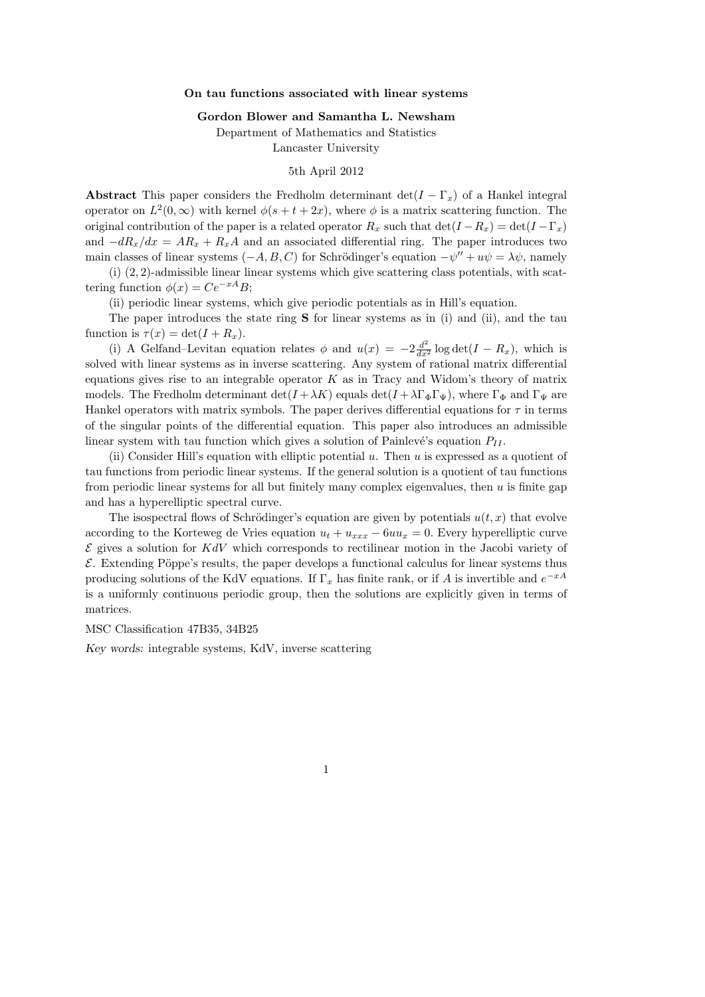## On tau functions associated with linear systems

Gordon Blower and Samantha L. Newsham

Department of Mathematics and Statistics Lancaster University

## 5th April 2012

Abstract This paper considers the Fredholm determinant  $\det(I - \Gamma_x)$  of a Hankel integral operator on  $L^2(0,\infty)$  with kernel  $\phi(s+t+2x)$ , where  $\phi$  is a matrix scattering function. The original contribution of the paper is a related operator  $R_x$  such that  $\det(I - R_x) = \det(I - \Gamma_x)$ and  $-dR_x/dx = AR_x + R_xA$  and an associated differential ring. The paper introduces two main classes of linear systems  $(-A, B, C)$  for Schrödinger's equation  $-\psi'' + u\psi = \lambda\psi$ , namely

 $(i)$   $(2, 2)$ -admissible linear linear systems which give scattering class potentials, with scattering function  $\phi(x) = Ce^{-xA}B;$ 

(ii) periodic linear systems, which give periodic potentials as in Hill's equation.

The paper introduces the state ring **S** for linear systems as in (i) and (ii), and the tau function is  $\tau(x) = \det(I + R_x)$ .

(i) A Gelfand–Levitan equation relates  $\phi$  and  $u(x) = -2\frac{d^2}{dx^2} \log \det(I - R_x)$ , which is solved with linear systems as in inverse scattering. Any system of rational matrix differential equations gives rise to an integrable operator  $K$  as in Tracy and Widom's theory of matrix models. The Fredholm determinant det( $I + \lambda K$ ) equals det( $I + \lambda \Gamma_{\Phi} \Gamma_{\Psi}$ ), where  $\Gamma_{\Phi}$  and  $\Gamma_{\Psi}$  are Hankel operators with matrix symbols. The paper derives differential equations for  $\tau$  in terms of the singular points of the differential equation. This paper also introduces an admissible linear system with tau function which gives a solution of Painlevé's equation  $P_{II}$ .

(ii) Consider Hill's equation with elliptic potential  $u$ . Then  $u$  is expressed as a quotient of tau functions from periodic linear systems. If the general solution is a quotient of tau functions from periodic linear systems for all but finitely many complex eigenvalues, then  $u$  is finite gap and has a hyperelliptic spectral curve.

The isospectral flows of Schrödinger's equation are given by potentials  $u(t, x)$  that evolve according to the Korteweg de Vries equation  $u_t + u_{xxx} - 6uu_x = 0$ . Every hyperelliptic curve  $\mathcal E$  gives a solution for  $KdV$  which corresponds to rectilinear motion in the Jacobi variety of  $\mathcal E$ . Extending Pöppe's results, the paper develops a functional calculus for linear systems thus producing solutions of the KdV equations. If  $\Gamma_x$  has finite rank, or if A is invertible and  $e^{-xA}$ is a uniformly continuous periodic group, then the solutions are explicitly given in terms of matrices.

### MSC Classification 47B35, 34B25

Key words: integrable systems, KdV, inverse scattering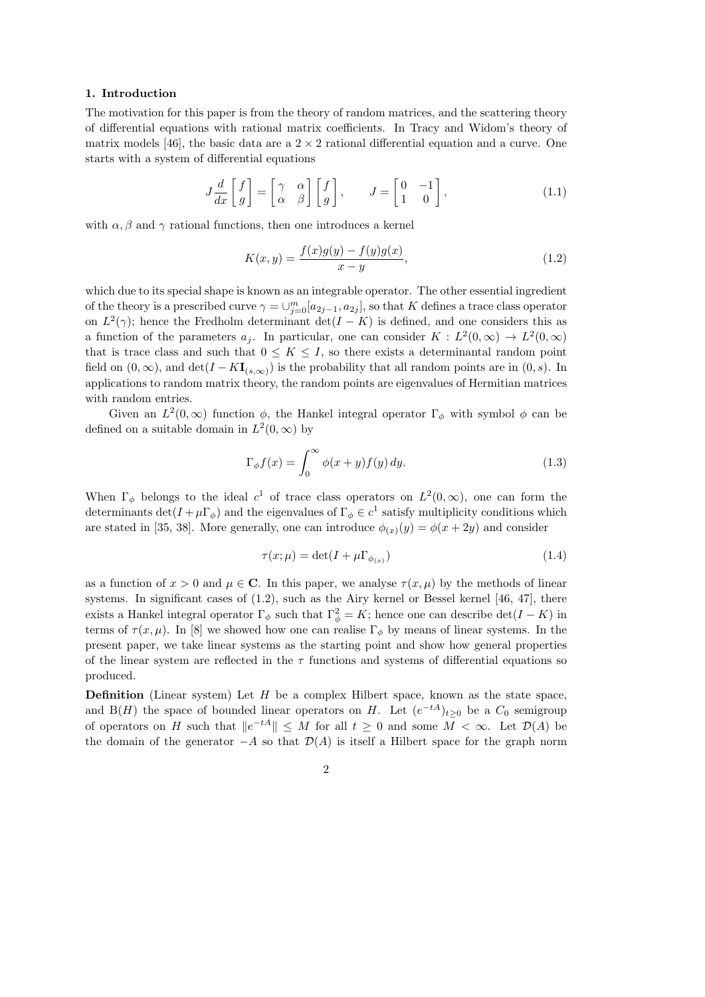#### 1. Introduction

The motivation for this paper is from the theory of random matrices, and the scattering theory of differential equations with rational matrix coefficients. In Tracy and Widom's theory of matrix models [46], the basic data are a  $2 \times 2$  rational differential equation and a curve. One starts with a system of differential equations

$$
J\frac{d}{dx}\begin{bmatrix} f \\ g \end{bmatrix} = \begin{bmatrix} \gamma & \alpha \\ \alpha & \beta \end{bmatrix} \begin{bmatrix} f \\ g \end{bmatrix}, \qquad J = \begin{bmatrix} 0 & -1 \\ 1 & 0 \end{bmatrix}, \tag{1.1}
$$

with  $\alpha, \beta$  and  $\gamma$  rational functions, then one introduces a kernel

$$
K(x,y) = \frac{f(x)g(y) - f(y)g(x)}{x - y},
$$
\n(1.2)

which due to its special shape is known as an integrable operator. The other essential ingredient of the theory is a prescribed curve  $\gamma = \cup_{j=0}^m [a_{2j-1}, a_{2j}]$ , so that K defines a trace class operator on  $L^2(\gamma)$ ; hence the Fredholm determinant  $\det(I - K)$  is defined, and one considers this as a function of the parameters  $a_j$ . In particular, one can consider  $K : L^2(0, \infty) \to L^2(0, \infty)$ that is trace class and such that  $0 \leq K \leq I$ , so there exists a determinantal random point field on  $(0, \infty)$ , and  $\det(I - K\mathbf{I}_{(s,\infty)})$  is the probability that all random points are in  $(0, s)$ . In applications to random matrix theory, the random points are eigenvalues of Hermitian matrices with random entries.

Given an  $L^2(0,\infty)$  function  $\phi$ , the Hankel integral operator  $\Gamma_\phi$  with symbol  $\phi$  can be defined on a suitable domain in  $L^2(0, \infty)$  by

$$
\Gamma_{\phi} f(x) = \int_0^{\infty} \phi(x+y) f(y) \, dy. \tag{1.3}
$$

When  $\Gamma_{\phi}$  belongs to the ideal  $c^{1}$  of trace class operators on  $L^{2}(0,\infty)$ , one can form the determinants  $\det(I + \mu \Gamma_{\phi})$  and the eigenvalues of  $\Gamma_{\phi} \in c^1$  satisfy multiplicity conditions which are stated in [35, 38]. More generally, one can introduce  $\phi_{(x)}(y) = \phi(x + 2y)$  and consider

$$
\tau(x; \mu) = \det(I + \mu \Gamma_{\phi(x)}) \tag{1.4}
$$

as a function of  $x > 0$  and  $\mu \in \mathbb{C}$ . In this paper, we analyse  $\tau(x, \mu)$  by the methods of linear systems. In significant cases of (1.2), such as the Airy kernel or Bessel kernel [46, 47], there exists a Hankel integral operator  $\Gamma_{\phi}$  such that  $\Gamma_{\phi}^2 = K$ ; hence one can describe  $\det(I - K)$  in terms of  $\tau(x,\mu)$ . In [8] we showed how one can realise  $\Gamma_{\phi}$  by means of linear systems. In the present paper, we take linear systems as the starting point and show how general properties of the linear system are reflected in the  $\tau$  functions and systems of differential equations so produced.

**Definition** (Linear system) Let  $H$  be a complex Hilbert space, known as the state space, and B(H) the space of bounded linear operators on H. Let  $(e^{-tA})_{t\geq 0}$  be a  $C_0$  semigroup of operators on H such that  $||e^{-tA}|| \leq M$  for all  $t \geq 0$  and some  $M < \infty$ . Let  $\mathcal{D}(A)$  be the domain of the generator  $-A$  so that  $\mathcal{D}(A)$  is itself a Hilbert space for the graph norm

2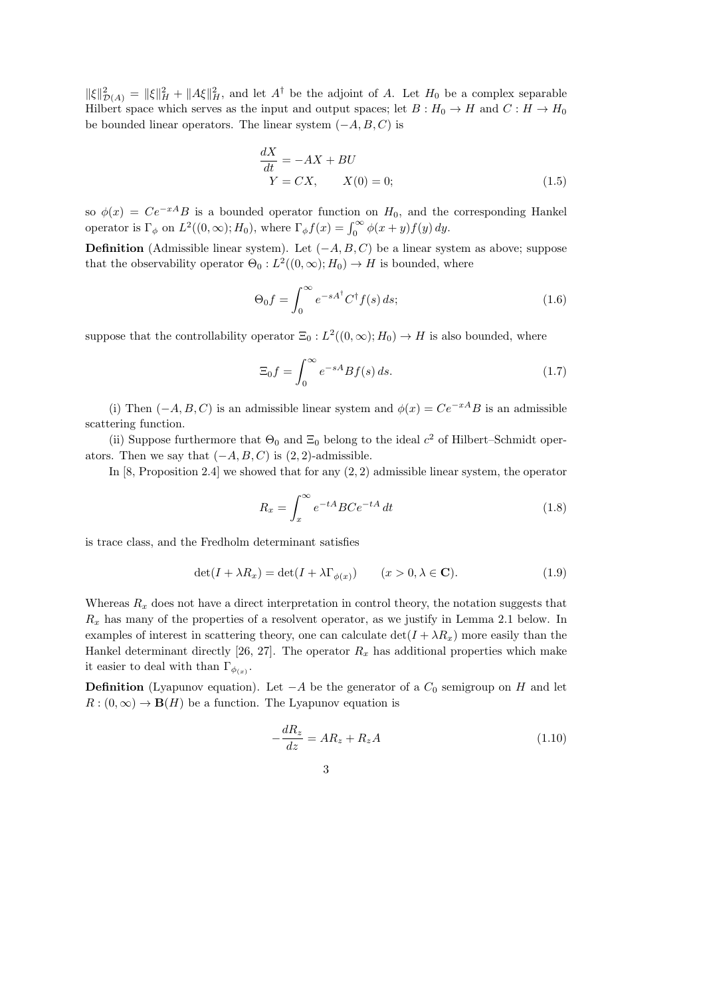$\|\xi\|_{\mathcal{D}(A)}^2 = \|\xi\|_H^2 + \|A\xi\|_H^2$ , and let  $A^{\dagger}$  be the adjoint of A. Let  $H_0$  be a complex separable Hilbert space which serves as the input and output spaces; let  $B: H_0 \to H$  and  $C: H \to H_0$ be bounded linear operators. The linear system  $(-A, B, C)$  is

$$
\frac{dX}{dt} = -AX + BU
$$
  
 
$$
Y = CX, \qquad X(0) = 0;
$$
 (1.5)

so  $\phi(x) = Ce^{-xA}B$  is a bounded operator function on  $H_0$ , and the corresponding Hankel operator is  $\Gamma_{\phi}$  on  $L^2((0,\infty); H_0)$ , where  $\Gamma_{\phi} f(x) = \int_0^{\infty} \phi(x+y) f(y) dy$ .

**Definition** (Admissible linear system). Let  $(-A, B, C)$  be a linear system as above; suppose that the observability operator  $\Theta_0: L^2((0,\infty); H_0) \to H$  is bounded, where

$$
\Theta_0 f = \int_0^\infty e^{-sA^\dagger} C^\dagger f(s) \, ds; \tag{1.6}
$$

suppose that the controllability operator  $\Xi_0: L^2((0,\infty);H_0) \to H$  is also bounded, where

$$
\Xi_0 f = \int_0^\infty e^{-sA} Bf(s) \, ds. \tag{1.7}
$$

(i) Then  $(-A, B, C)$  is an admissible linear system and  $\phi(x) = Ce^{-xA}B$  is an admissible scattering function.

(ii) Suppose furthermore that  $\Theta_0$  and  $\Xi_0$  belong to the ideal  $c^2$  of Hilbert–Schmidt operators. Then we say that  $(-A, B, C)$  is  $(2, 2)$ -admissible.

In [8, Proposition 2.4] we showed that for any (2, 2) admissible linear system, the operator

$$
R_x = \int_x^{\infty} e^{-tA} BC e^{-tA} dt
$$
\n(1.8)

is trace class, and the Fredholm determinant satisfies

$$
\det(I + \lambda R_x) = \det(I + \lambda \Gamma_{\phi(x)}) \qquad (x > 0, \lambda \in \mathbf{C}). \tag{1.9}
$$

Whereas  $R_x$  does not have a direct interpretation in control theory, the notation suggests that  $R_x$  has many of the properties of a resolvent operator, as we justify in Lemma 2.1 below. In examples of interest in scattering theory, one can calculate  $\det(I + \lambda R_x)$  more easily than the Hankel determinant directly [26, 27]. The operator  $R_x$  has additional properties which make it easier to deal with than  $\Gamma_{\phi_{(x)}}$ .

**Definition** (Lyapunov equation). Let  $-A$  be the generator of a  $C_0$  semigroup on H and let  $R: (0, \infty) \to \mathbf{B}(H)$  be a function. The Lyapunov equation is

$$
-\frac{dR_z}{dz} = AR_z + R_z A \tag{1.10}
$$

$$
3 \\
$$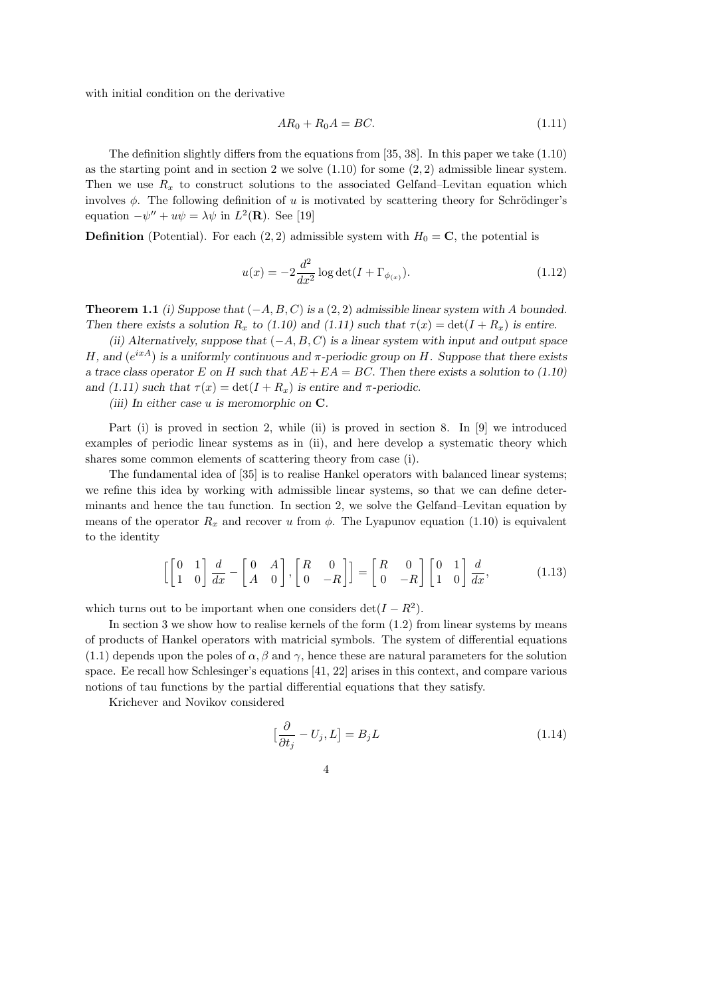with initial condition on the derivative

$$
AR_0 + R_0A = BC.\tag{1.11}
$$

The definition slightly differs from the equations from [35, 38]. In this paper we take (1.10) as the starting point and in section 2 we solve  $(1.10)$  for some  $(2, 2)$  admissible linear system. Then we use  $R_x$  to construct solutions to the associated Gelfand–Levitan equation which involves  $\phi$ . The following definition of u is motivated by scattering theory for Schrödinger's equation  $-\psi'' + u\psi = \lambda\psi$  in  $L^2(\mathbf{R})$ . See [19]

**Definition** (Potential). For each  $(2, 2)$  admissible system with  $H_0 = \mathbf{C}$ , the potential is

$$
u(x) = -2\frac{d^2}{dx^2}\log \det(I + \Gamma_{\phi_{(x)}}). \tag{1.12}
$$

**Theorem 1.1** (i) Suppose that  $(-A, B, C)$  is a  $(2, 2)$  admissible linear system with A bounded. Then there exists a solution  $R_x$  to (1.10) and (1.11) such that  $\tau(x) = \det(I + R_x)$  is entire.

(ii) Alternatively, suppose that  $(-A, B, C)$  is a linear system with input and output space H, and  $(e^{ixA})$  is a uniformly continuous and  $\pi$ -periodic group on H. Suppose that there exists a trace class operator E on H such that  $AE + EA = BC$ . Then there exists a solution to (1.10) and (1.11) such that  $\tau(x) = \det(I + R_x)$  is entire and  $\pi$ -periodic.

(iii) In either case  $u$  is meromorphic on  $C$ .

Part (i) is proved in section 2, while (ii) is proved in section 8. In [9] we introduced examples of periodic linear systems as in (ii), and here develop a systematic theory which shares some common elements of scattering theory from case (i).

The fundamental idea of [35] is to realise Hankel operators with balanced linear systems; we refine this idea by working with admissible linear systems, so that we can define determinants and hence the tau function. In section 2, we solve the Gelfand–Levitan equation by means of the operator  $R_x$  and recover u from  $\phi$ . The Lyapunov equation (1.10) is equivalent to the identity

$$
\begin{bmatrix} 0 & 1 \\ 1 & 0 \end{bmatrix} \frac{d}{dx} - \begin{bmatrix} 0 & A \\ A & 0 \end{bmatrix}, \begin{bmatrix} R & 0 \\ 0 & -R \end{bmatrix} = \begin{bmatrix} R & 0 \\ 0 & -R \end{bmatrix} \begin{bmatrix} 0 & 1 \\ 1 & 0 \end{bmatrix} \frac{d}{dx},
$$
(1.13)

which turns out to be important when one considers  $\det(I - R^2)$ .

In section 3 we show how to realise kernels of the form (1.2) from linear systems by means of products of Hankel operators with matricial symbols. The system of differential equations (1.1) depends upon the poles of  $\alpha$ ,  $\beta$  and  $\gamma$ , hence these are natural parameters for the solution space. Ee recall how Schlesinger's equations [41, 22] arises in this context, and compare various notions of tau functions by the partial differential equations that they satisfy.

Krichever and Novikov considered

$$
\left[\frac{\partial}{\partial t_j} - U_j, L\right] = B_j L \tag{1.14}
$$

$$
4\phantom{.0}
$$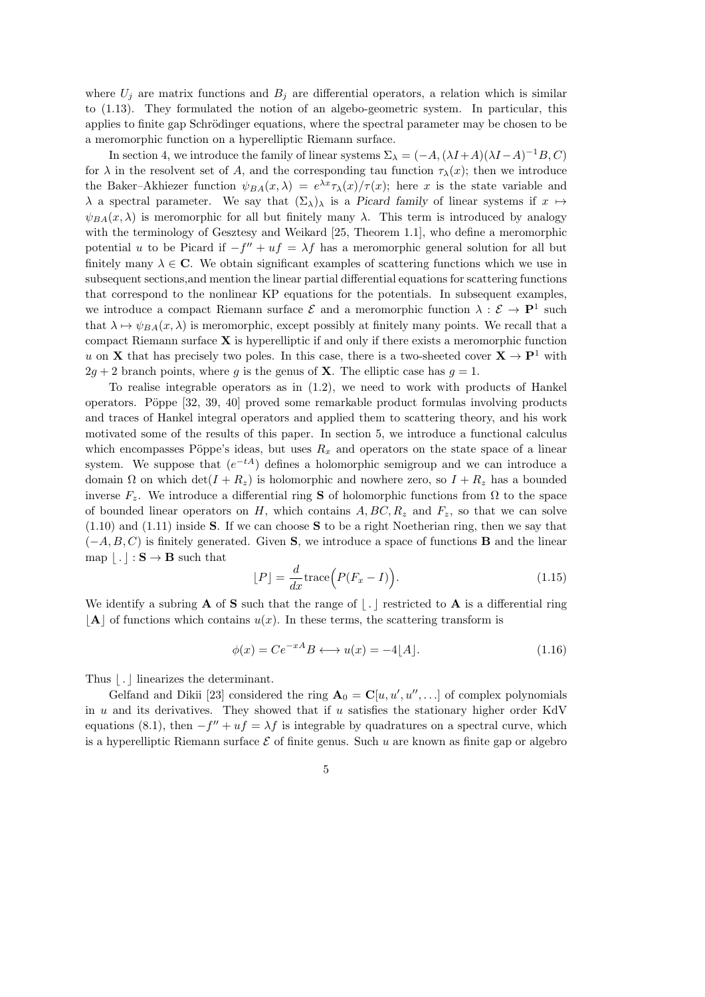where  $U_j$  are matrix functions and  $B_j$  are differential operators, a relation which is similar to (1.13). They formulated the notion of an algebo-geometric system. In particular, this applies to finite gap Schrödinger equations, where the spectral parameter may be chosen to be a meromorphic function on a hyperelliptic Riemann surface.

In section 4, we introduce the family of linear systems  $\Sigma_{\lambda} = (-A, (\lambda I + A)(\lambda I - A)^{-1}B, C)$ for  $\lambda$  in the resolvent set of A, and the corresponding tau function  $\tau_{\lambda}(x)$ ; then we introduce the Baker–Akhiezer function  $\psi_{BA}(x,\lambda) = e^{\lambda x}\tau_\lambda(x)/\tau(x)$ ; here x is the state variable and  $\lambda$  a spectral parameter. We say that  $(\Sigma_{\lambda})_{\lambda}$  is a Picard family of linear systems if  $x \mapsto$  $\psi_{BA}(x, \lambda)$  is meromorphic for all but finitely many  $\lambda$ . This term is introduced by analogy with the terminology of Gesztesy and Weikard [25, Theorem 1.1], who define a meromorphic potential u to be Picard if  $-f'' + uf = \lambda f$  has a meromorphic general solution for all but finitely many  $\lambda \in \mathbb{C}$ . We obtain significant examples of scattering functions which we use in subsequent sections,and mention the linear partial differential equations for scattering functions that correspond to the nonlinear KP equations for the potentials. In subsequent examples, we introduce a compact Riemann surface  $\mathcal E$  and a meromorphic function  $\lambda : \mathcal E \to \mathbf P^1$  such that  $\lambda \mapsto \psi_{BA}(x, \lambda)$  is meromorphic, except possibly at finitely many points. We recall that a compact Riemann surface  $X$  is hyperelliptic if and only if there exists a meromorphic function u on **X** that has precisely two poles. In this case, there is a two-sheeted cover  $X \to P^1$  with  $2g + 2$  branch points, where g is the genus of **X**. The elliptic case has  $g = 1$ .

To realise integrable operators as in (1.2), we need to work with products of Hankel operators. Pöppe  $[32, 39, 40]$  proved some remarkable product formulas involving products and traces of Hankel integral operators and applied them to scattering theory, and his work motivated some of the results of this paper. In section 5, we introduce a functional calculus which encompasses Pöppe's ideas, but uses  $R_x$  and operators on the state space of a linear system. We suppose that  $(e^{-tA})$  defines a holomorphic semigroup and we can introduce a domain  $\Omega$  on which  $\det(I + R_z)$  is holomorphic and nowhere zero, so  $I + R_z$  has a bounded inverse  $F_z$ . We introduce a differential ring **S** of holomorphic functions from  $\Omega$  to the space of bounded linear operators on H, which contains  $A, BC, R_z$  and  $F_z$ , so that we can solve  $(1.10)$  and  $(1.11)$  inside **S**. If we can choose **S** to be a right Noetherian ring, then we say that  $(-A, B, C)$  is finitely generated. Given S, we introduce a space of functions **B** and the linear map  $\lfloor . \rfloor : \mathbf{S} \to \mathbf{B}$  such that

$$
\lfloor P \rfloor = \frac{d}{dx} \operatorname{trace} \Big( P(F_x - I) \Big). \tag{1.15}
$$

We identify a subring **A** of **S** such that the range of  $\vert \cdot \vert$  restricted to **A** is a differential ring  $\mathbf{A}$  of functions which contains  $u(x)$ . In these terms, the scattering transform is

$$
\phi(x) = Ce^{-xA}B \longleftrightarrow u(x) = -4[A]. \tag{1.16}
$$

Thus  $\vert \cdot \vert$  linearizes the determinant.

Gelfand and Dikii [23] considered the ring  $\mathbf{A}_0 = \mathbf{C}[u, u', u'', \dots]$  of complex polynomials in  $u$  and its derivatives. They showed that if  $u$  satisfies the stationary higher order KdV equations (8.1), then  $-f'' + uf = \lambda f$  is integrable by quadratures on a spectral curve, which is a hyperelliptic Riemann surface  $\mathcal E$  of finite genus. Such u are known as finite gap or algebro

$$
\overline{5}
$$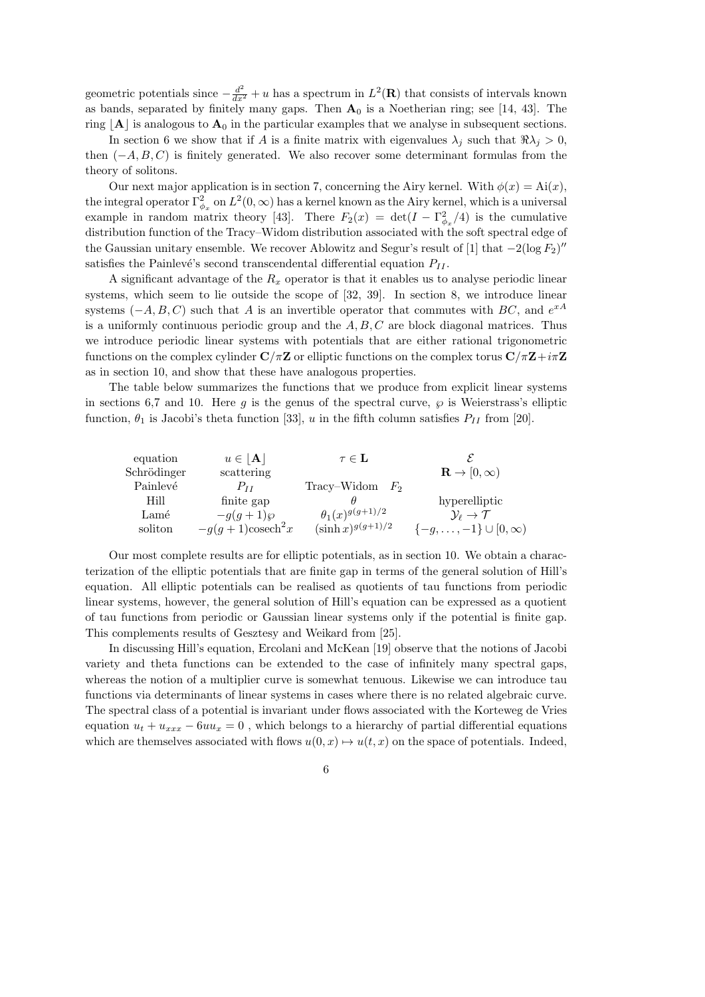geometric potentials since  $-\frac{d^2}{dx^2} + u$  has a spectrum in  $L^2(\mathbf{R})$  that consists of intervals known as bands, separated by finitely many gaps. Then  $A_0$  is a Noetherian ring; see [14, 43]. The ring  $|\mathbf{A}|$  is analogous to  $\mathbf{A}_0$  in the particular examples that we analyse in subsequent sections.

In section 6 we show that if A is a finite matrix with eigenvalues  $\lambda_j$  such that  $\Re \lambda_j > 0$ , then  $(-A, B, C)$  is finitely generated. We also recover some determinant formulas from the theory of solitons.

Our next major application is in section 7, concerning the Airy kernel. With  $\phi(x) = Ai(x)$ , the integral operator  $\Gamma^2_{\phi_x}$  on  $L^2(0,\infty)$  has a kernel known as the Airy kernel, which is a universal example in random matrix theory [43]. There  $F_2(x) = \det(I - \Gamma_{\phi_x}^2/4)$  is the cumulative distribution function of the Tracy–Widom distribution associated with the soft spectral edge of the Gaussian unitary ensemble. We recover Ablowitz and Segur's result of [1] that  $-2(\log F_2)''$ satisfies the Painlevé's second transcendental differential equation  $P_{II}$ .

A significant advantage of the  $R_x$  operator is that it enables us to analyse periodic linear systems, which seem to lie outside the scope of [32, 39]. In section 8, we introduce linear systems  $(-A, B, C)$  such that A is an invertible operator that commutes with BC, and  $e^{xA}$ is a uniformly continuous periodic group and the  $A, B, C$  are block diagonal matrices. Thus we introduce periodic linear systems with potentials that are either rational trigonometric functions on the complex cylinder  $\mathbf{C}/\pi\mathbf{Z}$  or elliptic functions on the complex torus  $\mathbf{C}/\pi\mathbf{Z}+i\pi\mathbf{Z}$ as in section 10, and show that these have analogous properties.

The table below summarizes the functions that we produce from explicit linear systems in sections 6,7 and 10. Here g is the genus of the spectral curve,  $\wp$  is Weierstrass's elliptic function,  $\theta_1$  is Jacobi's theta function [33], u in the fifth column satisfies  $P_{II}$  from [20].

| equation    | $u \in  \mathbf{A} $ | $\tau \in \mathbf{L}$    |                                       |
|-------------|----------------------|--------------------------|---------------------------------------|
| Schrödinger | scattering           |                          | $\mathbf{R} \to [0, \infty)$          |
| Painlevé    | $P_{II}$             | Tracy-Widom $F_2$        |                                       |
| Hill        | finite gap           |                          | hyperelliptic                         |
| Lamé        | $-g(g+1)\wp$         | $\theta_1(x)^{g(g+1)/2}$ | $\mathcal{Y}_{\ell} \to \mathcal{T}$  |
| soliton     | $-g(g+1)cosech2x$    | $(\sinh x)^{g(g+1)/2}$   | $\{-g, \ldots, -1\} \cup [0, \infty)$ |

Our most complete results are for elliptic potentials, as in section 10. We obtain a characterization of the elliptic potentials that are finite gap in terms of the general solution of Hill's equation. All elliptic potentials can be realised as quotients of tau functions from periodic linear systems, however, the general solution of Hill's equation can be expressed as a quotient of tau functions from periodic or Gaussian linear systems only if the potential is finite gap. This complements results of Gesztesy and Weikard from [25].

In discussing Hill's equation, Ercolani and McKean [19] observe that the notions of Jacobi variety and theta functions can be extended to the case of infinitely many spectral gaps, whereas the notion of a multiplier curve is somewhat tenuous. Likewise we can introduce tau functions via determinants of linear systems in cases where there is no related algebraic curve. The spectral class of a potential is invariant under flows associated with the Korteweg de Vries equation  $u_t + u_{xxx} - 6uu_x = 0$ , which belongs to a hierarchy of partial differential equations which are themselves associated with flows  $u(0, x) \mapsto u(t, x)$  on the space of potentials. Indeed,

6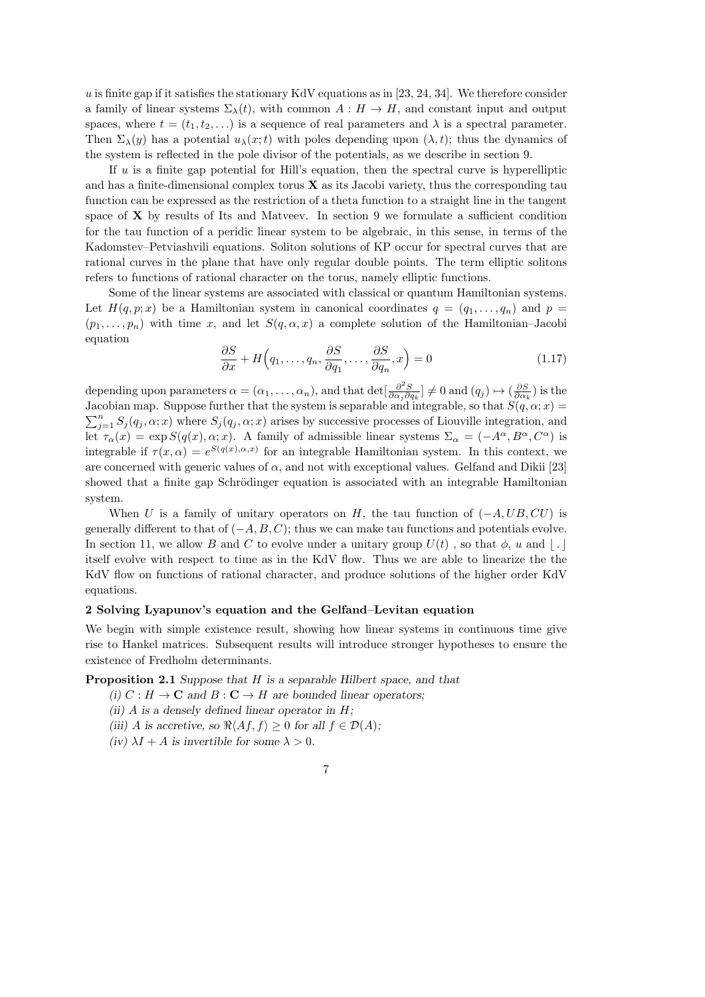u is finite gap if it satisfies the stationary KdV equations as in [23, 24, 34]. We therefore consider a family of linear systems  $\Sigma_{\lambda}(t)$ , with common  $A: H \to H$ , and constant input and output spaces, where  $t = (t_1, t_2, \ldots)$  is a sequence of real parameters and  $\lambda$  is a spectral parameter. Then  $\Sigma_{\lambda}(y)$  has a potential  $u_{\lambda}(x;t)$  with poles depending upon  $(\lambda, t)$ ; thus the dynamics of the system is reflected in the pole divisor of the potentials, as we describe in section 9.

If  $u$  is a finite gap potential for Hill's equation, then the spectral curve is hyperelliptic and has a finite-dimensional complex torus  $\bf{X}$  as its Jacobi variety, thus the corresponding tau function can be expressed as the restriction of a theta function to a straight line in the tangent space of  $X$  by results of Its and Matveev. In section 9 we formulate a sufficient condition for the tau function of a peridic linear system to be algebraic, in this sense, in terms of the Kadomstev–Petviashvili equations. Soliton solutions of KP occur for spectral curves that are rational curves in the plane that have only regular double points. The term elliptic solitons refers to functions of rational character on the torus, namely elliptic functions.

Some of the linear systems are associated with classical or quantum Hamiltonian systems. Let  $H(q, p; x)$  be a Hamiltonian system in canonical coordinates  $q = (q_1, \ldots, q_n)$  and  $p =$  $(p_1, \ldots, p_n)$  with time x, and let  $S(q, \alpha, x)$  a complete solution of the Hamiltonian–Jacobi equation

$$
\frac{\partial S}{\partial x} + H\Big(q_1, \dots, q_n, \frac{\partial S}{\partial q_1}, \dots, \frac{\partial S}{\partial q_n}, x\Big) = 0 \tag{1.17}
$$

depending upon parameters  $\alpha = (\alpha_1, \ldots, \alpha_n)$ , and that det $\left[\frac{\partial^2 S}{\partial \alpha_i \partial \alpha_i} \right]$  $\frac{\partial^2 S}{\partial \alpha_j \partial q_k}$  = 0 and  $(q_j) \mapsto (\frac{\partial S}{\partial \alpha_j})$  $\frac{\partial S}{\partial \alpha_k}$ ) is the Jacobian map. Suppose further that the system is separable and integrable, so that  $S(q, \alpha; x) =$  $\sum_{j=1}^{n} S_j(q_j, \alpha; x)$  where  $S_j(q_j, \alpha; x)$  arises by successive processes of Liouville integration, and let  $\tau_{\alpha}(x) = \exp S(q(x), \alpha; x)$ . A family of admissible linear systems  $\Sigma_{\alpha} = (-A^{\alpha}, B^{\alpha}, C^{\alpha})$  is integrable if  $\tau(x,\alpha) = e^{S(q(x),\alpha,x)}$  for an integrable Hamiltonian system. In this context, we are concerned with generic values of  $\alpha$ , and not with exceptional values. Gelfand and Dikii [23] showed that a finite gap Schrödinger equation is associated with an integrable Hamiltonian system.

When U is a family of unitary operators on H, the tau function of  $(-A, UB, CU)$  is generally different to that of  $(-A, B, C)$ ; thus we can make tau functions and potentials evolve. In section 11, we allow B and C to evolve under a unitary group  $U(t)$ , so that  $\phi$ , u and  $\vert \cdot \vert$ itself evolve with respect to time as in the KdV flow. Thus we are able to linearize the the KdV flow on functions of rational character, and produce solutions of the higher order KdV equations.

#### 2 Solving Lyapunov's equation and the Gelfand–Levitan equation

We begin with simple existence result, showing how linear systems in continuous time give rise to Hankel matrices. Subsequent results will introduce stronger hypotheses to ensure the existence of Fredholm determinants.

Proposition 2.1 Suppose that H is a separable Hilbert space, and that

(i)  $C : H \to \mathbf{C}$  and  $B : \mathbf{C} \to H$  are bounded linear operators;

- (ii) A is a densely defined linear operator in  $H$ ;
- (iii) A is accretive, so  $\Re\langle Af, f \rangle \geq 0$  for all  $f \in \mathcal{D}(A);$

(iv)  $\lambda I + A$  is invertible for some  $\lambda > 0$ .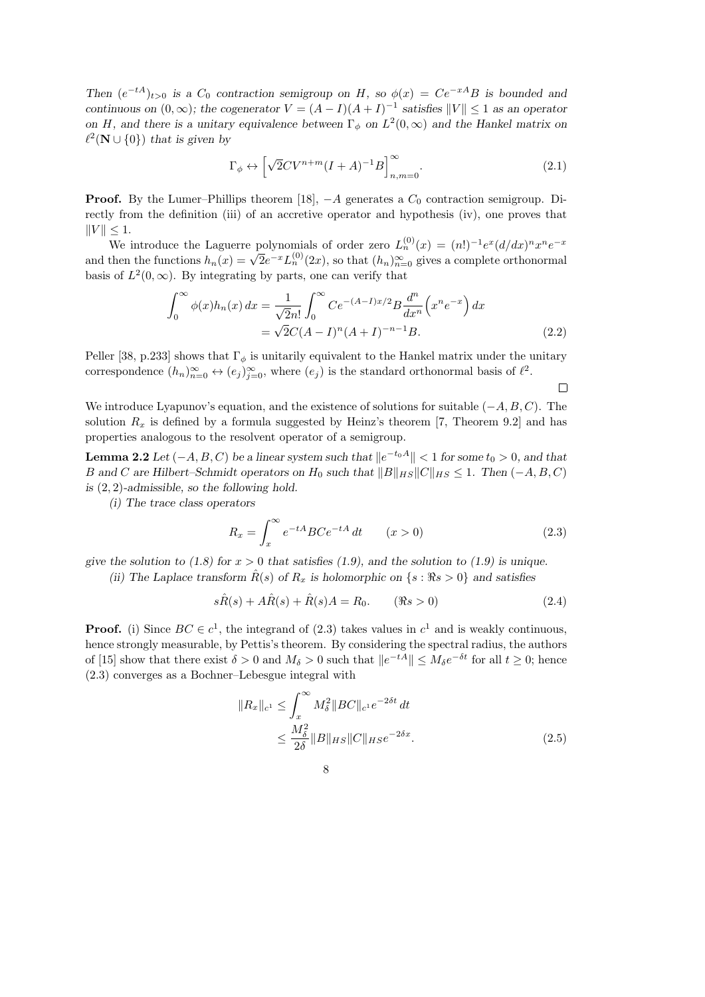Then  $(e^{-tA})_{t>0}$  is a  $C_0$  contraction semigroup on H, so  $\phi(x) = Ce^{-xA}B$  is bounded and continuous on  $(0, \infty)$ ; the cogenerator  $V = (A - I)(A + I)^{-1}$  satisfies  $||V|| \le 1$  as an operator on H, and there is a unitary equivalence between  $\Gamma_{\phi}$  on  $L^2(0,\infty)$  and the Hankel matrix on  $\ell^2(\mathbf{N} \cup \{0\})$  that is given by

$$
\Gamma_{\phi} \leftrightarrow \left[\sqrt{2}CV^{n+m}(I+A)^{-1}B\right]_{n,m=0}^{\infty}.
$$
\n(2.1)

**Proof.** By the Lumer–Phillips theorem [18],  $-A$  generates a  $C_0$  contraction semigroup. Directly from the definition (iii) of an accretive operator and hypothesis (iv), one proves that  $||V|| \leq 1.$ 

We introduce the Laguerre polynomials of order zero  $L_n^{(0)}(x) = (n!)^{-1} e^x (d/dx)^n x^n e^{-x}$ we introduce the Laguerre polynomials of order zero  $L_n(x) = (n!) - e(a/ax)/x$  e<br>and then the functions  $h_n(x) = \sqrt{2}e^{-x}L_n^{(0)}(2x)$ , so that  $(h_n)_{n=0}^{\infty}$  gives a complete orthonormal basis of  $L^2(0,\infty)$ . By integrating by parts, one can verify that

$$
\int_0^\infty \phi(x) h_n(x) dx = \frac{1}{\sqrt{2n!}} \int_0^\infty C e^{-(A-I)x/2} B \frac{d^n}{dx^n} \left( x^n e^{-x} \right) dx
$$
  
=  $\sqrt{2}C(A-I)^n (A+I)^{-n-1} B.$  (2.2)

Peller [38, p.233] shows that  $\Gamma_{\phi}$  is unitarily equivalent to the Hankel matrix under the unitary correspondence  $(h_n)_{n=0}^{\infty} \leftrightarrow (e_j)_{j=0}^{\infty}$ , where  $(e_j)$  is the standard orthonormal basis of  $\ell^2$ .

 $\Box$ 

We introduce Lyapunov's equation, and the existence of solutions for suitable  $(-A, B, C)$ . The solution  $R_x$  is defined by a formula suggested by Heinz's theorem [7, Theorem 9.2] and has properties analogous to the resolvent operator of a semigroup.

**Lemma 2.2** Let  $(-A, B, C)$  be a linear system such that  $\|e^{-t_0A}\| < 1$  for some  $t_0 > 0$ , and that B and C are Hilbert–Schmidt operators on  $H_0$  such that  $||B||_{HS}||C||_{HS} \leq 1$ . Then  $(-A, B, C)$ is  $(2, 2)$ -admissible, so the following hold.

(i) The trace class operators

$$
R_x = \int_x^{\infty} e^{-tA} BC e^{-tA} dt \qquad (x > 0)
$$
 (2.3)

give the solution to (1.8) for  $x > 0$  that satisfies (1.9), and the solution to (1.9) is unique.

(ii) The Laplace transform  $\hat{R}(s)$  of  $R_x$  is holomorphic on  $\{s : \Re s > 0\}$  and satisfies

$$
s\hat{R}(s) + A\hat{R}(s) + \hat{R}(s)A = R_0. \qquad (\Re s > 0)
$$
\n(2.4)

**Proof.** (i) Since  $BC \in c^1$ , the integrand of (2.3) takes values in  $c^1$  and is weakly continuous, hence strongly measurable, by Pettis's theorem. By considering the spectral radius, the authors of [15] show that there exist  $\delta > 0$  and  $M_{\delta} > 0$  such that  $||e^{-tA}|| \leq M_{\delta}e^{-\delta t}$  for all  $t \geq 0$ ; hence (2.3) converges as a Bochner–Lebesgue integral with

$$
||R_x||_{c^1} \le \int_x^{\infty} M_\delta^2 ||BC||_{c^1} e^{-2\delta t} dt
$$
  
 
$$
\le \frac{M_\delta^2}{2\delta} ||B||_{HS} ||C||_{HS} e^{-2\delta x}.
$$
 (2.5)

$$
8 \\
$$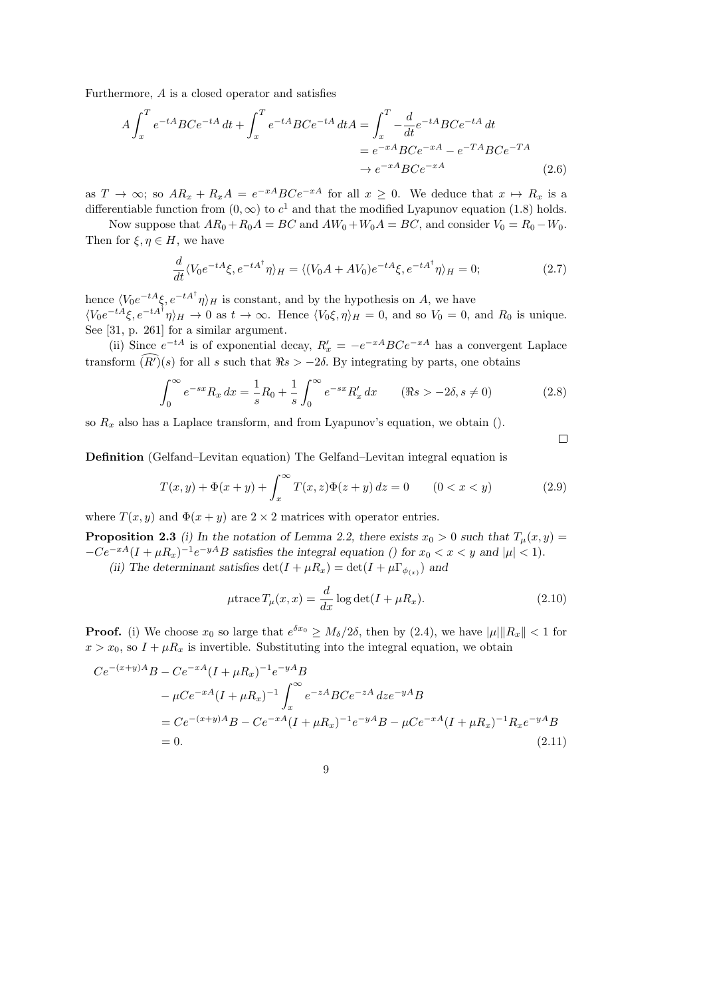Furthermore, A is a closed operator and satisfies

$$
A \int_x^T e^{-tA} BC e^{-tA} dt + \int_x^T e^{-tA} BC e^{-tA} dt = \int_x^T -\frac{d}{dt} e^{-tA} BC e^{-tA} dt
$$
  
=  $e^{-xA} BC e^{-xA} - e^{-TA} BC e^{-TA}$   
 $\rightarrow e^{-xA} BC e^{-xA}$  (2.6)

as  $T \to \infty$ ; so  $AR_x + R_xA = e^{-xA}BCe^{-xA}$  for all  $x \ge 0$ . We deduce that  $x \mapsto R_x$  is a differentiable function from  $(0, \infty)$  to  $c^1$  and that the modified Lyapunov equation (1.8) holds.

Now suppose that  $AR_0 + R_0A = BC$  and  $AW_0 + W_0A = BC$ , and consider  $V_0 = R_0 - W_0$ . Then for  $\xi, \eta \in H$ , we have

$$
\frac{d}{dt}\langle V_0 e^{-tA}\xi, e^{-tA^{\dagger}}\eta\rangle_H = \langle (V_0 A + A V_0) e^{-tA}\xi, e^{-tA^{\dagger}}\eta\rangle_H = 0; \tag{2.7}
$$

hence  $\langle V_0 e^{-tA} \xi, e^{-tA^{\dagger}} \eta \rangle_H$  is constant, and by the hypothesis on A, we have  $\langle V_0e^{-tA}\xi, e^{-tA^{\dagger}}\eta\rangle_H \to 0$  as  $t \to \infty$ . Hence  $\langle V_0\xi, \eta\rangle_H = 0$ , and so  $V_0 = 0$ , and  $R_0$  is unique. See [31, p. 261] for a similar argument.

(ii) Since  $e^{-tA}$  is of exponential decay,  $R'_x = -e^{-xA}BCe^{-xA}$  has a convergent Laplace transform  $(R')(s)$  for all s such that  $\Re s > -2\delta$ . By integrating by parts, one obtains

$$
\int_0^\infty e^{-sx} R_x \, dx = \frac{1}{s} R_0 + \frac{1}{s} \int_0^\infty e^{-sx} R'_x \, dx \qquad (\Re s > -2\delta, s \neq 0)
$$
\n(2.8)

so  $R_x$  also has a Laplace transform, and from Lyapunov's equation, we obtain ().

 $\Box$ 

Definition (Gelfand–Levitan equation) The Gelfand–Levitan integral equation is

$$
T(x, y) + \Phi(x + y) + \int_{x}^{\infty} T(x, z)\Phi(z + y) dz = 0 \qquad (0 < x < y)
$$
 (2.9)

where  $T(x, y)$  and  $\Phi(x + y)$  are  $2 \times 2$  matrices with operator entries.

**Proposition 2.3** (i) In the notation of Lemma 2.2, there exists  $x_0 > 0$  such that  $T_u(x, y) =$  $-Ce^{-xA}(I+\mu R_x)^{-1}e^{-yA}B$  satisfies the integral equation () for  $x_0 < x < y$  and  $|\mu| < 1$ ).

(ii) The determinant satisfies  $\det(I + \mu R_x) = \det(I + \mu \Gamma_{\phi(x)})$  and

$$
\mu \text{trace} \, T_{\mu}(x, x) = \frac{d}{dx} \log \det(I + \mu R_x). \tag{2.10}
$$

**Proof.** (i) We choose  $x_0$  so large that  $e^{\delta x_0} \geq M_{\delta}/2\delta$ , then by (2.4), we have  $|\mu| \|R_x\| < 1$  for  $x > x_0$ , so  $I + \mu R_x$  is invertible. Substituting into the integral equation, we obtain

$$
Ce^{-(x+y)A}B - Ce^{-xA}(I + \mu R_x)^{-1}e^{-yA}B
$$
  
\n
$$
- \mu Ce^{-xA}(I + \mu R_x)^{-1} \int_x^{\infty} e^{-zA} BC e^{-zA} dz e^{-yA}B
$$
  
\n
$$
= Ce^{-(x+y)A}B - Ce^{-xA}(I + \mu R_x)^{-1}e^{-yA}B - \mu Ce^{-xA}(I + \mu R_x)^{-1}R_x e^{-yA}B
$$
  
\n
$$
= 0.
$$
\n(2.11)

$$
9\,
$$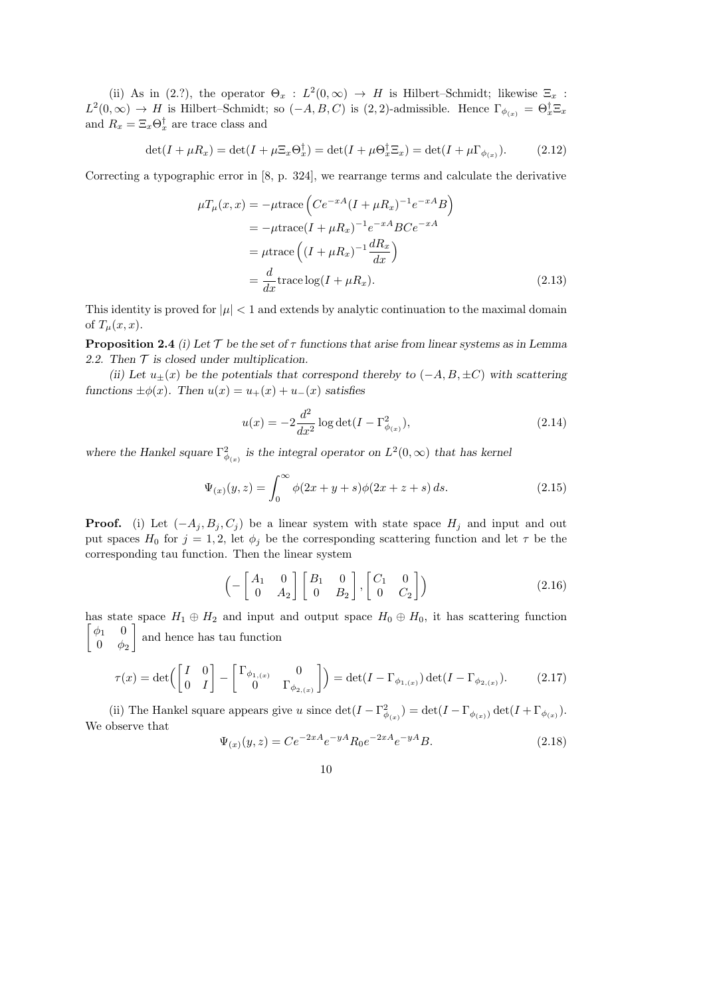(ii) As in (2.?), the operator  $\Theta_x : L^2(0, \infty) \to H$  is Hilbert–Schmidt; likewise  $\Xi_x$ :  $L^2(0,\infty) \to H$  is Hilbert–Schmidt; so  $(-A,B,C)$  is  $(2,2)$ -admissible. Hence  $\Gamma_{\phi_{(x)}} = \Theta_x^{\dagger} \Xi_x$ and  $R_x = \Xi_x \Theta_x^{\dagger}$  are trace class and

$$
\det(I + \mu R_x) = \det(I + \mu \Xi_x \Theta_x^{\dagger}) = \det(I + \mu \Theta_x^{\dagger} \Xi_x) = \det(I + \mu \Gamma_{\phi_{(x)}}). \tag{2.12}
$$

Correcting a typographic error in [8, p. 324], we rearrange terms and calculate the derivative

$$
\mu T_{\mu}(x,x) = -\mu \text{trace}\left(Ce^{-xA}(I + \mu R_{x})^{-1}e^{-xA}B\right)
$$

$$
= -\mu \text{trace}(I + \mu R_{x})^{-1}e^{-xA}BCe^{-xA}
$$

$$
= \mu \text{trace}\left((I + \mu R_{x})^{-1}\frac{dR_{x}}{dx}\right)
$$

$$
= \frac{d}{dx}\text{trace}\log(I + \mu R_{x}). \tag{2.13}
$$

This identity is proved for  $|\mu| < 1$  and extends by analytic continuation to the maximal domain of  $T_{\mu}(x, x)$ .

**Proposition 2.4** (i) Let  $\mathcal T$  be the set of  $\tau$  functions that arise from linear systems as in Lemma 2.2. Then  $T$  is closed under multiplication.

(ii) Let  $u_{\pm}(x)$  be the potentials that correspond thereby to  $(-A, B, \pm C)$  with scattering functions  $\pm \phi(x)$ . Then  $u(x) = u_+(x) + u_-(x)$  satisfies

$$
u(x) = -2\frac{d^2}{dx^2} \log \det(I - \Gamma_{\phi_{(x)}}^2),
$$
\n(2.14)

where the Hankel square  $\Gamma^2_{\phi(x)}$  is the integral operator on  $L^2(0,\infty)$  that has kernel

$$
\Psi_{(x)}(y,z) = \int_0^\infty \phi(2x+y+s)\phi(2x+z+s)\,ds.
$$
\n(2.15)

**Proof.** (i) Let  $(-A_j, B_j, C_j)$  be a linear system with state space  $H_j$  and input and out put spaces  $H_0$  for  $j = 1, 2$ , let  $\phi_j$  be the corresponding scattering function and let  $\tau$  be the corresponding tau function. Then the linear system

$$
\left(-\begin{bmatrix} A_1 & 0\\ 0 & A_2 \end{bmatrix} \begin{bmatrix} B_1 & 0\\ 0 & B_2 \end{bmatrix}, \begin{bmatrix} C_1 & 0\\ 0 & C_2 \end{bmatrix}\right) \tag{2.16}
$$

has state space  $H_1 \oplus H_2$  and input and output space  $H_0 \oplus H_0$ , it has scattering function  $\begin{bmatrix} \phi_1 & 0 \end{bmatrix}$  $0 \phi_2$ and hence has tau function

$$
\tau(x) = \det\begin{pmatrix} I & 0 \\ 0 & I \end{pmatrix} - \begin{bmatrix} \Gamma_{\phi_{1,(x)}} & 0 \\ 0 & \Gamma_{\phi_{2,(x)}} \end{bmatrix} = \det(I - \Gamma_{\phi_{1,(x)}}) \det(I - \Gamma_{\phi_{2,(x)}}). \tag{2.17}
$$

(ii) The Hankel square appears give u since  $\det(I - \Gamma_{\phi_{(x)}}^2) = \det(I - \Gamma_{\phi_{(x)}}) \det(I + \Gamma_{\phi_{(x)}})$ . We observe that

$$
\Psi_{(x)}(y,z) = Ce^{-2xA}e^{-yA}R_0e^{-2xA}e^{-yA}B.
$$
\n(2.18)

10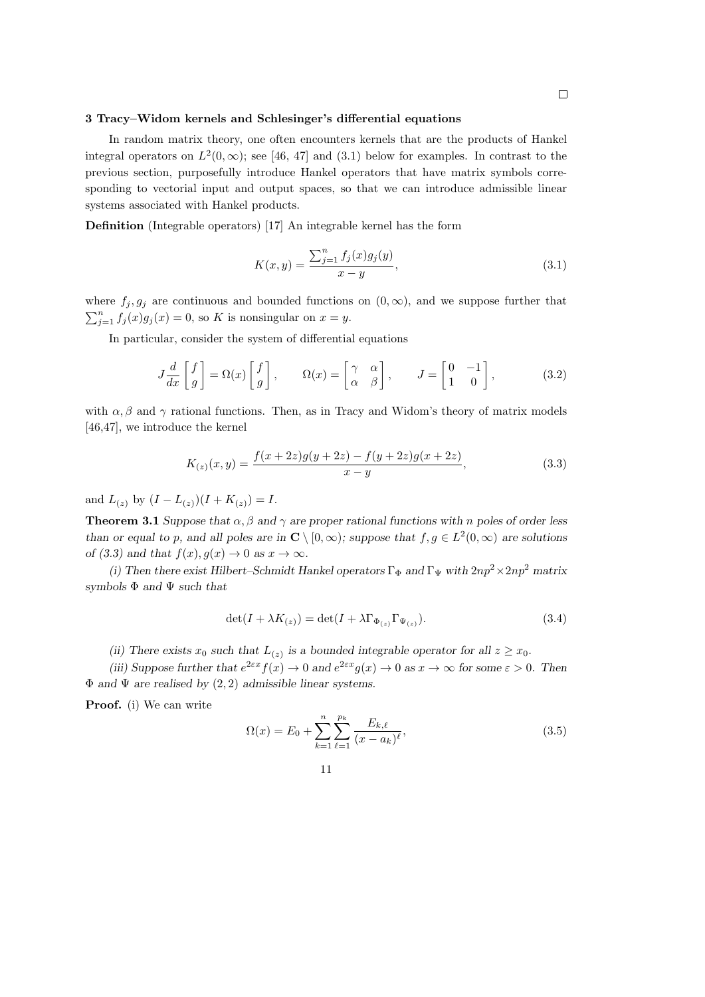#### 3 Tracy–Widom kernels and Schlesinger's differential equations

In random matrix theory, one often encounters kernels that are the products of Hankel integral operators on  $L^2(0,\infty)$ ; see [46, 47] and (3.1) below for examples. In contrast to the previous section, purposefully introduce Hankel operators that have matrix symbols corresponding to vectorial input and output spaces, so that we can introduce admissible linear systems associated with Hankel products.

Definition (Integrable operators) [17] An integrable kernel has the form

$$
K(x,y) = \frac{\sum_{j=1}^{n} f_j(x)g_j(y)}{x-y},
$$
\n(3.1)

where  $f_j, g_j$  are continuous and bounded functions on  $(0, \infty)$ , and we suppose further that  $\sum_{j=1}^{n} f_j(x)g_j(x) = 0$ , so K is nonsingular on  $x = y$ .

In particular, consider the system of differential equations

$$
J\frac{d}{dx}\begin{bmatrix} f \\ g \end{bmatrix} = \Omega(x)\begin{bmatrix} f \\ g \end{bmatrix}, \qquad \Omega(x) = \begin{bmatrix} \gamma & \alpha \\ \alpha & \beta \end{bmatrix}, \qquad J = \begin{bmatrix} 0 & -1 \\ 1 & 0 \end{bmatrix}, \tag{3.2}
$$

with  $\alpha, \beta$  and  $\gamma$  rational functions. Then, as in Tracy and Widom's theory of matrix models [46,47], we introduce the kernel

$$
K_{(z)}(x,y) = \frac{f(x+2z)g(y+2z) - f(y+2z)g(x+2z)}{x-y},
$$
\n(3.3)

and  $L_{(z)}$  by  $(I - L_{(z)})(I + K_{(z)}) = I$ .

**Theorem 3.1** Suppose that  $\alpha$ ,  $\beta$  and  $\gamma$  are proper rational functions with n poles of order less than or equal to p, and all poles are in  $\mathbb{C} \setminus [0, \infty)$ ; suppose that  $f, g \in L^2(0, \infty)$  are solutions of (3.3) and that  $f(x)$ ,  $g(x) \rightarrow 0$  as  $x \rightarrow \infty$ .

(i) Then there exist Hilbert–Schmidt Hankel operators  $\Gamma_{\Phi}$  and  $\Gamma_{\Psi}$  with  $2np^2 \times 2np^2$  matrix symbols  $\Phi$  and  $\Psi$  such that

$$
\det(I + \lambda K_{(z)}) = \det(I + \lambda \Gamma_{\Phi_{(z)}} \Gamma_{\Psi_{(z)}}). \tag{3.4}
$$

(ii) There exists  $x_0$  such that  $L_{(z)}$  is a bounded integrable operator for all  $z \geq x_0$ .

(iii) Suppose further that  $e^{2\epsilon x} f(x) \to 0$  and  $e^{2\epsilon x} g(x) \to 0$  as  $x \to \infty$  for some  $\epsilon > 0$ . Then  $\Phi$  and  $\Psi$  are realised by (2, 2) admissible linear systems.

Proof. (i) We can write

$$
\Omega(x) = E_0 + \sum_{k=1}^{n} \sum_{\ell=1}^{p_k} \frac{E_{k,\ell}}{(x - a_k)^{\ell}},
$$
\n(3.5)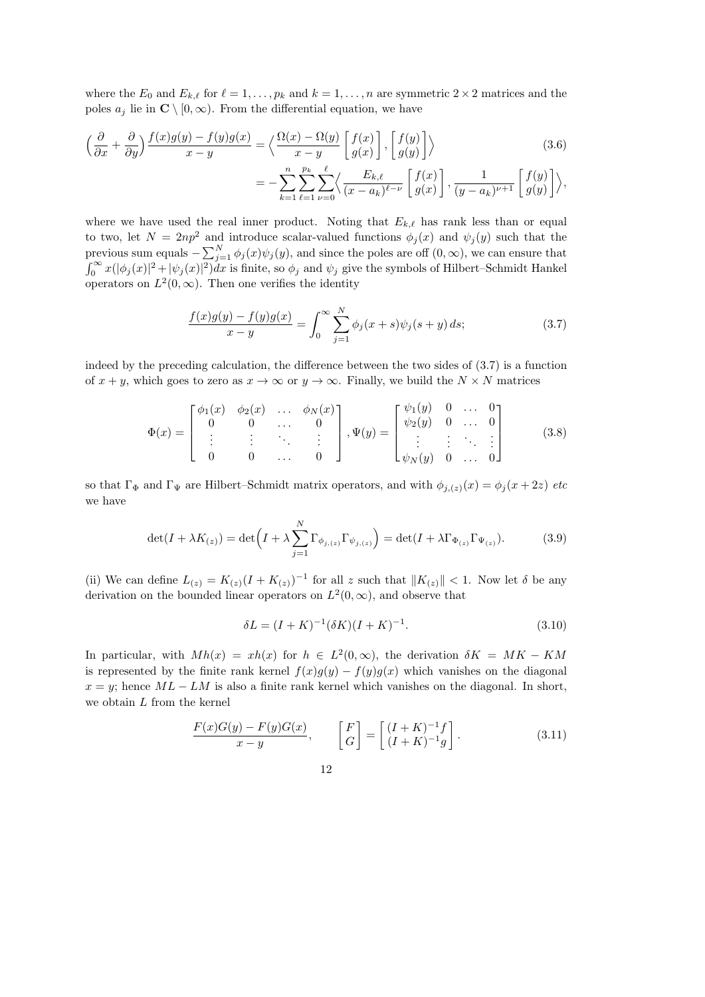where the  $E_0$  and  $E_{k,\ell}$  for  $\ell = 1, \ldots, p_k$  and  $k = 1, \ldots, n$  are symmetric  $2 \times 2$  matrices and the poles  $a_j$  lie in  $\mathbf{C} \setminus [0, \infty)$ . From the differential equation, we have

$$
\left(\frac{\partial}{\partial x} + \frac{\partial}{\partial y}\right) \frac{f(x)g(y) - f(y)g(x)}{x - y} = \left\langle \frac{\Omega(x) - \Omega(y)}{x - y} \left[ \frac{f(x)}{g(x)} \right], \left[ \frac{f(y)}{g(y)} \right] \right\rangle
$$
\n
$$
= -\sum_{k=1}^{n} \sum_{\ell=1}^{p_k} \sum_{\nu=0}^{\ell} \left\langle \frac{E_{k,\ell}}{(x - a_k)^{\ell - \nu}} \left[ \frac{f(x)}{g(x)} \right], \frac{1}{(y - a_k)^{\nu + 1}} \left[ \frac{f(y)}{g(y)} \right] \right\rangle,
$$
\n(3.6)

where we have used the real inner product. Noting that  $E_{k,\ell}$  has rank less than or equal to two, let  $N = 2np^2$  and introduce scalar-valued functions  $\phi_j(x)$  and  $\psi_j(y)$  such that the previous sum equals  $-\sum_{j=1}^{N} \phi_j(x)\psi_j(y)$ , and since the poles are off  $(0, \infty)$ , we can ensure that  $\int_0^\infty x(|\phi_j(x)|^2 + |\psi_j(x)|^2) dx$  is finite, so  $\phi_j$  and  $\psi_j$  give the symbols of Hilbert–Schmidt Hankel operators on  $L^2(0,\infty)$ . Then one verifies the identity

$$
\frac{f(x)g(y) - f(y)g(x)}{x - y} = \int_0^\infty \sum_{j=1}^N \phi_j(x+s)\psi_j(s+y) \, ds; \tag{3.7}
$$

indeed by the preceding calculation, the difference between the two sides of (3.7) is a function of  $x + y$ , which goes to zero as  $x \to \infty$  or  $y \to \infty$ . Finally, we build the  $N \times N$  matrices

$$
\Phi(x) = \begin{bmatrix} \phi_1(x) & \phi_2(x) & \dots & \phi_N(x) \\ 0 & 0 & \dots & 0 \\ \vdots & \vdots & \ddots & \vdots \\ 0 & 0 & \dots & 0 \end{bmatrix}, \Psi(y) = \begin{bmatrix} \psi_1(y) & 0 & \dots & 0 \\ \psi_2(y) & 0 & \dots & 0 \\ \vdots & \vdots & \ddots & \vdots \\ \psi_N(y) & 0 & \dots & 0 \end{bmatrix}
$$
(3.8)

so that  $\Gamma_{\Phi}$  and  $\Gamma_{\Psi}$  are Hilbert–Schmidt matrix operators, and with  $\phi_{j,(z)}(x) = \phi_j(x+2z)$  etc we have

$$
\det(I + \lambda K_{(z)}) = \det\left(I + \lambda \sum_{j=1}^{N} \Gamma_{\phi_{j,(z)}} \Gamma_{\psi_{j,(z)}}\right) = \det(I + \lambda \Gamma_{\Phi_{(z)}} \Gamma_{\Psi_{(z)}}). \tag{3.9}
$$

(ii) We can define  $L_{(z)} = K_{(z)}(I + K_{(z)})^{-1}$  for all z such that  $||K_{(z)}|| < 1$ . Now let  $\delta$  be any derivation on the bounded linear operators on  $L^2(0,\infty)$ , and observe that

$$
\delta L = (I + K)^{-1} (\delta K)(I + K)^{-1}.
$$
\n(3.10)

In particular, with  $Mh(x) = xh(x)$  for  $h \in L^2(0, \infty)$ , the derivation  $\delta K = MK - KM$ is represented by the finite rank kernel  $f(x)g(y) - f(y)g(x)$  which vanishes on the diagonal  $x = y$ ; hence  $ML - LM$  is also a finite rank kernel which vanishes on the diagonal. In short, we obtain  $L$  from the kernel

$$
\frac{F(x)G(y) - F(y)G(x)}{x - y}, \qquad \begin{bmatrix} F \\ G \end{bmatrix} = \begin{bmatrix} (I + K)^{-1}f \\ (I + K)^{-1}g \end{bmatrix}.
$$
\n(3.11)

12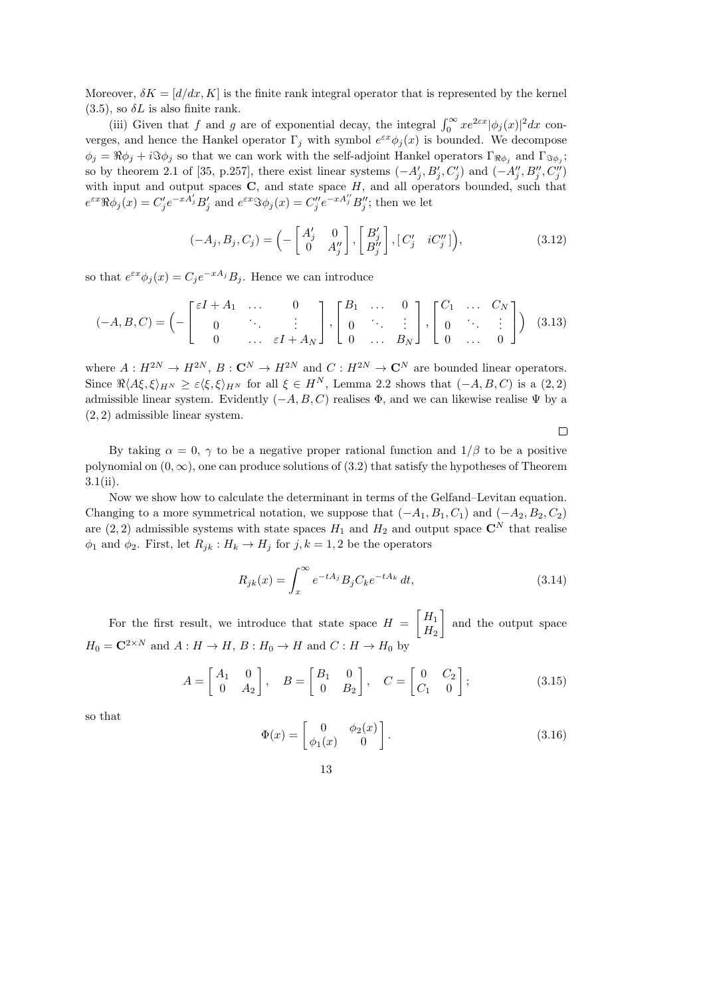Moreover,  $\delta K = [d/dx, K]$  is the finite rank integral operator that is represented by the kernel  $(3.5)$ , so  $\delta L$  is also finite rank.

(iii) Given that f and g are of exponential decay, the integral  $\int_0^\infty xe^{2\varepsilon x} |\phi_j(x)|^2 dx$  converges, and hence the Hankel operator  $\Gamma_j$  with symbol  $e^{\varepsilon x}\phi_j(x)$  is bounded. We decompose  $\phi_j = \Re \phi_j + i \Im \phi_j$  so that we can work with the self-adjoint Hankel operators  $\Gamma_{\Re \phi_j}$  and  $\Gamma_{\Im \phi_j}$ ; so by theorem 2.1 of [35, p.257], there exist linear systems  $(-A'_j, B'_j, C'_j)$  and  $(-A''_j, B''_j, C''_j)$ ) with input and output spaces  $C$ , and state space  $H$ , and all operators bounded, such that  $e^{\varepsilon x} \Re \phi_j(x) = C'_j e^{-xA'_j} B'_j$  and  $e^{\varepsilon x} \Im \phi_j(x) = C''_j e^{-xA''_j} B''_j$ ; then we let

$$
(-A_j, B_j, C_j) = \left(-\begin{bmatrix} A'_j & 0\\ 0 & A''_j \end{bmatrix}, \begin{bmatrix} B'_j\\ B''_j \end{bmatrix}, \begin{bmatrix} C'_j & iC''_j \end{bmatrix}\right), \tag{3.12}
$$

so that  $e^{\varepsilon x}\phi_j(x) = C_j e^{-xA_j}B_j$ . Hence we can introduce

$$
(-A,B,C) = \left(-\begin{bmatrix} \varepsilon I + A_1 & \dots & 0 \\ 0 & \ddots & \vdots \\ 0 & \dots & \varepsilon I + A_N \end{bmatrix}, \begin{bmatrix} B_1 & \dots & 0 \\ 0 & \ddots & \vdots \\ 0 & \dots & B_N \end{bmatrix}, \begin{bmatrix} C_1 & \dots & C_N \\ 0 & \ddots & \vdots \\ 0 & \dots & 0 \end{bmatrix}\right)
$$
(3.13)

where  $A: H^{2N} \to H^{2N}$ ,  $B: \mathbb{C}^N \to H^{2N}$  and  $C: H^{2N} \to \mathbb{C}^N$  are bounded linear operators. Since  $\Re\langle A\xi, \xi\rangle_{H^N} \geq \varepsilon \langle \xi, \xi\rangle_{H^N}$  for all  $\xi \in H^N$ , Lemma 2.2 shows that  $(-A, B, C)$  is a  $(2, 2)$ admissible linear system. Evidently  $(-A, B, C)$  realises  $\Phi$ , and we can likewise realise  $\Psi$  by a (2, 2) admissible linear system.

 $\Box$ 

By taking  $\alpha = 0$ ,  $\gamma$  to be a negative proper rational function and  $1/\beta$  to be a positive polynomial on  $(0, \infty)$ , one can produce solutions of  $(3.2)$  that satisfy the hypotheses of Theorem  $3.1(ii)$ .

Now we show how to calculate the determinant in terms of the Gelfand–Levitan equation. Changing to a more symmetrical notation, we suppose that  $(-A_1, B_1, C_1)$  and  $(-A_2, B_2, C_2)$ are  $(2, 2)$  admissible systems with state spaces  $H_1$  and  $H_2$  and output space  $\mathbb{C}^N$  that realise  $\phi_1$  and  $\phi_2$ . First, let  $R_{jk}: H_k \to H_j$  for  $j, k = 1, 2$  be the operators

$$
R_{jk}(x) = \int_{x}^{\infty} e^{-tA_j} B_j C_k e^{-tA_k} dt,
$$
\n(3.14)

For the first result, we introduce that state space  $H = \begin{bmatrix} H_1 \\ H_2 \end{bmatrix}$  $H_2$ and the output space  $H_0 = \mathbb{C}^{2 \times N}$  and  $A : H \to H$ ,  $B : H_0 \to H$  and  $C : H \to H_0$  by

$$
A = \begin{bmatrix} A_1 & 0 \\ 0 & A_2 \end{bmatrix}, \quad B = \begin{bmatrix} B_1 & 0 \\ 0 & B_2 \end{bmatrix}, \quad C = \begin{bmatrix} 0 & C_2 \\ C_1 & 0 \end{bmatrix};
$$
(3.15)

so that

$$
\Phi(x) = \begin{bmatrix} 0 & \phi_2(x) \\ \phi_1(x) & 0 \end{bmatrix}.
$$
\n(3.16)

13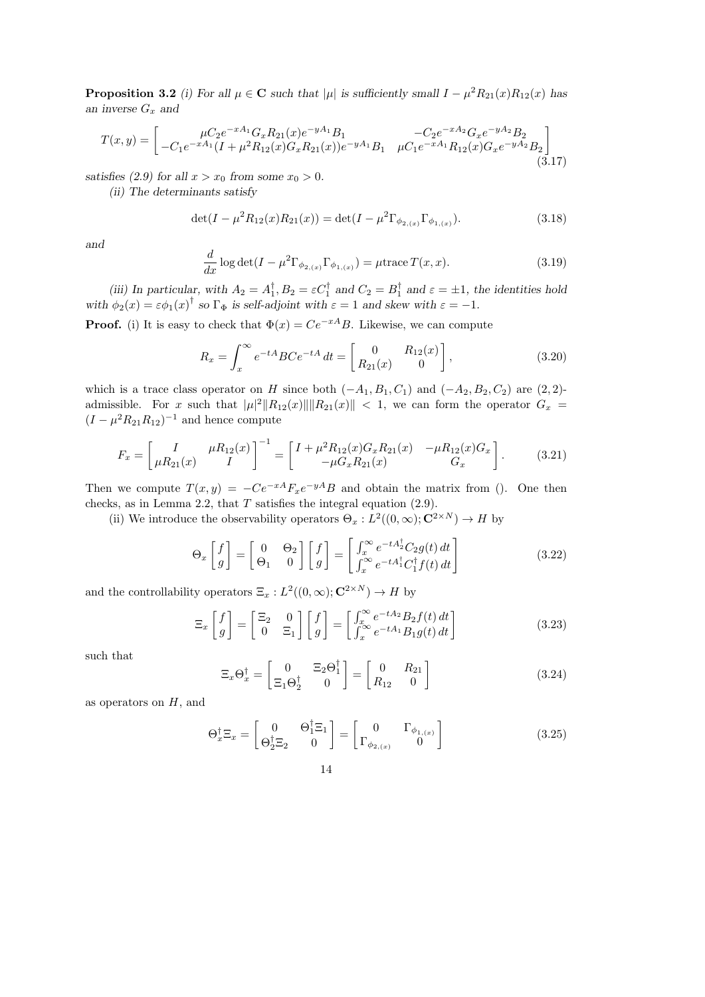**Proposition 3.2** (i) For all  $\mu \in \mathbb{C}$  such that  $|\mu|$  is sufficiently small  $I - \mu^2 R_{21}(x) R_{12}(x)$  has an inverse  $G_x$  and

$$
T(x,y) = \begin{bmatrix} \mu C_2 e^{-xA_1} G_x R_{21}(x) e^{-yA_1} B_1 & -C_2 e^{-xA_2} G_x e^{-yA_2} B_2 \\ -C_1 e^{-xA_1} (I + \mu^2 R_{12}(x) G_x R_{21}(x)) e^{-yA_1} B_1 & \mu C_1 e^{-xA_1} R_{12}(x) G_x e^{-yA_2} B_2 \end{bmatrix}
$$
\n(3.17)

satisfies (2.9) for all  $x > x_0$  from some  $x_0 > 0$ .

(ii) The determinants satisfy

$$
\det(I - \mu^2 R_{12}(x)R_{21}(x)) = \det(I - \mu^2 \Gamma_{\phi_{2,(x)}} \Gamma_{\phi_{1,(x)}}). \tag{3.18}
$$

and

$$
\frac{d}{dx}\log\det(I-\mu^2\Gamma_{\phi_{2,(x)}}\Gamma_{\phi_{1,(x)}})=\mu\text{trace}\,T(x,x). \tag{3.19}
$$

(iii) In particular, with  $A_2 = A_1^{\dagger}$  $_1^{\dagger}$ ,  $B_2 = \varepsilon C_1^{\dagger}$  and  $C_2 = B_1^{\dagger}$  $\frac{1}{1}$  and  $\varepsilon = \pm 1$ , the identities hold with  $\phi_2(x) = \varepsilon \phi_1(x)^\dagger$  so  $\Gamma_{\Phi}$  is self-adjoint with  $\varepsilon = 1$  and skew with  $\varepsilon = -1$ .

**Proof.** (i) It is easy to check that  $\Phi(x) = Ce^{-xA}B$ . Likewise, we can compute

$$
R_x = \int_x^{\infty} e^{-tA} BC e^{-tA} dt = \begin{bmatrix} 0 & R_{12}(x) \\ R_{21}(x) & 0 \end{bmatrix},
$$
 (3.20)

which is a trace class operator on H since both  $(-A_1, B_1, C_1)$  and  $(-A_2, B_2, C_2)$  are  $(2, 2)$ admissible. For x such that  $|\mu|^2 ||R_{12}(x)|| ||R_{21}(x)|| < 1$ , we can form the operator  $G_x$  $(I - \mu^2 R_{21} R_{12})^{-1}$  and hence compute

$$
F_x = \begin{bmatrix} I & \mu R_{12}(x) \\ \mu R_{21}(x) & I \end{bmatrix}^{-1} = \begin{bmatrix} I + \mu^2 R_{12}(x) G_x R_{21}(x) & -\mu R_{12}(x) G_x \\ -\mu G_x R_{21}(x) & G_x \end{bmatrix}.
$$
 (3.21)

Then we compute  $T(x,y) = -Ce^{-xA}F_xe^{-yA}B$  and obtain the matrix from (). One then checks, as in Lemma 2.2, that  $T$  satisfies the integral equation  $(2.9)$ .

(ii) We introduce the observability operators  $\Theta_x : L^2((0,\infty);{\bf C}^{2\times N}) \to H$  by

$$
\Theta_x \begin{bmatrix} f \\ g \end{bmatrix} = \begin{bmatrix} 0 & \Theta_2 \\ \Theta_1 & 0 \end{bmatrix} \begin{bmatrix} f \\ g \end{bmatrix} = \begin{bmatrix} \int_x^\infty e^{-tA_2^\dagger} C_2 g(t) dt \\ \int_x^\infty e^{-tA_1^\dagger} C_1^\dagger f(t) dt \end{bmatrix}
$$
(3.22)

and the controllability operators  $\Xi_x : L^2((0,\infty);{\bf C}^{2\times N}) \to H$  by

$$
\Xi_x \begin{bmatrix} f \\ g \end{bmatrix} = \begin{bmatrix} \Xi_2 & 0 \\ 0 & \Xi_1 \end{bmatrix} \begin{bmatrix} f \\ g \end{bmatrix} = \begin{bmatrix} \int_x^{\infty} e^{-tA_2} B_2 f(t) dt \\ \int_x^{\infty} e^{-tA_1} B_1 g(t) dt \end{bmatrix}
$$
(3.23)

such that

$$
\Xi_x \Theta_x^{\dagger} = \begin{bmatrix} 0 & \Xi_2 \Theta_1^{\dagger} \\ \Xi_1 \Theta_2^{\dagger} & 0 \end{bmatrix} = \begin{bmatrix} 0 & R_{21} \\ R_{12} & 0 \end{bmatrix}
$$
(3.24)

as operators on  $H$ , and

$$
\Theta_{x}^{\dagger} \Xi_{x} = \begin{bmatrix} 0 & \Theta_{1}^{\dagger} \Xi_{1} \\ \Theta_{2}^{\dagger} \Xi_{2} & 0 \end{bmatrix} = \begin{bmatrix} 0 & \Gamma_{\phi_{1,(x)}} \\ \Gamma_{\phi_{2,(x)}} & 0 \end{bmatrix}
$$
(3.25)

14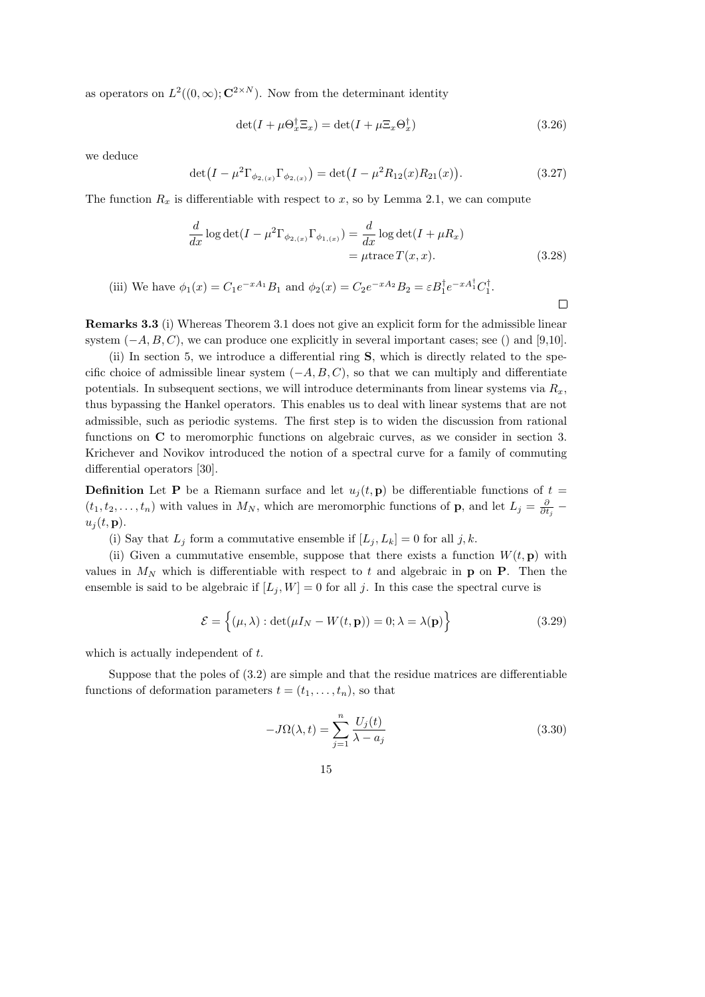as operators on  $L^2((0,\infty);{\bf C}^{2\times N})$ . Now from the determinant identity

$$
\det(I + \mu \Theta_x^{\dagger} \Xi_x) = \det(I + \mu \Xi_x \Theta_x^{\dagger})
$$
\n(3.26)

we deduce

$$
\det(I - \mu^2 \Gamma_{\phi_{2,(x)}} \Gamma_{\phi_{2,(x)}}) = \det(I - \mu^2 R_{12}(x) R_{21}(x)). \tag{3.27}
$$

The function  $R_x$  is differentiable with respect to x, so by Lemma 2.1, we can compute

$$
\frac{d}{dx}\log\det(I - \mu^2 \Gamma_{\phi_{2,(x)}} \Gamma_{\phi_{1,(x)}}) = \frac{d}{dx}\log\det(I + \mu R_x)
$$
\n
$$
= \mu \operatorname{trace} T(x, x). \tag{3.28}
$$

 $\Box$ 

(iii) We have 
$$
\phi_1(x) = C_1 e^{-xA_1} B_1
$$
 and  $\phi_2(x) = C_2 e^{-xA_2} B_2 = \varepsilon B_1^{\dagger} e^{-xA_1^{\dagger}} C_1^{\dagger}$ .

Remarks 3.3 (i) Whereas Theorem 3.1 does not give an explicit form for the admissible linear system  $(-A, B, C)$ , we can produce one explicitly in several important cases; see () and [9,10].

(ii) In section 5, we introduce a differential ring S, which is directly related to the specific choice of admissible linear system  $(-A, B, C)$ , so that we can multiply and differentiate potentials. In subsequent sections, we will introduce determinants from linear systems via  $R_x$ , thus bypassing the Hankel operators. This enables us to deal with linear systems that are not admissible, such as periodic systems. The first step is to widen the discussion from rational functions on C to meromorphic functions on algebraic curves, as we consider in section 3. Krichever and Novikov introduced the notion of a spectral curve for a family of commuting differential operators [30].

**Definition** Let **P** be a Riemann surface and let  $u_j(t, \mathbf{p})$  be differentiable functions of  $t =$  $(t_1, t_2, \ldots, t_n)$  with values in  $M_N$ , which are meromorphic functions of **p**, and let  $L_j = \frac{\partial}{\partial t}$  $\frac{\partial}{\partial t_j}$   $u_j(t, \mathbf{p}).$ 

(i) Say that  $L_j$  form a commutative ensemble if  $[L_j, L_k] = 0$  for all j, k.

(ii) Given a cummutative ensemble, suppose that there exists a function  $W(t, \mathbf{p})$  with values in  $M_N$  which is differentiable with respect to t and algebraic in **p** on **P**. Then the ensemble is said to be algebraic if  $[L_j, W] = 0$  for all j. In this case the spectral curve is

$$
\mathcal{E} = \left\{ (\mu, \lambda) : \det(\mu I_N - W(t, \mathbf{p})) = 0; \lambda = \lambda(\mathbf{p}) \right\}
$$
(3.29)

which is actually independent of t.

Suppose that the poles of (3.2) are simple and that the residue matrices are differentiable functions of deformation parameters  $t = (t_1, \ldots, t_n)$ , so that

$$
-J\Omega(\lambda, t) = \sum_{j=1}^{n} \frac{U_j(t)}{\lambda - a_j}
$$
\n(3.30)

$$
15\,
$$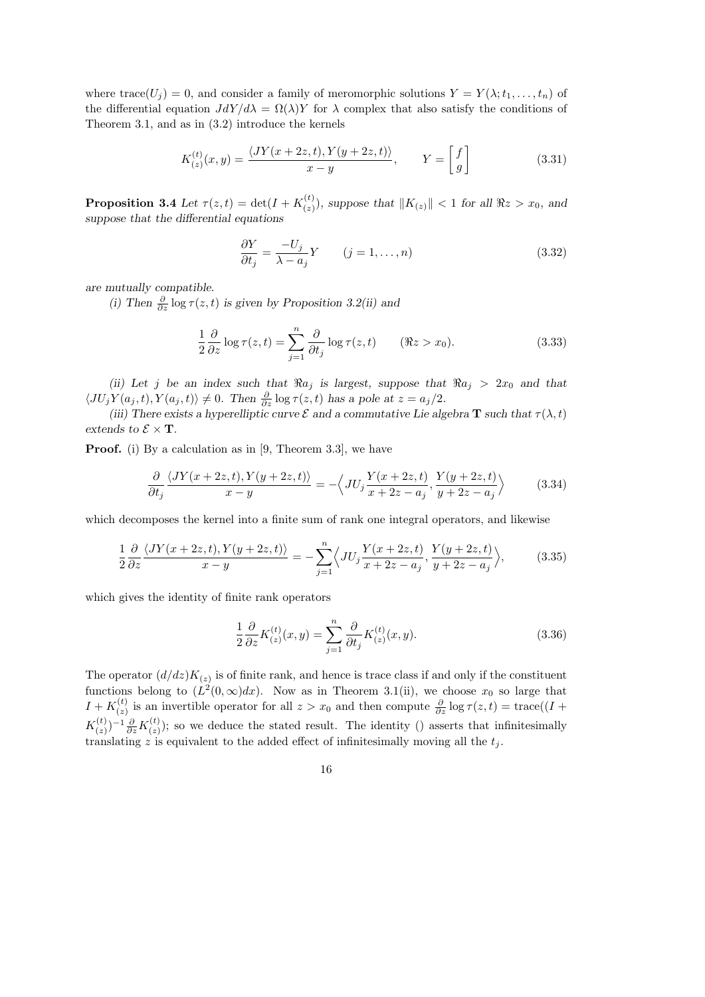where trace( $U_j$ ) = 0, and consider a family of meromorphic solutions  $Y = Y(\lambda; t_1, \ldots, t_n)$  of the differential equation  $JdY/d\lambda = \Omega(\lambda)Y$  for  $\lambda$  complex that also satisfy the conditions of Theorem 3.1, and as in (3.2) introduce the kernels

$$
K_{(z)}^{(t)}(x,y) = \frac{\langle JY(x+2z,t), Y(y+2z,t) \rangle}{x-y}, \qquad Y = \begin{bmatrix} f \\ g \end{bmatrix}
$$
(3.31)

**Proposition 3.4** Let  $\tau(z,t) = \det(I + K_{(z)}^{(t)})$  $\binom{f(t)}{z}$ , suppose that  $||K_{(z)}|| < 1$  for all  $\Re z > x_0$ , and suppose that the differential equations

$$
\frac{\partial Y}{\partial t_j} = \frac{-U_j}{\lambda - a_j} Y \qquad (j = 1, \dots, n)
$$
\n(3.32)

are mutually compatible.

(i) Then  $\frac{\partial}{\partial z} \log \tau(z, t)$  is given by Proposition 3.2(ii) and

$$
\frac{1}{2}\frac{\partial}{\partial z}\log \tau(z,t) = \sum_{j=1}^{n} \frac{\partial}{\partial t_j} \log \tau(z,t) \qquad (\Re z > x_0).
$$
 (3.33)

(ii) Let j be an index such that  $\Re a_j$  is largest, suppose that  $\Re a_j > 2x_0$  and that  $\langle JU_j Y(a_j,t), Y(a_j,t) \rangle \neq 0$ . Then  $\frac{\partial}{\partial z} \log \tau(z,t)$  has a pole at  $z = a_j/2$ .

(iii) There exists a hyperelliptic curve  $\mathcal E$  and a commutative Lie algebra **T** such that  $\tau(\lambda, t)$ extends to  $\mathcal{E} \times \mathbf{T}$ .

**Proof.** (i) By a calculation as in [9, Theorem 3.3], we have

$$
\frac{\partial}{\partial t_j} \frac{\langle JY(x+2z,t), Y(y+2z,t) \rangle}{x-y} = -\Big\langle JU_j \frac{Y(x+2z,t)}{x+2z-a_j}, \frac{Y(y+2z,t)}{y+2z-a_j} \Big\rangle \tag{3.34}
$$

which decomposes the kernel into a finite sum of rank one integral operators, and likewise

$$
\frac{1}{2}\frac{\partial}{\partial z}\frac{\langle JY(x+2z,t), Y(y+2z,t)\rangle}{x-y} = -\sum_{j=1}^{n} \langle JU_j \frac{Y(x+2z,t)}{x+2z-a_j}, \frac{Y(y+2z,t)}{y+2z-a_j}\rangle, \tag{3.35}
$$

which gives the identity of finite rank operators

$$
\frac{1}{2}\frac{\partial}{\partial z}K_{(z)}^{(t)}(x,y) = \sum_{j=1}^{n} \frac{\partial}{\partial t_j}K_{(z)}^{(t)}(x,y).
$$
\n(3.36)

The operator  $(d/dz)K_{(z)}$  is of finite rank, and hence is trace class if and only if the constituent functions belong to  $(L^2(0,\infty)dx)$ . Now as in Theorem 3.1(ii), we choose  $x_0$  so large that  $I + K_{(z)}^{(t)}$  $\frac{d}{dz}$  is an invertible operator for all  $z > x_0$  and then compute  $\frac{\partial}{\partial z} \log \tau(z, t) = \text{trace}((I +$  $K_{(z)}^{(t)}$  $\binom{(t)}{(z)}^{-1} \frac{\partial}{\partial z} K^{(t)}_{(z)}$  $\binom{(\ell)}{z}$ ; so we deduce the stated result. The identity () asserts that infinitesimally translating z is equivalent to the added effect of infinitesimally moving all the  $t_j$ .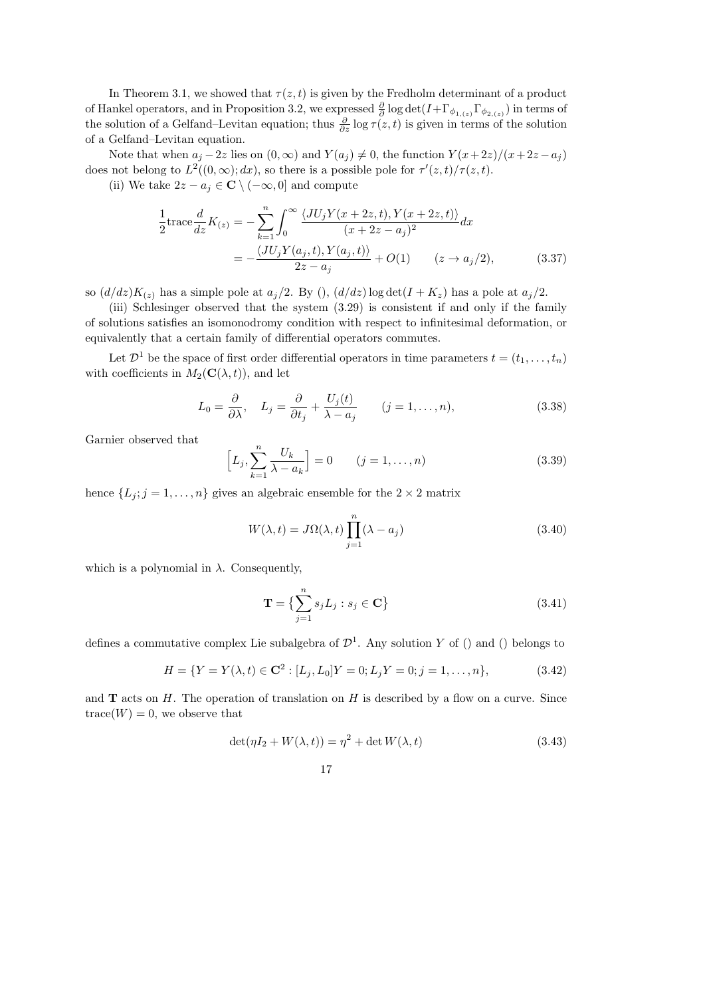In Theorem 3.1, we showed that  $\tau(z, t)$  is given by the Fredholm determinant of a product of Hankel operators, and in Proposition 3.2, we expressed  $\frac{\partial}{\partial} \log \det(I + \Gamma_{\phi_{1,(z)}} \Gamma_{\phi_{2,(z)}})$  in terms of the solution of a Gelfand–Levitan equation; thus  $\frac{\partial}{\partial z} \log \tau(z, t)$  is given in terms of the solution of a Gelfand–Levitan equation.

Note that when  $a_j - 2z$  lies on  $(0, \infty)$  and  $Y(a_j) \neq 0$ , the function  $Y(x+2z)/(x+2z-a_j)$ does not belong to  $L^2((0,\infty);dx)$ , so there is a possible pole for  $\tau'(z,t)/\tau(z,t)$ .

(ii) We take  $2z - a_j \in \mathbb{C} \setminus (-\infty, 0]$  and compute

$$
\frac{1}{2}\text{trace}\frac{d}{dz}K_{(z)} = -\sum_{k=1}^{n} \int_{0}^{\infty} \frac{\langle JU_{j}Y(x+2z,t), Y(x+2z,t) \rangle}{(x+2z-a_{j})^{2}} dx \n= -\frac{\langle JU_{j}Y(a_{j},t), Y(a_{j},t) \rangle}{2z-a_{j}} + O(1) \qquad (z \to a_{j}/2),
$$
\n(3.37)

so  $(d/dz)K_{(z)}$  has a simple pole at  $a_j/2$ . By (),  $(d/dz)$  log det( $I + K_z$ ) has a pole at  $a_j/2$ .

(iii) Schlesinger observed that the system (3.29) is consistent if and only if the family of solutions satisfies an isomonodromy condition with respect to infinitesimal deformation, or equivalently that a certain family of differential operators commutes.

Let  $\mathcal{D}^1$  be the space of first order differential operators in time parameters  $t = (t_1, \ldots, t_n)$ with coefficients in  $M_2(\mathbf{C}(\lambda, t))$ , and let

$$
L_0 = \frac{\partial}{\partial \lambda}, \quad L_j = \frac{\partial}{\partial t_j} + \frac{U_j(t)}{\lambda - a_j} \qquad (j = 1, ..., n), \tag{3.38}
$$

Garnier observed that

$$
\left[L_j, \sum_{k=1}^n \frac{U_k}{\lambda - a_k}\right] = 0 \qquad (j = 1, \dots, n)
$$
\n
$$
(3.39)
$$

hence  $\{L_j; j = 1, \ldots, n\}$  gives an algebraic ensemble for the  $2 \times 2$  matrix

$$
W(\lambda, t) = J\Omega(\lambda, t) \prod_{j=1}^{n} (\lambda - a_j)
$$
\n(3.40)

which is a polynomial in  $\lambda$ . Consequently,

$$
\mathbf{T} = \left\{ \sum_{j=1}^{n} s_j L_j : s_j \in \mathbf{C} \right\} \tag{3.41}
$$

defines a commutative complex Lie subalgebra of  $\mathcal{D}^1$ . Any solution Y of () and () belongs to

$$
H = \{ Y = Y(\lambda, t) \in \mathbf{C}^2 : [L_j, L_0]Y = 0; L_j Y = 0; j = 1, ..., n \},
$$
\n(3.42)

and  **acts on**  $H$ **. The operation of translation on**  $H$  **is described by a flow on a curve. Since**  $trace(W) = 0$ , we observe that

$$
\det(\eta I_2 + W(\lambda, t)) = \eta^2 + \det W(\lambda, t)
$$
\n(3.43)

17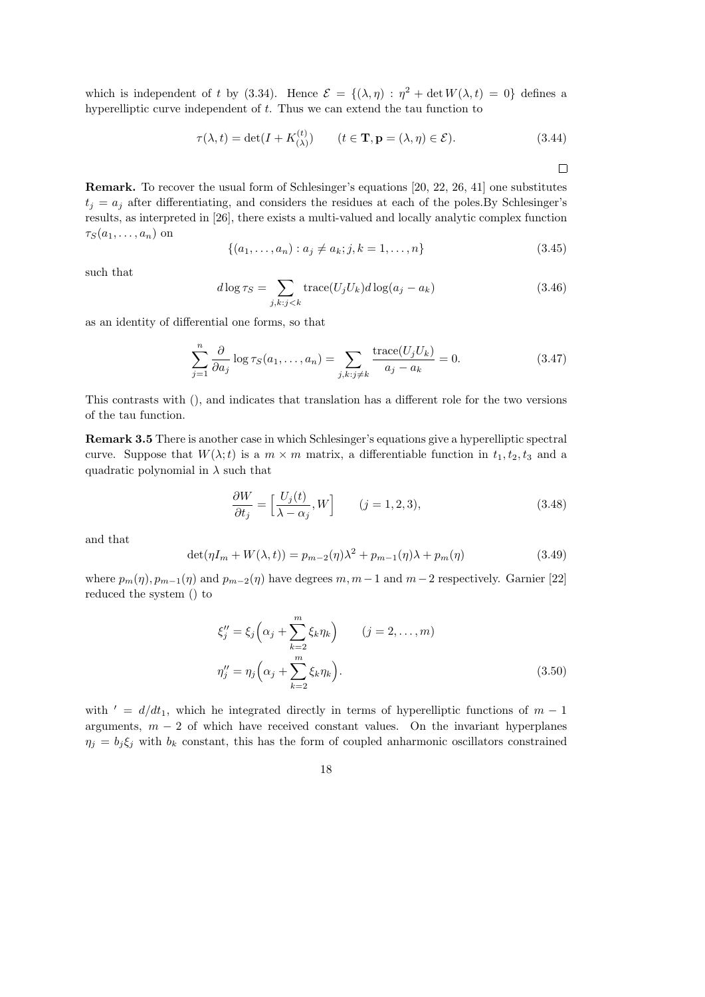which is independent of t by (3.34). Hence  $\mathcal{E} = \{(\lambda, \eta) : \eta^2 + \det W(\lambda, t) = 0\}$  defines a hyperelliptic curve independent of t. Thus we can extend the tau function to

$$
\tau(\lambda, t) = \det(I + K_{(\lambda)}^{(t)}) \qquad (t \in \mathbf{T}, \mathbf{p} = (\lambda, \eta) \in \mathcal{E}). \tag{3.44}
$$

 $\Box$ 

Remark. To recover the usual form of Schlesinger's equations [20, 22, 26, 41] one substitutes  $t_i = a_i$  after differentiating, and considers the residues at each of the poles. By Schlesinger's results, as interpreted in [26], there exists a multi-valued and locally analytic complex function  $\tau_S(a_1,\ldots,a_n)$  on

$$
\{(a_1, \ldots, a_n) : a_j \neq a_k; j, k = 1, \ldots, n\}
$$
\n(3.45)

such that

$$
d\log \tau_S = \sum_{j,k:j\n(3.46)
$$

as an identity of differential one forms, so that

$$
\sum_{j=1}^{n} \frac{\partial}{\partial a_j} \log \tau_S(a_1, \dots, a_n) = \sum_{j,k: j \neq k} \frac{\text{trace}(U_j U_k)}{a_j - a_k} = 0.
$$
 (3.47)

This contrasts with (), and indicates that translation has a different role for the two versions of the tau function.

Remark 3.5 There is another case in which Schlesinger's equations give a hyperelliptic spectral curve. Suppose that  $W(\lambda; t)$  is a  $m \times m$  matrix, a differentiable function in  $t_1, t_2, t_3$  and a quadratic polynomial in  $\lambda$  such that

$$
\frac{\partial W}{\partial t_j} = \left[\frac{U_j(t)}{\lambda - \alpha_j}, W\right] \qquad (j = 1, 2, 3), \tag{3.48}
$$

and that

$$
\det(\eta I_m + W(\lambda, t)) = p_{m-2}(\eta)\lambda^2 + p_{m-1}(\eta)\lambda + p_m(\eta)
$$
\n(3.49)

where  $p_m(\eta)$ ,  $p_{m-1}(\eta)$  and  $p_{m-2}(\eta)$  have degrees  $m, m-1$  and  $m-2$  respectively. Garnier [22] reduced the system () to

$$
\xi_j'' = \xi_j \left( \alpha_j + \sum_{k=2}^m \xi_k \eta_k \right) \qquad (j = 2, \dots, m)
$$
  

$$
\eta_j'' = \eta_j \left( \alpha_j + \sum_{k=2}^m \xi_k \eta_k \right).
$$
 (3.50)

with  $\prime = d/dt_1$ , which he integrated directly in terms of hyperelliptic functions of  $m - 1$ arguments,  $m - 2$  of which have received constant values. On the invariant hyperplanes  $\eta_j = b_j \xi_j$  with  $b_k$  constant, this has the form of coupled anharmonic oscillators constrained

18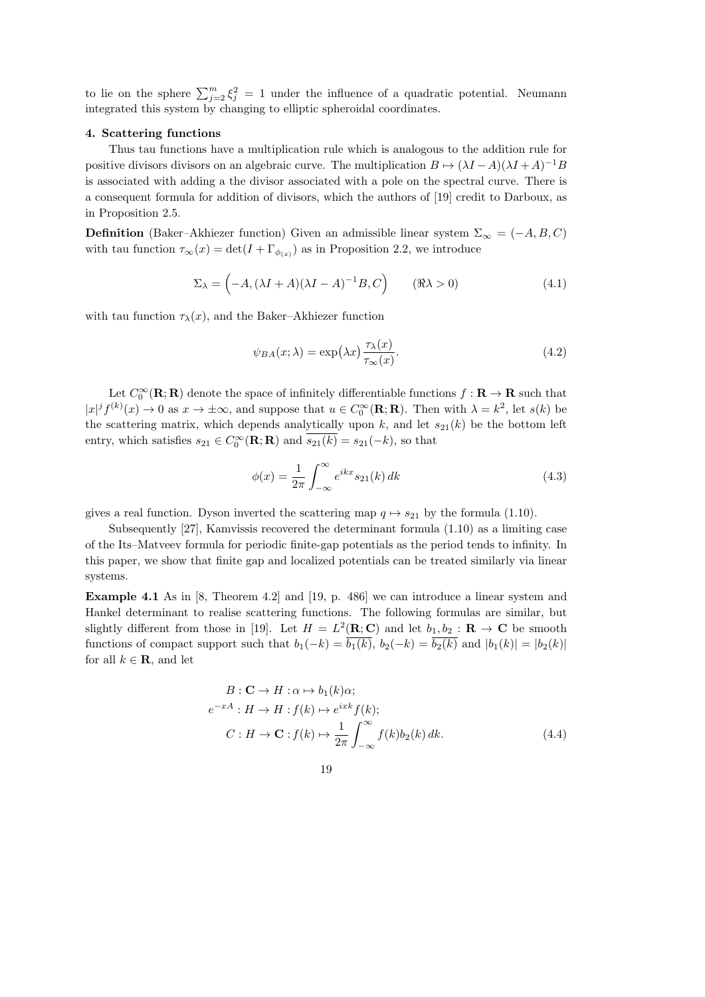to lie on the sphere  $\sum_{j=2}^{m} \xi_j^2 = 1$  under the influence of a quadratic potential. Neumann integrated this system by changing to elliptic spheroidal coordinates.

## 4. Scattering functions

Thus tau functions have a multiplication rule which is analogous to the addition rule for positive divisors divisors on an algebraic curve. The multiplication  $B \mapsto (\lambda I - A)(\lambda I + A)^{-1}B$ is associated with adding a the divisor associated with a pole on the spectral curve. There is a consequent formula for addition of divisors, which the authors of [19] credit to Darboux, as in Proposition 2.5.

**Definition** (Baker–Akhiezer function) Given an admissible linear system  $\Sigma_{\infty} = (-A, B, C)$ with tau function  $\tau_{\infty}(x) = \det(I + \Gamma_{\phi_{(x)}})$  as in Proposition 2.2, we introduce

$$
\Sigma_{\lambda} = \left( -A, (\lambda I + A)(\lambda I - A)^{-1}B, C \right) \qquad (\Re \lambda > 0)
$$
\n(4.1)

with tau function  $\tau_{\lambda}(x)$ , and the Baker–Akhiezer function

$$
\psi_{BA}(x;\lambda) = \exp(\lambda x) \frac{\tau_{\lambda}(x)}{\tau_{\infty}(x)}.
$$
\n(4.2)

Let  $C_0^{\infty}(\mathbf{R}; \mathbf{R})$  denote the space of infinitely differentiable functions  $f : \mathbf{R} \to \mathbf{R}$  such that  $|x|^j f^{(k)}(x) \to 0$  as  $x \to \pm \infty$ , and suppose that  $u \in C_0^{\infty}(\mathbf{R}; \mathbf{R})$ . Then with  $\lambda = k^2$ , let  $s(k)$  be the scattering matrix, which depends analytically upon  $k$ , and let  $s_{21}(k)$  be the bottom left entry, which satisfies  $s_{21} \in C_0^{\infty}(\mathbf{R}; \mathbf{R})$  and  $\overline{s_{21}(k)} = s_{21}(-k)$ , so that

$$
\phi(x) = \frac{1}{2\pi} \int_{-\infty}^{\infty} e^{ikx} s_{21}(k) dk
$$
\n(4.3)

gives a real function. Dyson inverted the scattering map  $q \mapsto s_{21}$  by the formula (1.10).

Subsequently [27], Kamvissis recovered the determinant formula (1.10) as a limiting case of the Its–Matveev formula for periodic finite-gap potentials as the period tends to infinity. In this paper, we show that finite gap and localized potentials can be treated similarly via linear systems.

Example 4.1 As in [8, Theorem 4.2] and [19, p. 486] we can introduce a linear system and Hankel determinant to realise scattering functions. The following formulas are similar, but slightly different from those in [19]. Let  $H = L^2(\mathbf{R}; \mathbf{C})$  and let  $b_1, b_2 : \mathbf{R} \to \mathbf{C}$  be smooth functions of compact support such that  $b_1(-k) = \overline{b_1(k)}$ ,  $b_2(-k) = \overline{b_2(k)}$  and  $|b_1(k)| = |b_2(k)|$ for all  $k \in \mathbf{R}$ , and let

$$
B: \mathbf{C} \to H: \alpha \mapsto b_1(k)\alpha;
$$
  
\n
$$
e^{-xA}: H \to H: f(k) \mapsto e^{ixk} f(k);
$$
  
\n
$$
C: H \to \mathbf{C}: f(k) \mapsto \frac{1}{2\pi} \int_{-\infty}^{\infty} f(k)b_2(k) dk.
$$
\n(4.4)

$$
19\quad
$$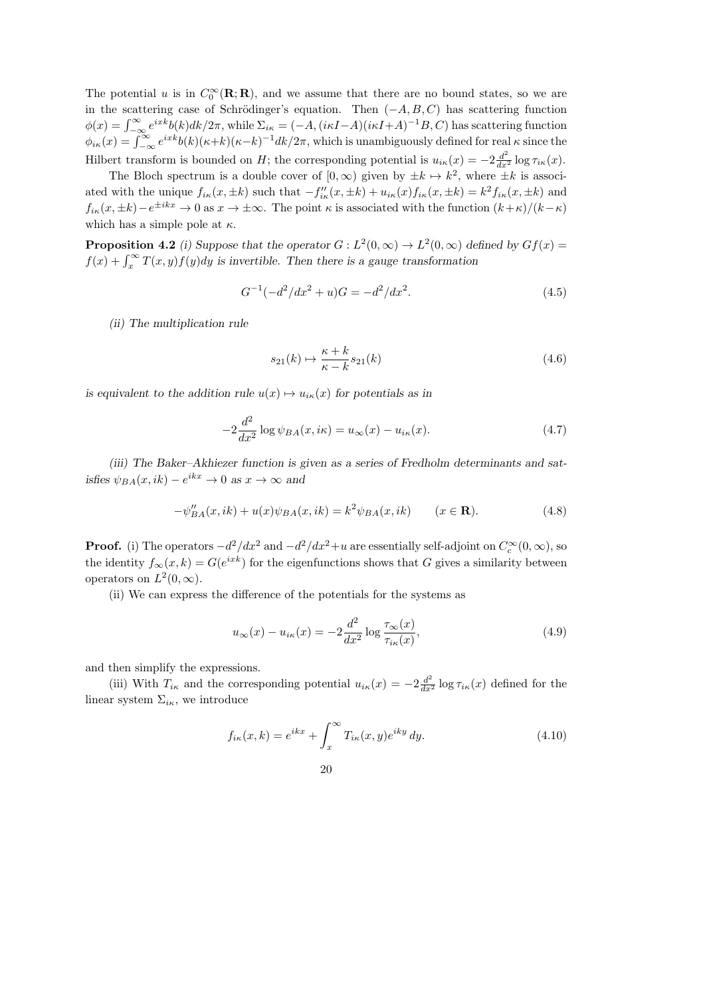The potential u is in  $C_0^{\infty}(\mathbf{R}; \mathbf{R})$ , and we assume that there are no bound states, so we are in the scattering case of Schrödinger's equation. Then  $(-A, B, C)$  has scattering function  $\phi(x) = \int_{-\infty}^{\infty} e^{ixk} b(k) dk/2\pi$ , while  $\Sigma_{i\kappa} = (-A, (i\kappa I - A)(i\kappa I + A)^{-1}B, C)$  has scattering function  $\phi_{i\kappa}(x) = \int_{-\infty}^{\infty} e^{ixk} b(k) (\kappa + k)(\kappa - k)^{-1} dk/2\pi$ , which is unambiguously defined for real  $\kappa$  since the Hilbert transform is bounded on H; the corresponding potential is  $u_{i\kappa}(x) = -2\frac{d^2}{dx^2}\log \tau_{i\kappa}(x)$ .

The Bloch spectrum is a double cover of  $[0, \infty)$  given by  $\pm k \mapsto k^2$ , where  $\pm k$  is associated with the unique  $f_{i\kappa}(x,\pm k)$  such that  $-f''_{i\kappa}(x,\pm k) + u_{i\kappa}(x)f_{i\kappa}(x,\pm k) = k^2 f_{i\kappa}(x,\pm k)$  and  $f_{i\kappa}(x,\pm k)-e^{\pm ikx}\to 0$  as  $x\to \pm \infty$ . The point  $\kappa$  is associated with the function  $(k+\kappa)/(k-\kappa)$ which has a simple pole at  $\kappa$ .

**Proposition 4.2** (i) Suppose that the operator  $G: L^2(0, \infty) \to L^2(0, \infty)$  defined by  $Gf(x) =$  $f(x) + \int_x^{\infty} T(x, y) f(y) dy$  is invertible. Then there is a gauge transformation

$$
G^{-1}(-d^2/dx^2 + u)G = -d^2/dx^2.
$$
\n(4.5)

(ii) The multiplication rule

$$
s_{21}(k) \mapsto \frac{\kappa + k}{\kappa - k} s_{21}(k) \tag{4.6}
$$

is equivalent to the addition rule  $u(x) \mapsto u_{i\kappa}(x)$  for potentials as in

$$
-2\frac{d^2}{dx^2}\log\psi_{BA}(x,i\kappa) = u_{\infty}(x) - u_{i\kappa}(x). \tag{4.7}
$$

(iii) The Baker–Akhiezer function is given as a series of Fredholm determinants and satisfies  $\psi_{BA}(x,ik) - e^{ikx} \to 0$  as  $x \to \infty$  and

$$
-\psi''_{BA}(x,ik) + u(x)\psi_{BA}(x,ik) = k^2 \psi_{BA}(x,ik) \qquad (x \in \mathbf{R}).
$$
 (4.8)

**Proof.** (i) The operators  $-d^2/dx^2$  and  $-d^2/dx^2 + u$  are essentially self-adjoint on  $C_c^{\infty}(0, \infty)$ , so the identity  $f_{\infty}(x,k) = G(e^{ixk})$  for the eigenfunctions shows that G gives a similarity between operators on  $L^2(0,\infty)$ .

(ii) We can express the difference of the potentials for the systems as

$$
u_{\infty}(x) - u_{i\kappa}(x) = -2\frac{d^2}{dx^2} \log \frac{\tau_{\infty}(x)}{\tau_{i\kappa}(x)},
$$
\n(4.9)

and then simplify the expressions.

(iii) With  $T_{i\kappa}$  and the corresponding potential  $u_{i\kappa}(x) = -2\frac{d^2}{dx^2}\log \tau_{i\kappa}(x)$  defined for the linear system  $\Sigma_{i\kappa}$ , we introduce

$$
f_{i\kappa}(x,k) = e^{ikx} + \int_x^{\infty} T_{i\kappa}(x,y)e^{iky} dy.
$$
 (4.10)

$$
20\quad
$$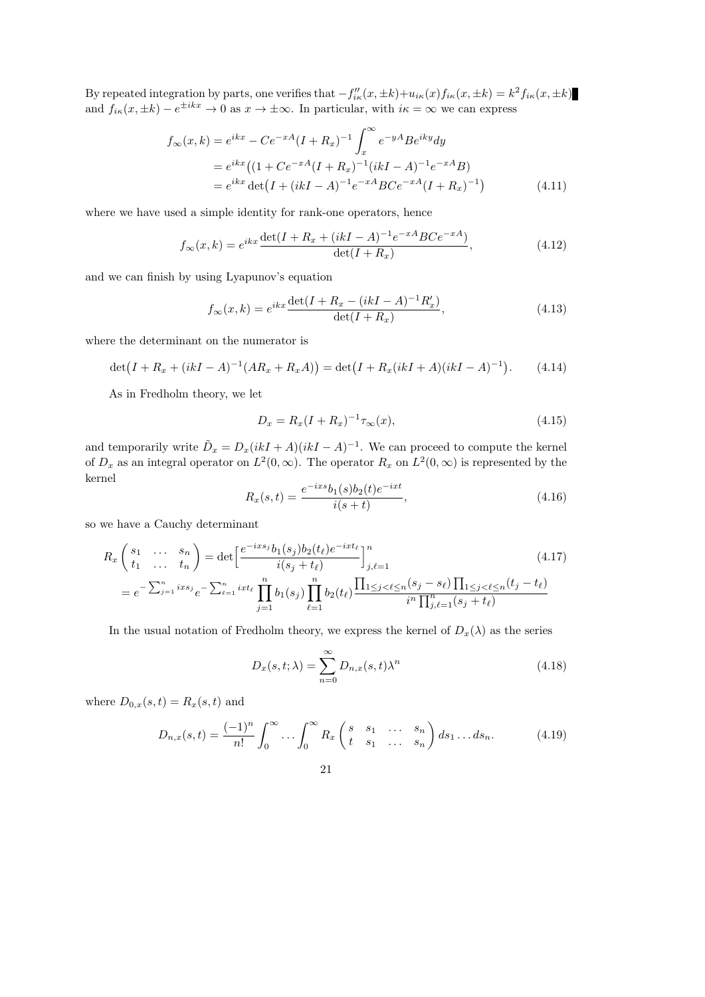By repeated integration by parts, one verifies that  $-f''_{ik}(x, \pm k)+u_{ik}(x)f_{ik}(x, \pm k)=k^2f_{ik}(x, \pm k)$ and  $f_{i\kappa}(x,\pm k) - e^{\pm i kx} \to 0$  as  $x \to \pm \infty$ . In particular, with  $i\kappa = \infty$  we can express

$$
f_{\infty}(x,k) = e^{ikx} - Ce^{-xA}(I + R_x)^{-1} \int_x^{\infty} e^{-yA} Be^{iky} dy
$$
  
=  $e^{ikx} ((1 + Ce^{-xA}(I + R_x)^{-1}(ikI - A)^{-1}e^{-xA}B)$   
=  $e^{ikx} \det(I + (ikI - A)^{-1}e^{-xA}BCe^{-xA}(I + R_x)^{-1})$  (4.11)

where we have used a simple identity for rank-one operators, hence

$$
f_{\infty}(x,k) = e^{ikx} \frac{\det(I + R_x + (ikI - A)^{-1}e^{-xA}BCe^{-xA})}{\det(I + R_x)},
$$
\n(4.12)

and we can finish by using Lyapunov's equation

$$
f_{\infty}(x,k) = e^{ikx} \frac{\det(I + R_x - (ikI - A)^{-1}R'_x)}{\det(I + R_x)},
$$
\n(4.13)

where the determinant on the numerator is

$$
\det(I + R_x + (ikI - A)^{-1}(AR_x + R_x A)) = \det(I + R_x(ikI + A)(ikI - A)^{-1}). \tag{4.14}
$$

As in Fredholm theory, we let

$$
D_x = R_x (I + R_x)^{-1} \tau_\infty(x), \tag{4.15}
$$

and temporarily write  $\tilde{D}_x = D_x(ikI + A)(ikI - A)^{-1}$ . We can proceed to compute the kernel of  $D_x$  as an integral operator on  $L^2(0,\infty)$ . The operator  $R_x$  on  $L^2(0,\infty)$  is represented by the kernel

$$
R_x(s,t) = \frac{e^{-ixs}b_1(s)b_2(t)e^{-ixt}}{i(s+t)},
$$
\n(4.16)

so we have a Cauchy determinant

$$
R_x \begin{pmatrix} s_1 & \dots & s_n \\ t_1 & \dots & t_n \end{pmatrix} = \det \left[ \frac{e^{-ix s_j} b_1(s_j) b_2(t_\ell) e^{-ix t_\ell}}{i(s_j + t_\ell)} \right]_{j,\ell=1}^n
$$
  
= 
$$
e^{-\sum_{j=1}^n i s s_j} e^{-\sum_{\ell=1}^n i x t_\ell} \prod_{j=1}^n b_1(s_j) \prod_{\ell=1}^n b_2(t_\ell) \frac{\prod_{1 \le j < \ell \le n} (s_j - s_\ell) \prod_{1 \le j < \ell \le n} (t_j - t_\ell)}{i^n \prod_{j,\ell=1}^n (s_j + t_\ell)}
$$
(4.17)

In the usual notation of Fredholm theory, we express the kernel of  $D_x(\lambda)$  as the series

$$
D_x(s,t;\lambda) = \sum_{n=0}^{\infty} D_{n,x}(s,t)\lambda^n
$$
\n(4.18)

where  $D_{0,x}(s,t) = R_x(s,t)$  and

$$
D_{n,x}(s,t) = \frac{(-1)^n}{n!} \int_0^\infty \dots \int_0^\infty R_x \begin{pmatrix} s & s_1 & \dots & s_n \\ t & s_1 & \dots & s_n \end{pmatrix} ds_1 \dots ds_n.
$$
 (4.19)

21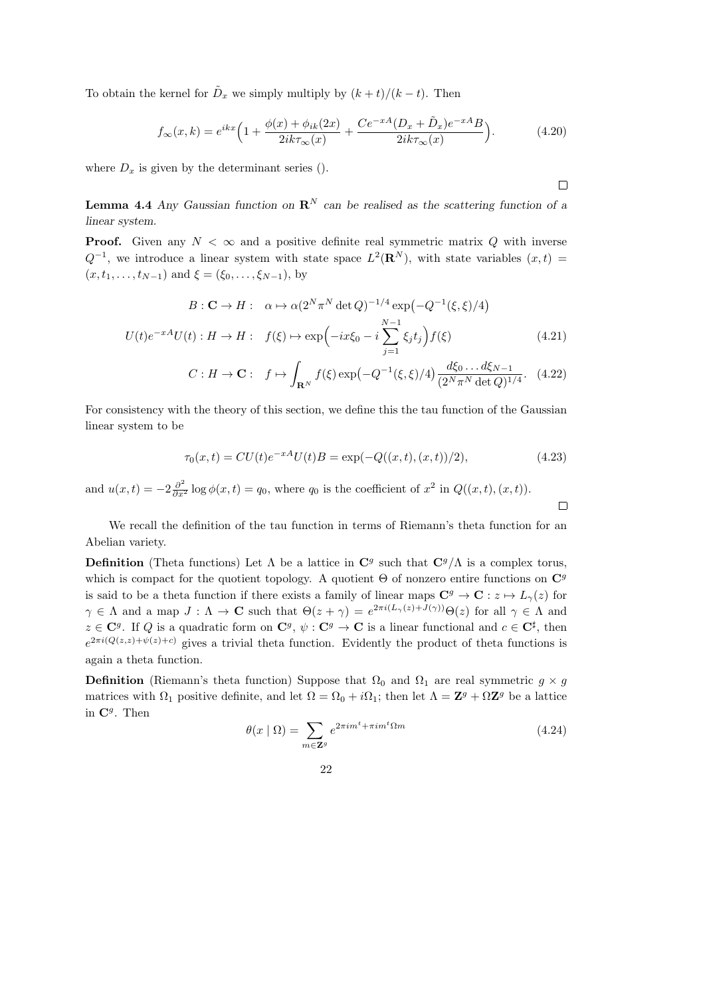To obtain the kernel for  $\tilde{D}_x$  we simply multiply by  $(k+t)/(k-t)$ . Then

$$
f_{\infty}(x,k) = e^{ikx} \left( 1 + \frac{\phi(x) + \phi_{ik}(2x)}{2ik\tau_{\infty}(x)} + \frac{Ce^{-xA}(D_x + \tilde{D}_x)e^{-xA}B}{2ik\tau_{\infty}(x)} \right).
$$
 (4.20)

 $\Box$ 

 $\Box$ 

where  $D_x$  is given by the determinant series ().

**Lemma 4.4** Any Gaussian function on  $\mathbb{R}^N$  can be realised as the scattering function of a linear system.

**Proof.** Given any  $N < \infty$  and a positive definite real symmetric matrix Q with inverse  $Q^{-1}$ , we introduce a linear system with state space  $L^2(\mathbf{R}^N)$ , with state variables  $(x,t)$  =  $(x, t_1, \ldots, t_{N-1})$  and  $\xi = (\xi_0, \ldots, \xi_{N-1})$ , by

$$
B: \mathbf{C} \to H: \quad \alpha \mapsto \alpha (2^N \pi^N \det Q)^{-1/4} \exp(-Q^{-1}(\xi, \xi)/4)
$$
  

$$
U(t)e^{-xA}U(t): H \to H: \quad f(\xi) \mapsto \exp\left(-ix\xi_0 - i\sum_{j=1}^{N-1} \xi_j t_j\right) f(\xi)
$$
(4.21)

$$
C: H \to \mathbf{C}: f \mapsto \int_{\mathbf{R}^N} f(\xi) \exp(-Q^{-1}(\xi, \xi)/4) \frac{d\xi_0 \dots d\xi_{N-1}}{(2^N \pi^N \det Q)^{1/4}}.
$$
 (4.22)

For consistency with the theory of this section, we define this the tau function of the Gaussian linear system to be

$$
\tau_0(x,t) = CU(t)e^{-xA}U(t)B = \exp(-Q((x,t),(x,t))/2),\tag{4.23}
$$

and  $u(x,t) = -2\frac{\partial^2}{\partial x^2} \log \phi(x,t) = q_0$ , where  $q_0$  is the coefficient of  $x^2$  in  $Q((x,t),(x,t))$ .

We recall the definition of the tau function in terms of Riemann's theta function for an Abelian variety.

**Definition** (Theta functions) Let  $\Lambda$  be a lattice in  $\mathbb{C}^g$  such that  $\mathbb{C}^g/\Lambda$  is a complex torus, which is compact for the quotient topology. A quotient  $\Theta$  of nonzero entire functions on  $\mathbb{C}^g$ is said to be a theta function if there exists a family of linear maps  $\mathbf{C}^g \to \mathbf{C} : z \mapsto L_{\gamma}(z)$  for  $\gamma \in \Lambda$  and a map  $J: \Lambda \to \mathbf{C}$  such that  $\Theta(z + \gamma) = e^{2\pi i (L_{\gamma}(z) + J(\gamma))} \Theta(z)$  for all  $\gamma \in \Lambda$  and  $z \in \mathbb{C}^g$ . If Q is a quadratic form on  $\mathbb{C}^g$ ,  $\psi : \mathbb{C}^g \to \mathbb{C}$  is a linear functional and  $c \in \mathbb{C}^{\sharp}$ , then  $e^{2\pi i(Q(z,z)+\psi(z)+c)}$  gives a trivial theta function. Evidently the product of theta functions is again a theta function.

**Definition** (Riemann's theta function) Suppose that  $\Omega_0$  and  $\Omega_1$  are real symmetric  $g \times g$ matrices with  $\Omega_1$  positive definite, and let  $\Omega = \Omega_0 + i\Omega_1$ ; then let  $\Lambda = \mathbf{Z}^g + \Omega \mathbf{Z}^g$  be a lattice in  $\mathbf{C}^g$ . Then

$$
\theta(x \mid \Omega) = \sum_{m \in \mathbf{Z}^g} e^{2\pi i m^t + \pi i m^t \Omega m} \tag{4.24}
$$

$$
22\quad
$$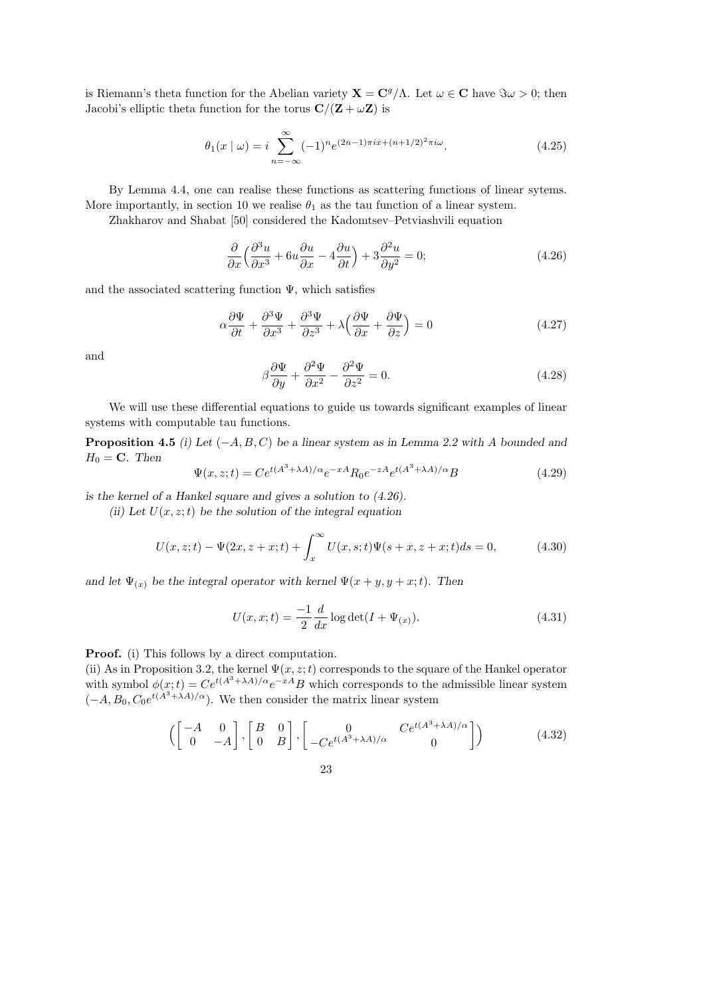is Riemann's theta function for the Abelian variety  $\mathbf{X} = \mathbf{C}^g/\Lambda$ . Let  $\omega \in \mathbf{C}$  have  $\Im \omega > 0$ ; then Jacobi's elliptic theta function for the torus  $\mathbf{C}/(\mathbf{Z} + \omega \mathbf{Z})$  is

$$
\theta_1(x \mid \omega) = i \sum_{n = -\infty}^{\infty} (-1)^n e^{(2n-1)\pi i x + (n+1/2)^2 \pi i \omega}.
$$
 (4.25)

By Lemma 4.4, one can realise these functions as scattering functions of linear sytems. More importantly, in section 10 we realise  $\theta_1$  as the tau function of a linear system.

Zhakharov and Shabat [50] considered the Kadomtsev–Petviashvili equation

$$
\frac{\partial}{\partial x} \left( \frac{\partial^3 u}{\partial x^3} + 6u \frac{\partial u}{\partial x} - 4 \frac{\partial u}{\partial t} \right) + 3 \frac{\partial^2 u}{\partial y^2} = 0; \tag{4.26}
$$

and the associated scattering function  $\Psi$ , which satisfies

$$
\alpha \frac{\partial \Psi}{\partial t} + \frac{\partial^3 \Psi}{\partial x^3} + \frac{\partial^3 \Psi}{\partial z^3} + \lambda \left( \frac{\partial \Psi}{\partial x} + \frac{\partial \Psi}{\partial z} \right) = 0 \tag{4.27}
$$

and

$$
\beta \frac{\partial \Psi}{\partial y} + \frac{\partial^2 \Psi}{\partial x^2} - \frac{\partial^2 \Psi}{\partial z^2} = 0.
$$
\n(4.28)

We will use these differential equations to guide us towards significant examples of linear systems with computable tau functions.

**Proposition 4.5** (i) Let  $(-A, B, C)$  be a linear system as in Lemma 2.2 with A bounded and  $H_0 = \mathbf{C}$ . Then

$$
\Psi(x,z;t) = Ce^{t(A^3 + \lambda A)/\alpha}e^{-xA}R_0e^{-zA}e^{t(A^3 + \lambda A)/\alpha}B\tag{4.29}
$$

is the kernel of a Hankel square and gives a solution to (4.26).

(ii) Let  $U(x, z; t)$  be the solution of the integral equation

$$
U(x, z; t) - \Psi(2x, z + x; t) + \int_x^{\infty} U(x, s; t) \Psi(s + x, z + x; t) ds = 0,
$$
 (4.30)

and let  $\Psi(x)$  be the integral operator with kernel  $\Psi(x+y, y+x; t)$ . Then

$$
U(x, x; t) = \frac{-1}{2} \frac{d}{dx} \log \det(I + \Psi_{(x)}).
$$
 (4.31)

Proof. (i) This follows by a direct computation.

(ii) As in Proposition 3.2, the kernel  $\Psi(x, z; t)$  corresponds to the square of the Hankel operator with symbol  $\phi(x;t) = Ce^{t(A^3 + \lambda A)/\alpha}e^{-xA}B$  which corresponds to the admissible linear system  $(-A, B_0, C_0 e^{t(A^3 + \lambda A)/\alpha})$ . We then consider the matrix linear system

$$
\left( \begin{bmatrix} -A & 0 \\ 0 & -A \end{bmatrix}, \begin{bmatrix} B & 0 \\ 0 & B \end{bmatrix}, \begin{bmatrix} 0 & C e^{t(A^3 + \lambda A)/\alpha} \\ -C e^{t(A^3 + \lambda A)/\alpha} & 0 \end{bmatrix} \right)
$$
(4.32)

23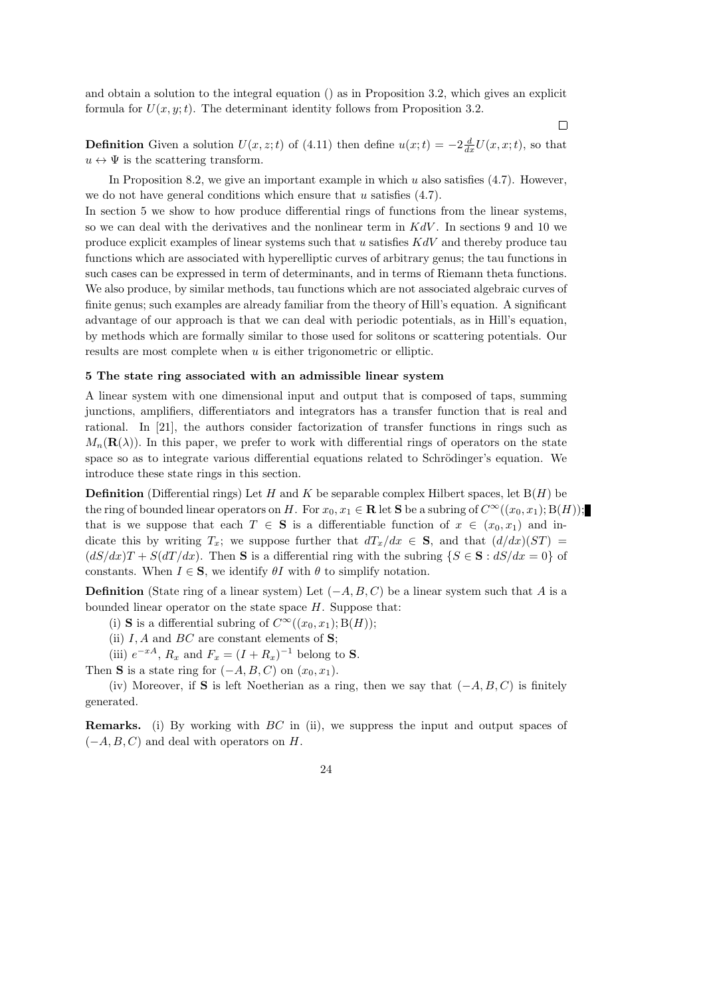and obtain a solution to the integral equation () as in Proposition 3.2, which gives an explicit formula for  $U(x, y; t)$ . The determinant identity follows from Proposition 3.2.

 $\Box$ 

**Definition** Given a solution  $U(x, z; t)$  of (4.11) then define  $u(x; t) = -2\frac{d}{dx}U(x, x; t)$ , so that  $u \leftrightarrow \Psi$  is the scattering transform.

In Proposition 8.2, we give an important example in which  $u$  also satisfies (4.7). However, we do not have general conditions which ensure that  $u$  satisfies  $(4.7)$ .

In section 5 we show to how produce differential rings of functions from the linear systems, so we can deal with the derivatives and the nonlinear term in  $KdV$ . In sections 9 and 10 we produce explicit examples of linear systems such that u satisfies KdV and thereby produce tau functions which are associated with hyperelliptic curves of arbitrary genus; the tau functions in such cases can be expressed in term of determinants, and in terms of Riemann theta functions. We also produce, by similar methods, tau functions which are not associated algebraic curves of finite genus; such examples are already familiar from the theory of Hill's equation. A significant advantage of our approach is that we can deal with periodic potentials, as in Hill's equation, by methods which are formally similar to those used for solitons or scattering potentials. Our results are most complete when u is either trigonometric or elliptic.

## 5 The state ring associated with an admissible linear system

A linear system with one dimensional input and output that is composed of taps, summing junctions, amplifiers, differentiators and integrators has a transfer function that is real and rational. In [21], the authors consider factorization of transfer functions in rings such as  $M_n(\mathbf{R}(\lambda))$ . In this paper, we prefer to work with differential rings of operators on the state space so as to integrate various differential equations related to Schrödinger's equation. We introduce these state rings in this section.

**Definition** (Differential rings) Let H and K be separable complex Hilbert spaces, let  $B(H)$  be the ring of bounded linear operators on H. For  $x_0, x_1 \in \mathbb{R}$  let S be a subring of  $C^{\infty}((x_0, x_1); B(H))$ ; that is we suppose that each  $T \in S$  is a differentiable function of  $x \in (x_0, x_1)$  and indicate this by writing  $T_x$ ; we suppose further that  $dT_x/dx \in S$ , and that  $(d/dx)(ST) =$  $(dS/dx)T + S(dT/dx)$ . Then S is a differential ring with the subring  $\{S \in S : dS/dx = 0\}$  of constants. When  $I \in \mathbf{S}$ , we identify  $\theta I$  with  $\theta$  to simplify notation.

**Definition** (State ring of a linear system) Let  $(-A, B, C)$  be a linear system such that A is a bounded linear operator on the state space  $H$ . Suppose that:

(i) **S** is a differential subring of  $C^{\infty}((x_0, x_1); B(H))$ ;

(ii)  $I, A$  and  $BC$  are constant elements of  $S$ ;

(iii)  $e^{-xA}$ ,  $R_x$  and  $F_x = (I + R_x)^{-1}$  belong to **S**.

Then S is a state ring for  $(-A, B, C)$  on  $(x_0, x_1)$ .

(iv) Moreover, if S is left Noetherian as a ring, then we say that  $(-A, B, C)$  is finitely generated.

Remarks. (i) By working with BC in (ii), we suppress the input and output spaces of  $(-A, B, C)$  and deal with operators on H.

24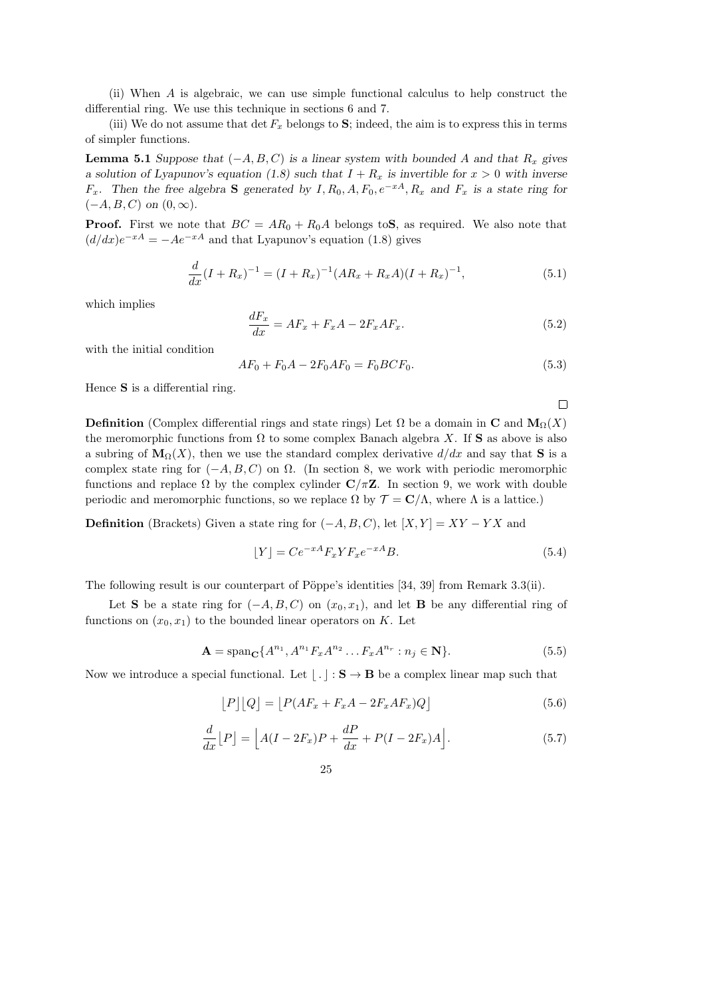(ii) When A is algebraic, we can use simple functional calculus to help construct the differential ring. We use this technique in sections 6 and 7.

(iii) We do not assume that det  $F_x$  belongs to S; indeed, the aim is to express this in terms of simpler functions.

**Lemma 5.1** Suppose that  $(-A, B, C)$  is a linear system with bounded A and that  $R_x$  gives a solution of Lyapunov's equation (1.8) such that  $I + R_x$  is invertible for  $x > 0$  with inverse  $F_x$ . Then the free algebra S generated by I,  $R_0$ ,  $A$ ,  $F_0$ ,  $e^{-xA}$ ,  $R_x$  and  $F_x$  is a state ring for  $(-A, B, C)$  on  $(0, \infty)$ .

**Proof.** First we note that  $BC = AR_0 + R_0A$  belongs to **S**, as required. We also note that  $(d/dx)e^{-xA} = -Ae^{-xA}$  and that Lyapunov's equation (1.8) gives

$$
\frac{d}{dx}(I + R_x)^{-1} = (I + R_x)^{-1}(AR_x + R_xA)(I + R_x)^{-1},
$$
\n(5.1)

which implies

$$
\frac{dF_x}{dx} = AF_x + F_xA - 2F_xAF_x.
$$
\n(5.2)

with the initial condition

$$
AF_0 + F_0A - 2F_0AF_0 = F_0BCF_0.
$$
\n(5.3)

 $\Box$ 

Hence S is a differential ring.

**Definition** (Complex differential rings and state rings) Let  $\Omega$  be a domain in C and  $M_{\Omega}(X)$ the meromorphic functions from  $\Omega$  to some complex Banach algebra X. If S as above is also a subring of  $\mathbf{M}_{\Omega}(X)$ , then we use the standard complex derivative  $d/dx$  and say that S is a complex state ring for  $(-A, B, C)$  on  $\Omega$ . (In section 8, we work with periodic meromorphic functions and replace  $\Omega$  by the complex cylinder  $\mathbf{C}/\pi\mathbf{Z}$ . In section 9, we work with double periodic and meromorphic functions, so we replace  $Ω$  by  $T = C/Λ$ , where Λ is a lattice.)

**Definition** (Brackets) Given a state ring for  $(-A, B, C)$ , let  $[X, Y] = XY - YX$  and

$$
[Y] = Ce^{-xA}F_x Y F_x e^{-xA} B.
$$
\n
$$
(5.4)
$$

The following result is our counterpart of Pöppe's identities  $[34, 39]$  from Remark 3.3(ii).

Let S be a state ring for  $(-A, B, C)$  on  $(x_0, x_1)$ , and let B be any differential ring of functions on  $(x_0, x_1)$  to the bounded linear operators on K. Let

$$
\mathbf{A} = \text{span}_{\mathbf{C}} \{ A^{n_1}, A^{n_1} F_x A^{n_2} \dots F_x A^{n_r} : n_j \in \mathbf{N} \}.
$$
 (5.5)

Now we introduce a special functional. Let  $\vert \cdot \vert : \mathbf{S} \to \mathbf{B}$  be a complex linear map such that

$$
[P][Q] = [P(AF_x + F_xA - 2F_xAF_x)Q]
$$
\n(5.6)

$$
\frac{d}{dx}\left[P\right] = \left[A(I - 2F_x)P + \frac{dP}{dx} + P(I - 2F_x)A\right].\tag{5.7}
$$

$$
25\,
$$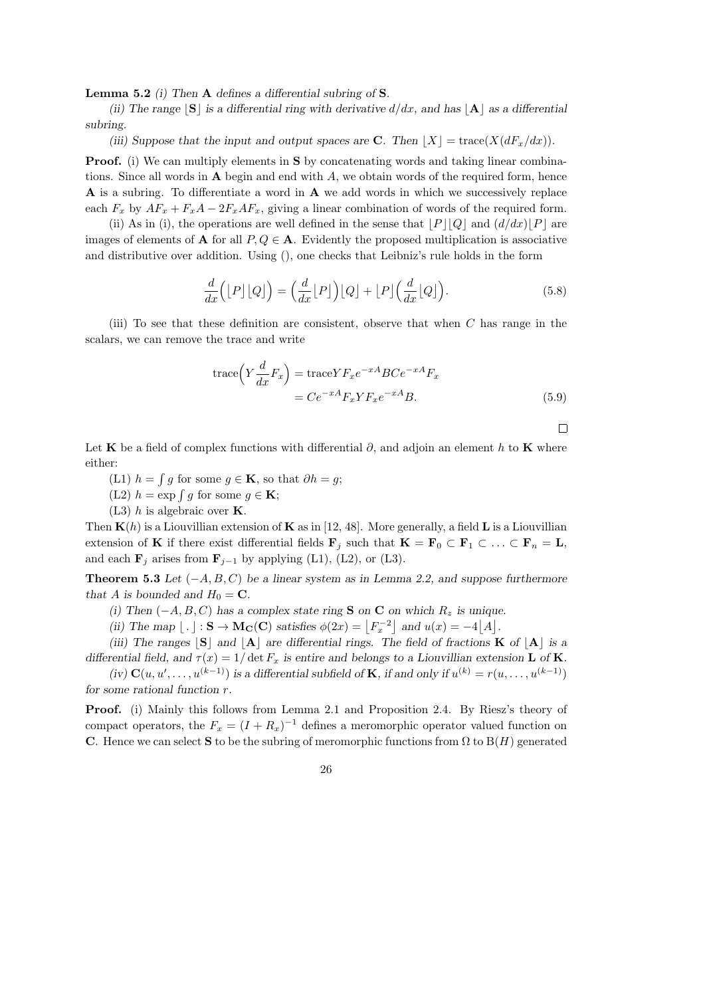Lemma 5.2 (i) Then A defines a differential subring of S.

(ii) The range  $|\mathbf{S}|$  is a differential ring with derivative  $d/dx$ , and has  $|\mathbf{A}|$  as a differential subring.

(iii) Suppose that the input and output spaces are **C**. Then  $|X| = \text{trace}(X(dF_x/dx)).$ 

Proof. (i) We can multiply elements in S by concatenating words and taking linear combinations. Since all words in  $A$  begin and end with  $A$ , we obtain words of the required form, hence A is a subring. To differentiate a word in A we add words in which we successively replace each  $F_x$  by  $AF_x + F_xA - 2F_xAF_x$ , giving a linear combination of words of the required form.

(ii) As in (i), the operations are well defined in the sense that  $\vert P \vert \vert Q \vert$  and  $\left(d/dx\right)\vert P \vert$  are images of elements of **A** for all  $P, Q \in \mathbf{A}$ . Evidently the proposed multiplication is associative and distributive over addition. Using (), one checks that Leibniz's rule holds in the form

$$
\frac{d}{dx}\left(\lfloor P\rfloor\lfloor Q\rfloor\right) = \left(\frac{d}{dx}\lfloor P\rfloor\right)\lfloor Q\rfloor + \lfloor P\rfloor\left(\frac{d}{dx}\lfloor Q\rfloor\right). \tag{5.8}
$$

(iii) To see that these definition are consistent, observe that when  $C$  has range in the scalars, we can remove the trace and write

$$
\begin{aligned} \text{trace}\Big(Y\frac{d}{dx}F_x\Big) &= \text{trace}YF_xe^{-xA}BCe^{-xA}F_x\\ &= Ce^{-xA}F_xYF_xe^{-xA}B. \end{aligned} \tag{5.9}
$$

 $\Box$ 

Let K be a field of complex functions with differential  $\partial$ , and adjoin an element h to K where either:

- (L1)  $h = \int g$  for some  $g \in \mathbf{K}$ , so that  $\partial h = g$ ;
- (L2)  $h = \exp \int g$  for some  $g \in \mathbf{K}$ ;
- (L3) h is algebraic over  $\mathbf{K}$ .

Then  $\mathbf{K}(h)$  is a Liouvillian extension of **K** as in [12, 48]. More generally, a field **L** is a Liouvillian extension of K if there exist differential fields  $\mathbf{F}_j$  such that  $\mathbf{K} = \mathbf{F}_0 \subset \mathbf{F}_1 \subset \ldots \subset \mathbf{F}_n = \mathbf{L}$ , and each  $\mathbf{F}_j$  arises from  $\mathbf{F}_{j-1}$  by applying (L1), (L2), or (L3).

**Theorem 5.3** Let  $(-A, B, C)$  be a linear system as in Lemma 2.2, and suppose furthermore that A is bounded and  $H_0 = \mathbf{C}$ .

(i) Then  $(-A, B, C)$  has a complex state ring S on C on which  $R_z$  is unique.

(ii) The map  $\lfloor \cdot \rfloor : \mathbf{S} \to \mathbf{M_C}(\mathbf{C})$  satisfies  $\phi(2x) = \lfloor F_x^{-2} \rfloor$  and  $u(x) = -4 \lfloor A \rfloor$ .

(iii) The ranges  $\mathbf{S}$  and  $\mathbf{A}$  are differential rings. The field of fractions **K** of  $\mathbf{A}$  is a differential field, and  $\tau(x) = 1/\det F_x$  is entire and belongs to a Liouvillian extension **L** of **K**. (iv)  $\mathbf{C}(u, u', \dots, u^{(k-1)})$  is a differential subfield of **K**, if and only if  $u^{(k)} = r(u, \dots, u^{(k-1)})$ 

for some rational function r.

Proof. (i) Mainly this follows from Lemma 2.1 and Proposition 2.4. By Riesz's theory of compact operators, the  $F_x = (I + R_x)^{-1}$  defines a meromorphic operator valued function on C. Hence we can select S to be the subring of meromorphic functions from  $\Omega$  to  $B(H)$  generated

26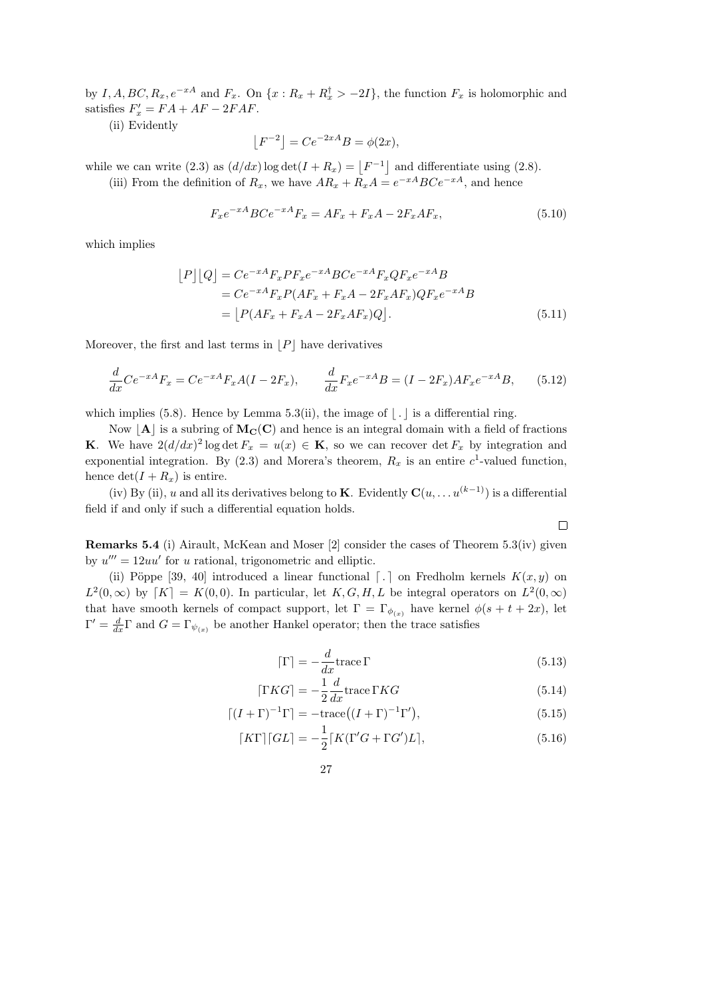by I, A, BC,  $R_x$ ,  $e^{-xA}$  and  $F_x$ . On  $\{x: R_x + R_x^{\dagger} > -2I\}$ , the function  $F_x$  is holomorphic and satisfies  $F'_x = FA + AF - 2FAF$ .

(ii) Evidently

$$
\left\lfloor F^{-2} \right\rfloor = Ce^{-2xA}B = \phi(2x),
$$

while we can write (2.3) as  $(d/dx) \log \det(I + R_x) = \lfloor F^{-1} \rfloor$  and differentiate using (2.8). (iii) From the definition of  $R_x$ , we have  $AR_x + R_xA = e^{-xA}BCe^{-xA}$ , and hence

$$
F_x e^{-xA} B C e^{-xA} F_x = AF_x + F_x A - 2F_x AF_x,
$$
\n(5.10)

which implies

$$
[P][Q] = Ce^{-xA}F_xPF_xe^{-xA}BCe^{-xA}F_xQF_xe^{-xA}B
$$

$$
= Ce^{-xA}F_xP(AF_x + F_xA - 2F_xAF_x)QF_xe^{-xA}B
$$

$$
= [P(AF_x + F_xA - 2F_xAF_x)Q]. \tag{5.11}
$$

Moreover, the first and last terms in  $|P|$  have derivatives

$$
\frac{d}{dx}Ce^{-xA}F_x = Ce^{-xA}F_xA(I - 2F_x), \qquad \frac{d}{dx}F_xe^{-xA}B = (I - 2F_x)AF_xe^{-xA}B, \qquad (5.12)
$$

which implies (5.8). Hence by Lemma 5.3(ii), the image of  $| \cdot |$  is a differential ring.

Now  $|\mathbf{A}|$  is a subring of  $\mathbf{M_C}(C)$  and hence is an integral domain with a field of fractions **K**. We have  $2(d/dx)^2 \log \det F_x = u(x) \in \mathbf{K}$ , so we can recover  $\det F_x$  by integration and exponential integration. By (2.3) and Morera's theorem,  $R_x$  is an entire  $c^1$ -valued function, hence  $\det(I + R_x)$  is entire.

(iv) By (ii), u and all its derivatives belong to K. Evidently  $\mathbf{C}(u, \dots u^{(k-1)})$  is a differential field if and only if such a differential equation holds.

 $\Box$ 

Remarks 5.4 (i) Airault, McKean and Moser [2] consider the cases of Theorem 5.3(iv) given by  $u''' = 12uu'$  for u rational, trigonometric and elliptic.

(ii) Pöppe [39, 40] introduced a linear functional [.] on Fredholm kernels  $K(x, y)$  on  $L^2(0,\infty)$  by  $[K] = K(0,0)$ . In particular, let K, G, H, L be integral operators on  $L^2(0,\infty)$ that have smooth kernels of compact support, let  $\Gamma = \Gamma_{\phi_{(x)}}$  have kernel  $\phi(s+t+2x)$ , let  $\Gamma' = \frac{d}{dx}\Gamma$  and  $G = \Gamma_{\psi_{(x)}}$  be another Hankel operator; then the trace satisfies

$$
\lceil \Gamma \rceil = -\frac{d}{dx} \operatorname{trace} \Gamma \tag{5.13}
$$

$$
\lceil \Gamma KG \rceil = -\frac{1}{2} \frac{d}{dx} \operatorname{trace} \Gamma KG \tag{5.14}
$$

$$
\lceil (I + \Gamma)^{-1} \Gamma \rceil = -\text{trace}\big( (I + \Gamma)^{-1} \Gamma' \big),\tag{5.15}
$$

$$
\lceil K\Gamma \rceil \lceil GL \rceil = -\frac{1}{2} \lceil K(\Gamma'G + \Gamma G')L \rceil, \tag{5.16}
$$

27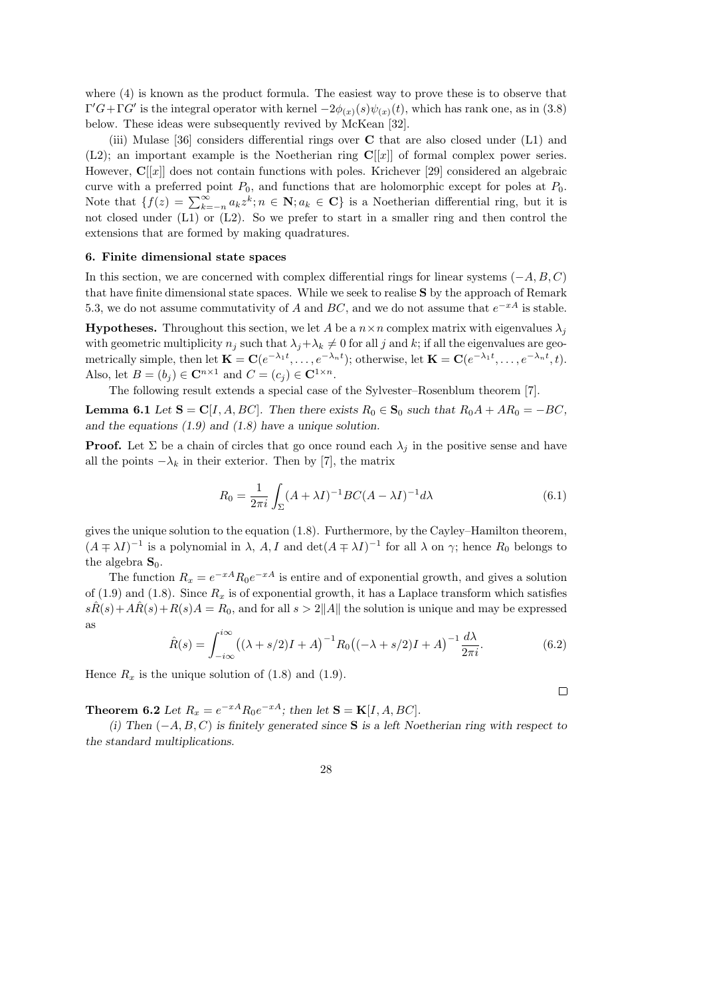where (4) is known as the product formula. The easiest way to prove these is to observe that  $\Gamma' G + \Gamma G'$  is the integral operator with kernel  $-2\phi_{(x)}(s)\psi_{(x)}(t)$ , which has rank one, as in (3.8) below. These ideas were subsequently revived by McKean [32].

(iii) Mulase [36] considers differential rings over C that are also closed under (L1) and  $(L2)$ ; an important example is the Noetherian ring  $\mathbb{C}[[x]]$  of formal complex power series. However,  $\mathbf{C}[[x]]$  does not contain functions with poles. Krichever [29] considered an algebraic curve with a preferred point  $P_0$ , and functions that are holomorphic except for poles at  $P_0$ . Note that  $\{f(z) = \sum_{k=-n}^{\infty} a_k z^k; n \in \mathbb{N}; a_k \in \mathbb{C}\}\$ is a Noetherian differential ring, but it is not closed under (L1) or (L2). So we prefer to start in a smaller ring and then control the extensions that are formed by making quadratures.

#### 6. Finite dimensional state spaces

In this section, we are concerned with complex differential rings for linear systems  $(-A, B, C)$ that have finite dimensional state spaces. While we seek to realise S by the approach of Remark 5.3, we do not assume commutativity of A and BC, and we do not assume that  $e^{-xA}$  is stable.

**Hypotheses.** Throughout this section, we let A be a  $n \times n$  complex matrix with eigenvalues  $\lambda_i$ with geometric multiplicity  $n_j$  such that  $\lambda_j + \lambda_k \neq 0$  for all j and k; if all the eigenvalues are geometrically simple, then let  $\mathbf{K} = \mathbf{C}(e^{-\lambda_1 t}, \dots, e^{-\lambda_n t})$ ; otherwise, let  $\mathbf{K} = \mathbf{C}(e^{-\lambda_1 t}, \dots, e^{-\lambda_n t}, t)$ . Also, let  $B = (b_j) \in \mathbb{C}^{n \times 1}$  and  $C = (c_j) \in \mathbb{C}^{1 \times n}$ .

The following result extends a special case of the Sylvester–Rosenblum theorem [7].

**Lemma 6.1** Let  $S = C[I, A, BC]$ . Then there exists  $R_0 \in S_0$  such that  $R_0A + AR_0 = -BC$ , and the equations (1.9) and (1.8) have a unique solution.

**Proof.** Let  $\Sigma$  be a chain of circles that go once round each  $\lambda_j$  in the positive sense and have all the points  $-\lambda_k$  in their exterior. Then by [7], the matrix

$$
R_0 = \frac{1}{2\pi i} \int_{\Sigma} (A + \lambda I)^{-1} BC(A - \lambda I)^{-1} d\lambda \tag{6.1}
$$

gives the unique solution to the equation (1.8). Furthermore, by the Cayley–Hamilton theorem,  $(A \mp \lambda I)^{-1}$  is a polynomial in  $\lambda$ , A, I and  $\det(A \mp \lambda I)^{-1}$  for all  $\lambda$  on  $\gamma$ ; hence  $R_0$  belongs to the algebra  $S_0$ .

The function  $R_x = e^{-xA} R_0 e^{-xA}$  is entire and of exponential growth, and gives a solution of (1.9) and (1.8). Since  $R_x$  is of exponential growth, it has a Laplace transform which satisfies  $sR(s) + AR(s) + R(s)A = R_0$ , and for all  $s > 2||A||$  the solution is unique and may be expressed as

$$
\hat{R}(s) = \int_{-i\infty}^{i\infty} ((\lambda + s/2)I + A)^{-1} R_0 ((-\lambda + s/2)I + A)^{-1} \frac{d\lambda}{2\pi i}.
$$
 (6.2)

Hence  $R_x$  is the unique solution of (1.8) and (1.9).

 $\Box$ 

**Theorem 6.2** Let  $R_x = e^{-xA}R_0e^{-xA}$ ; then let  $\mathbf{S} = \mathbf{K}[I, A, BC]$ .

(i) Then  $(-A, B, C)$  is finitely generated since S is a left Noetherian ring with respect to the standard multiplications.

28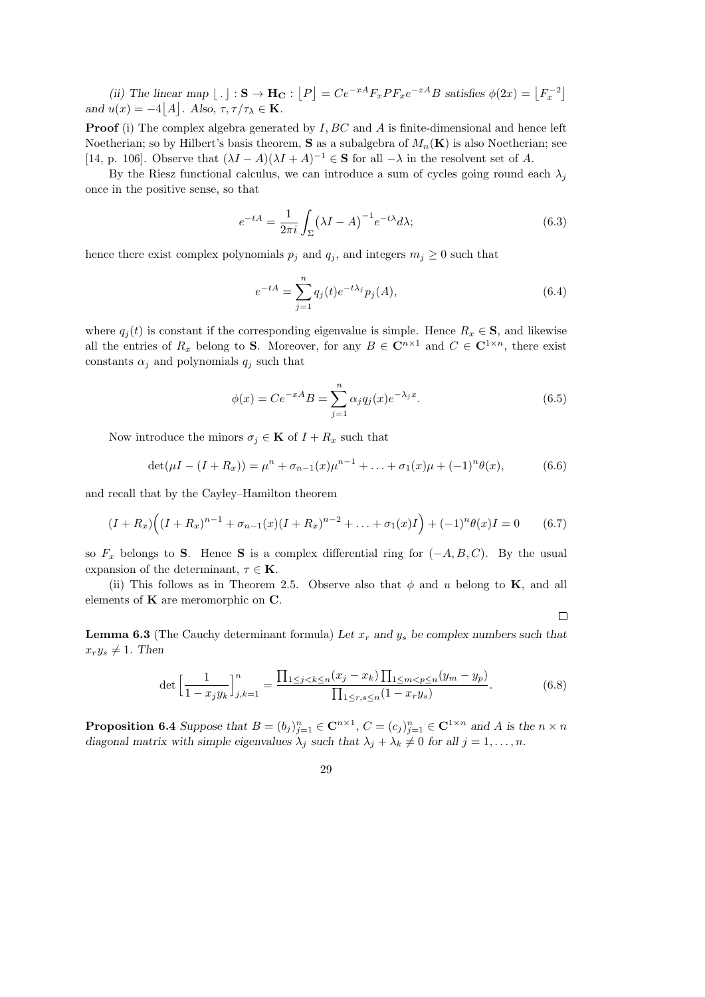(ii) The linear map  $\lfloor . \rfloor : \mathbf{S} \to \mathbf{H_C} : [P] = Ce^{-xA} F_x P F_x e^{-xA} B$  satisfies  $\phi(2x) = \lfloor F_x^{-2} \rfloor$ and  $u(x) = -4[A]$ . Also,  $\tau, \tau/\tau_\lambda \in \mathbf{K}$ .

**Proof** (i) The complex algebra generated by  $I, BC$  and  $A$  is finite-dimensional and hence left Noetherian; so by Hilbert's basis theorem, **S** as a subalgebra of  $M_n(\mathbf{K})$  is also Noetherian; see [14, p. 106]. Observe that  $(\lambda I - A)(\lambda I + A)^{-1} \in \mathbf{S}$  for all  $-\lambda$  in the resolvent set of A.

By the Riesz functional calculus, we can introduce a sum of cycles going round each  $\lambda_j$ once in the positive sense, so that

$$
e^{-tA} = \frac{1}{2\pi i} \int_{\Sigma} (\lambda I - A)^{-1} e^{-t\lambda} d\lambda; \tag{6.3}
$$

hence there exist complex polynomials  $p_j$  and  $q_j$ , and integers  $m_j \geq 0$  such that

$$
e^{-tA} = \sum_{j=1}^{n} q_j(t)e^{-t\lambda_j}p_j(A),
$$
\n(6.4)

where  $q_i(t)$  is constant if the corresponding eigenvalue is simple. Hence  $R_x \in \mathbf{S}$ , and likewise all the entries of  $R_x$  belong to S. Moreover, for any  $B \in \mathbb{C}^{n \times 1}$  and  $C \in \mathbb{C}^{1 \times n}$ , there exist constants  $\alpha_j$  and polynomials  $q_j$  such that

$$
\phi(x) = Ce^{-xA}B = \sum_{j=1}^{n} \alpha_j q_j(x) e^{-\lambda_j x}.
$$
\n(6.5)

 $\Box$ 

Now introduce the minors  $\sigma_j \in \mathbf{K}$  of  $I + R_x$  such that

$$
\det(\mu I - (I + R_x)) = \mu^n + \sigma_{n-1}(x)\mu^{n-1} + \ldots + \sigma_1(x)\mu + (-1)^n \theta(x), \tag{6.6}
$$

and recall that by the Cayley–Hamilton theorem

$$
(I + R_x)\Big((I + R_x)^{n-1} + \sigma_{n-1}(x)(I + R_x)^{n-2} + \ldots + \sigma_1(x)I\Big) + (-1)^n \theta(x)I = 0 \qquad (6.7)
$$

so  $F_x$  belongs to S. Hence S is a complex differential ring for  $(-A, B, C)$ . By the usual expansion of the determinant,  $\tau \in \mathbf{K}$ .

(ii) This follows as in Theorem 2.5. Observe also that  $\phi$  and u belong to **K**, and all elements of  $K$  are meromorphic on  $C$ .

**Lemma 6.3** (The Cauchy determinant formula) Let  $x_r$  and  $y_s$  be complex numbers such that  $x_ry_s \neq 1$ . Then

$$
\det \left[ \frac{1}{1 - x_j y_k} \right]_{j,k=1}^n = \frac{\prod_{1 \le j < k \le n} (x_j - x_k) \prod_{1 \le m < p \le n} (y_m - y_p)}{\prod_{1 \le r, s \le n} (1 - x_r y_s)}.
$$
\n(6.8)

**Proposition 6.4** Suppose that  $B = (b_j)_{j=1}^n \in \mathbb{C}^{n \times 1}$ ,  $C = (c_j)_{j=1}^n \in \mathbb{C}^{1 \times n}$  and A is the  $n \times n$ diagonal matrix with simple eigenvalues  $\lambda_j$  such that  $\lambda_j + \lambda_k \neq 0$  for all  $j = 1, ..., n$ .

29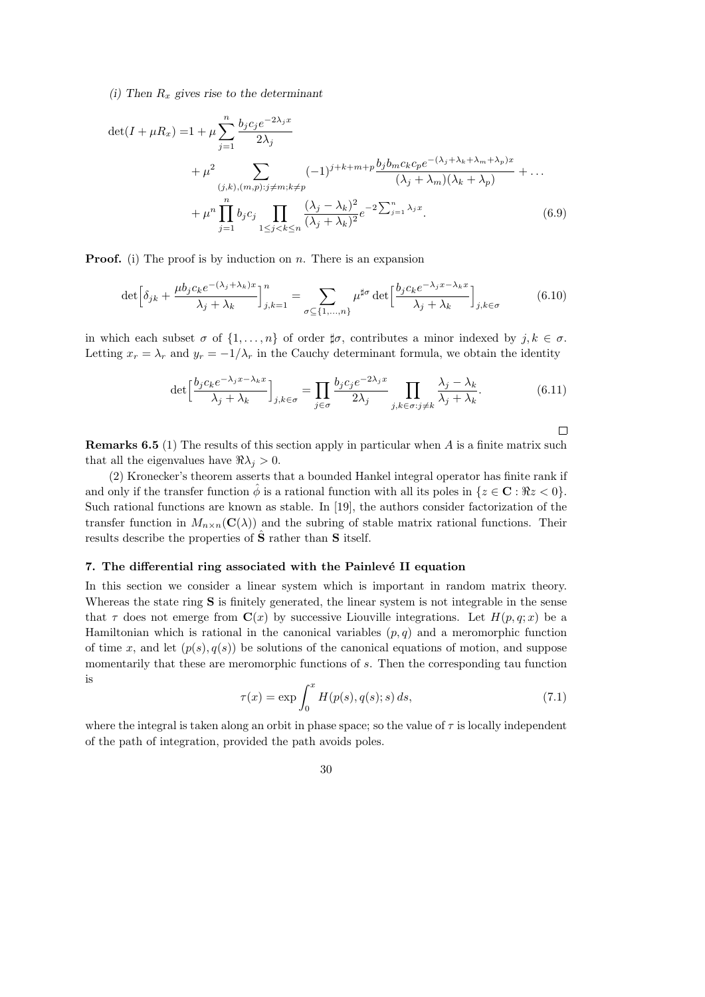(i) Then  $R_x$  gives rise to the determinant

$$
\det(I + \mu R_x) = 1 + \mu \sum_{j=1}^{n} \frac{b_j c_j e^{-2\lambda_j x}}{2\lambda_j} + \mu^2 \sum_{(j,k),(m,p):j\neq m; k\neq p} (-1)^{j+k+m+p} \frac{b_j b_m c_k c_p e^{-(\lambda_j + \lambda_k + \lambda_m + \lambda_p)x}}{(\lambda_j + \lambda_m)(\lambda_k + \lambda_p)} + \dots + \mu^n \prod_{j=1}^{n} b_j c_j \prod_{1 \le j < k \le n} \frac{(\lambda_j - \lambda_k)^2}{(\lambda_j + \lambda_k)^2} e^{-2 \sum_{j=1}^{n} \lambda_j x}.
$$
 (6.9)

**Proof.** (i) The proof is by induction on n. There is an expansion

$$
\det \left[ \delta_{jk} + \frac{\mu b_j c_k e^{-(\lambda_j + \lambda_k)x}}{\lambda_j + \lambda_k} \right]_{j,k=1}^n = \sum_{\sigma \subseteq \{1, \dots, n\}} \mu^{\sharp \sigma} \det \left[ \frac{b_j c_k e^{-\lambda_j x - \lambda_k x}}{\lambda_j + \lambda_k} \right]_{j,k \in \sigma}
$$
(6.10)

in which each subset  $\sigma$  of  $\{1,\ldots,n\}$  of order  $\sharp \sigma$ , contributes a minor indexed by  $j, k \in \sigma$ . Letting  $x_r = \lambda_r$  and  $y_r = -1/\lambda_r$  in the Cauchy determinant formula, we obtain the identity

$$
\det \left[ \frac{b_j c_k e^{-\lambda_j x - \lambda_k x}}{\lambda_j + \lambda_k} \right]_{j,k \in \sigma} = \prod_{j \in \sigma} \frac{b_j c_j e^{-2\lambda_j x}}{2\lambda_j} \prod_{j,k \in \sigma : j \neq k} \frac{\lambda_j - \lambda_k}{\lambda_j + \lambda_k}.
$$
\n(6.11)

 $\Box$ 

**Remarks 6.5** (1) The results of this section apply in particular when  $A$  is a finite matrix such that all the eigenvalues have  $\Re \lambda_i > 0$ .

(2) Kronecker's theorem asserts that a bounded Hankel integral operator has finite rank if and only if the transfer function  $\phi$  is a rational function with all its poles in  $\{z \in \mathbb{C} : \Re z < 0\}$ . Such rational functions are known as stable. In [19], the authors consider factorization of the transfer function in  $M_{n\times n}(\mathbf{C}(\lambda))$  and the subring of stable matrix rational functions. Their results describe the properties of  $\hat{S}$  rather than  $S$  itself.

### 7. The differential ring associated with the Painlevé II equation

In this section we consider a linear system which is important in random matrix theory. Whereas the state ring S is finitely generated, the linear system is not integrable in the sense that  $\tau$  does not emerge from  $\mathbf{C}(x)$  by successive Liouville integrations. Let  $H(p,q;x)$  be a Hamiltonian which is rational in the canonical variables  $(p, q)$  and a meromorphic function of time x, and let  $(p(s), q(s))$  be solutions of the canonical equations of motion, and suppose momentarily that these are meromorphic functions of s. Then the corresponding tau function is

$$
\tau(x) = \exp \int_0^x H(p(s), q(s); s) \, ds,\tag{7.1}
$$

where the integral is taken along an orbit in phase space; so the value of  $\tau$  is locally independent of the path of integration, provided the path avoids poles.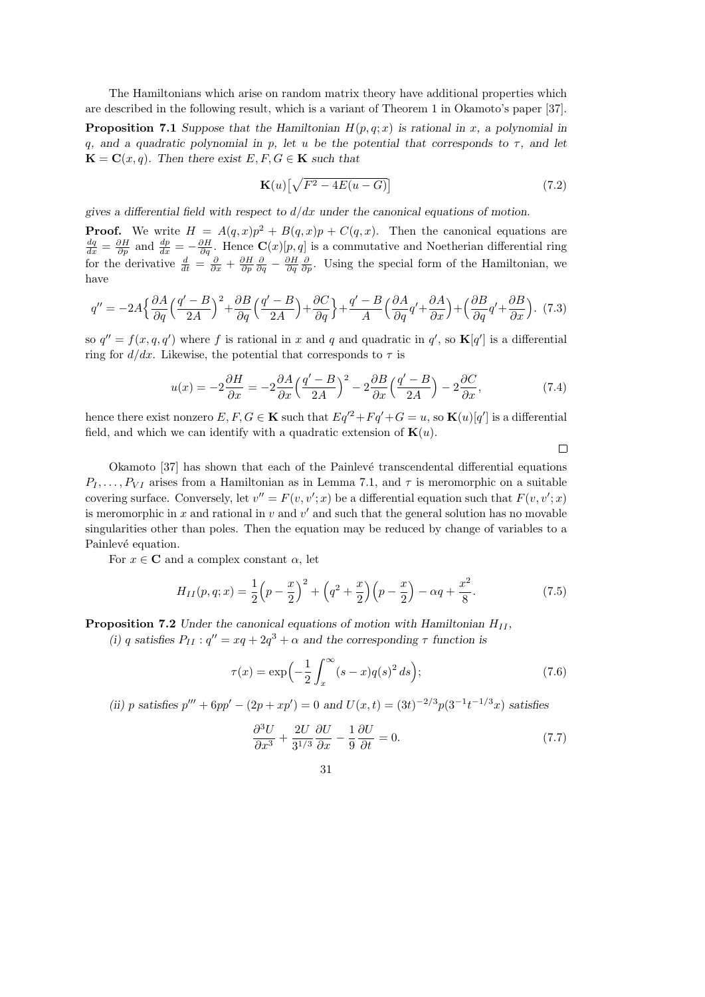The Hamiltonians which arise on random matrix theory have additional properties which are described in the following result, which is a variant of Theorem 1 in Okamoto's paper [37].

**Proposition 7.1** Suppose that the Hamiltonian  $H(p,q;x)$  is rational in x, a polynomial in q, and a quadratic polynomial in p, let u be the potential that corresponds to  $\tau$ , and let  $\mathbf{K} = \mathbf{C}(x, q)$ . Then there exist  $E, F, G \in \mathbf{K}$  such that

$$
\mathbf{K}(u)\left[\sqrt{F^2 - 4E(u - G)}\right] \tag{7.2}
$$

gives a differential field with respect to  $d/dx$  under the canonical equations of motion.

**Proof.** We write  $H = A(q, x)p^2 + B(q, x)p + C(q, x)$ . Then the canonical equations are  $\frac{dq}{dx} = \frac{\partial H}{\partial p}$  and  $\frac{dp}{dx} = -\frac{\partial H}{\partial q}$ . Hence  $\mathbf{C}(x)[p, q]$  is a commutative and Noetherian differential ring for the derivative  $\frac{d}{dt} = \frac{\partial}{\partial x} + \frac{\partial H}{\partial p}$ ∂p  $\frac{\partial}{\partial q}-\frac{\partial H}{\partial q}$ ∂q  $\frac{\partial}{\partial p}$ . Using the special form of the Hamiltonian, we have

$$
q'' = -2A\left\{\frac{\partial A}{\partial q}\left(\frac{q'-B}{2A}\right)^2 + \frac{\partial B}{\partial q}\left(\frac{q'-B}{2A}\right) + \frac{\partial C}{\partial q}\right\} + \frac{q'-B}{A}\left(\frac{\partial A}{\partial q}q' + \frac{\partial A}{\partial x}\right) + \left(\frac{\partial B}{\partial q}q' + \frac{\partial B}{\partial x}\right). (7.3)
$$

so  $q'' = f(x, q, q')$  where f is rational in x and q and quadratic in  $q'$ , so  $\mathbf{K}[q']$  is a differential ring for  $d/dx$ . Likewise, the potential that corresponds to  $\tau$  is

$$
u(x) = -2\frac{\partial H}{\partial x} = -2\frac{\partial A}{\partial x} \left(\frac{q'-B}{2A}\right)^2 - 2\frac{\partial B}{\partial x} \left(\frac{q'-B}{2A}\right) - 2\frac{\partial C}{\partial x},\tag{7.4}
$$

hence there exist nonzero  $E, F, G \in \mathbf{K}$  such that  $Eq'^2 + Fq' + G = u$ , so  $\mathbf{K}(u)[q']$  is a differential field, and which we can identify with a quadratic extension of  $\mathbf{K}(u)$ .

 $\Box$ 

Okamoto [37] has shown that each of the Painlevé transcendental differential equations  $P_1, \ldots, P_{VI}$  arises from a Hamiltonian as in Lemma 7.1, and  $\tau$  is meromorphic on a suitable covering surface. Conversely, let  $v'' = F(v, v'; x)$  be a differential equation such that  $F(v, v'; x)$ is meromorphic in x and rational in  $v$  and  $v'$  and such that the general solution has no movable singularities other than poles. Then the equation may be reduced by change of variables to a Painlevé equation.

For  $x \in \mathbf{C}$  and a complex constant  $\alpha$ , let

$$
H_{II}(p,q;x) = \frac{1}{2}\left(p - \frac{x}{2}\right)^2 + \left(q^2 + \frac{x}{2}\right)\left(p - \frac{x}{2}\right) - \alpha q + \frac{x^2}{8}.\tag{7.5}
$$

**Proposition 7.2** Under the canonical equations of motion with Hamiltonian  $H_{II}$ ,

(i) q satisfies  $P_{II}$ :  $q'' = xq + 2q^3 + \alpha$  and the corresponding  $\tau$  function is

$$
\tau(x) = \exp\left(-\frac{1}{2} \int_x^{\infty} (s-x)q(s)^2 ds\right);
$$
\n(7.6)

(ii) p satisfies  $p''' + 6pp' - (2p + xp') = 0$  and  $U(x,t) = (3t)^{-2/3}p(3^{-1}t^{-1/3}x)$  satisfies

$$
\frac{\partial^3 U}{\partial x^3} + \frac{2U}{3^{1/3}} \frac{\partial U}{\partial x} - \frac{1}{9} \frac{\partial U}{\partial t} = 0.
$$
 (7.7)

$$
31\quad
$$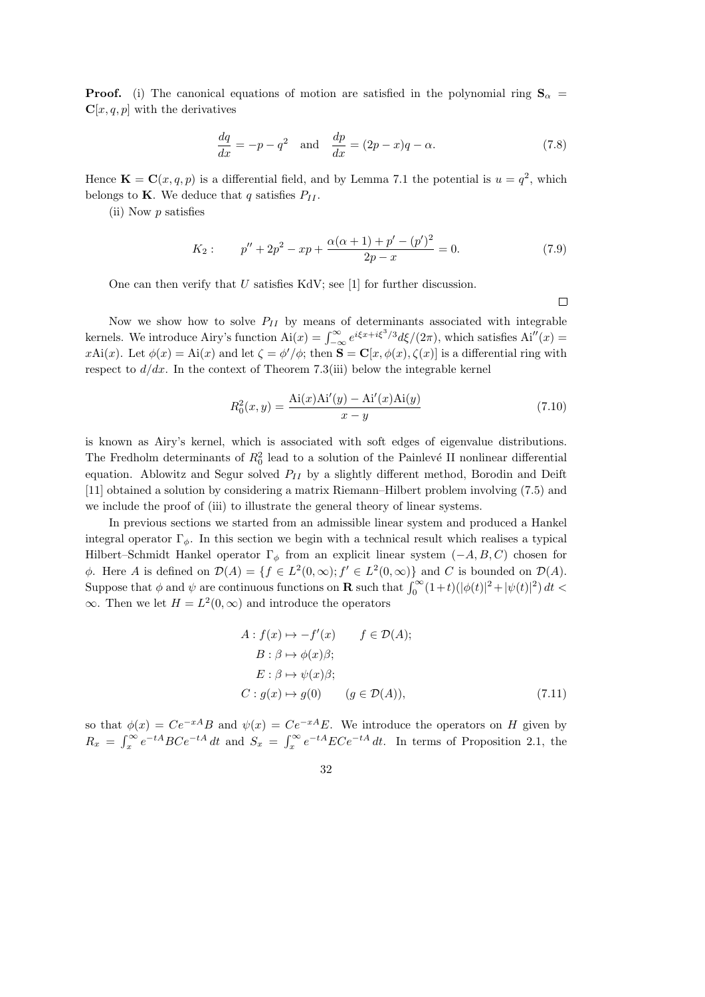**Proof.** (i) The canonical equations of motion are satisfied in the polynomial ring  $S_\alpha$  =  $\mathbf{C}[x, q, p]$  with the derivatives

$$
\frac{dq}{dx} = -p - q^2 \quad \text{and} \quad \frac{dp}{dx} = (2p - x)q - \alpha. \tag{7.8}
$$

Hence  $\mathbf{K} = \mathbf{C}(x, q, p)$  is a differential field, and by Lemma 7.1 the potential is  $u = q^2$ , which belongs to **K**. We deduce that q satisfies  $P_{II}$ .

(ii) Now p satisfies

$$
K_2: \qquad p'' + 2p^2 - xp + \frac{\alpha(\alpha + 1) + p' - (p')^2}{2p - x} = 0. \tag{7.9}
$$

One can then verify that  $U$  satisfies KdV; see [1] for further discussion.

 $\Box$ 

Now we show how to solve  $P_{II}$  by means of determinants associated with integrable kernels. We introduce Airy's function  $\text{Ai}(x) = \int_{-\infty}^{\infty} e^{i\xi x + i\xi^3/3} d\xi/(2\pi)$ , which satisfies  $\text{Ai}''(x) =$ xAi(x). Let  $\phi(x) = Ai(x)$  and let  $\zeta = \phi'/\phi$ ; then  $S = C[x, \phi(x), \zeta(x)]$  is a differential ring with respect to  $d/dx$ . In the context of Theorem 7.3(iii) below the integrable kernel

$$
R_0^2(x, y) = \frac{\text{Ai}(x)\text{Ai}'(y) - \text{Ai}'(x)\text{Ai}(y)}{x - y}
$$
\n(7.10)

is known as Airy's kernel, which is associated with soft edges of eigenvalue distributions. The Fredholm determinants of  $R_0^2$  lead to a solution of the Painlevé II nonlinear differential equation. Ablowitz and Segur solved  $P_{II}$  by a slightly different method, Borodin and Deift [11] obtained a solution by considering a matrix Riemann–Hilbert problem involving (7.5) and we include the proof of (iii) to illustrate the general theory of linear systems.

In previous sections we started from an admissible linear system and produced a Hankel integral operator  $\Gamma_{\phi}$ . In this section we begin with a technical result which realises a typical Hilbert–Schmidt Hankel operator  $\Gamma_{\phi}$  from an explicit linear system  $(-A, B, C)$  chosen for  $\phi$ . Here A is defined on  $\mathcal{D}(A) = \{f \in L^2(0,\infty); f' \in L^2(0,\infty)\}\$ and C is bounded on  $\mathcal{D}(A)$ . Suppose that  $\phi$  and  $\psi$  are continuous functions on **R** such that  $\int_0^\infty (1+t)(|\phi(t)|^2 + |\psi(t)|^2) dt$  $\infty$ . Then we let  $H = L^2(0, \infty)$  and introduce the operators

$$
A: f(x) \mapsto -f'(x) \qquad f \in \mathcal{D}(A);
$$
  
\n
$$
B: \beta \mapsto \phi(x)\beta;
$$
  
\n
$$
E: \beta \mapsto \psi(x)\beta;
$$
  
\n
$$
C: g(x) \mapsto g(0) \qquad (g \in \mathcal{D}(A)),
$$
  
\n(7.11)

so that  $\phi(x) = Ce^{-xA}B$  and  $\psi(x) = Ce^{-xA}E$ . We introduce the operators on H given by  $R_x = \int_x^{\infty} e^{-tA} BC e^{-tA} dt$  and  $S_x = \int_x^{\infty} e^{-tA} EC e^{-tA} dt$ . In terms of Proposition 2.1, the

$$
^{32}
$$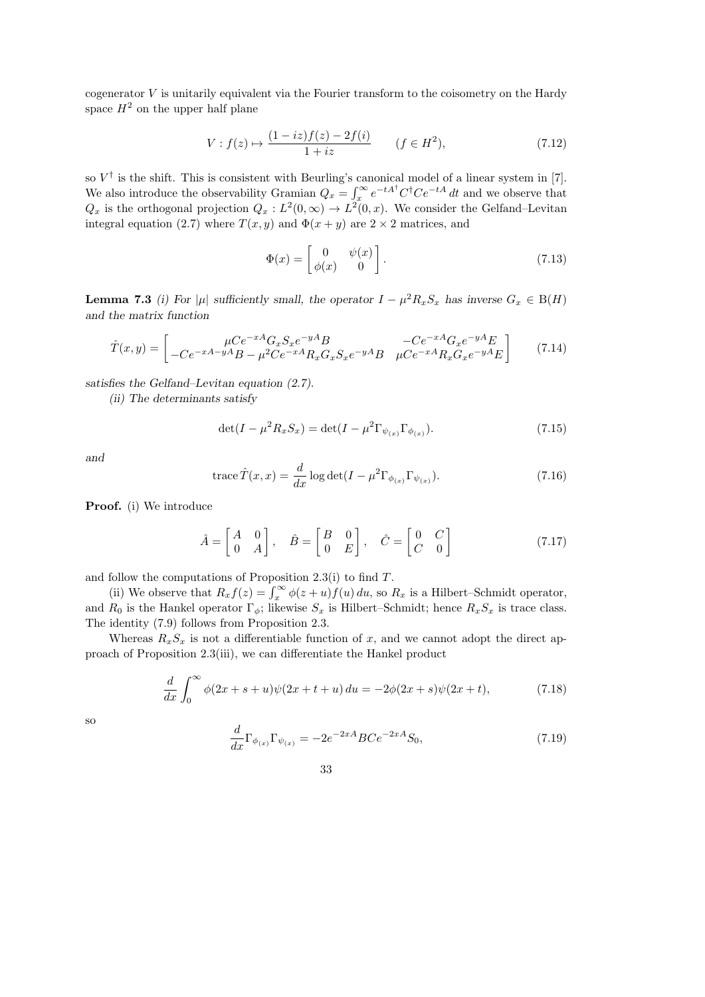cogenerator  $V$  is unitarily equivalent via the Fourier transform to the coisometry on the Hardy space  $H^2$  on the upper half plane

$$
V: f(z) \mapsto \frac{(1 - iz)f(z) - 2f(i)}{1 + iz} \qquad (f \in H^2), \tag{7.12}
$$

so  $V^{\dagger}$  is the shift. This is consistent with Beurling's canonical model of a linear system in [7]. We also introduce the observability Gramian  $Q_x = \int_x^{\infty} e^{-tA^{\dagger}} C^{\dagger} C e^{-tA} dt$  and we observe that  $Q_x$  is the orthogonal projection  $Q_x: L^2(0, \infty) \to L^2(0, x)$ . We consider the Gelfand–Levitan integral equation (2.7) where  $T(x, y)$  and  $\Phi(x + y)$  are  $2 \times 2$  matrices, and

$$
\Phi(x) = \begin{bmatrix} 0 & \psi(x) \\ \phi(x) & 0 \end{bmatrix}.
$$
\n(7.13)

**Lemma 7.3** (i) For  $|\mu|$  sufficiently small, the operator  $I - \mu^2 R_x S_x$  has inverse  $G_x \in B(H)$ and the matrix function

$$
\hat{T}(x,y) = \begin{bmatrix}\n\mu Ce^{-xA} G_x S_x e^{-yA} B & -Ce^{-xA} G_x e^{-yA} E \\
-Ce^{-xA-yA} B - \mu^2 Ce^{-xA} R_x G_x S_x e^{-yA} B & \mu Ce^{-xA} R_x G_x e^{-yA} E\n\end{bmatrix} (7.14)
$$

satisfies the Gelfand–Levitan equation (2.7).

(ii) The determinants satisfy

$$
\det(I - \mu^2 R_x S_x) = \det(I - \mu^2 \Gamma_{\psi_{(x)}} \Gamma_{\phi_{(x)}}).
$$
\n(7.15)

and

trace 
$$
\hat{T}(x, x) = \frac{d}{dx} \log \det(I - \mu^2 \Gamma_{\phi_{(x)}} \Gamma_{\psi_{(x)}}).
$$
 (7.16)

Proof. (i) We introduce

$$
\hat{A} = \begin{bmatrix} A & 0 \\ 0 & A \end{bmatrix}, \quad \hat{B} = \begin{bmatrix} B & 0 \\ 0 & E \end{bmatrix}, \quad \hat{C} = \begin{bmatrix} 0 & C \\ C & 0 \end{bmatrix}
$$
\n(7.17)

and follow the computations of Proposition 2.3(i) to find T.

(ii) We observe that  $R_x f(z) = \int_x^{\infty} \phi(z+u) f(u) du$ , so  $R_x$  is a Hilbert–Schmidt operator, and  $R_0$  is the Hankel operator  $\Gamma_{\phi}$ ; likewise  $S_x$  is Hilbert–Schmidt; hence  $R_xS_x$  is trace class. The identity (7.9) follows from Proposition 2.3.

Whereas  $R_xS_x$  is not a differentiable function of x, and we cannot adopt the direct approach of Proposition 2.3(iii), we can differentiate the Hankel product

$$
\frac{d}{dx} \int_0^\infty \phi(2x+s+u)\psi(2x+t+u) \, du = -2\phi(2x+s)\psi(2x+t),\tag{7.18}
$$

so

$$
\frac{d}{dx}\Gamma_{\phi_{(x)}}\Gamma_{\psi_{(x)}} = -2e^{-2xA}BCe^{-2xA}S_0,\tag{7.19}
$$

$$
33\,
$$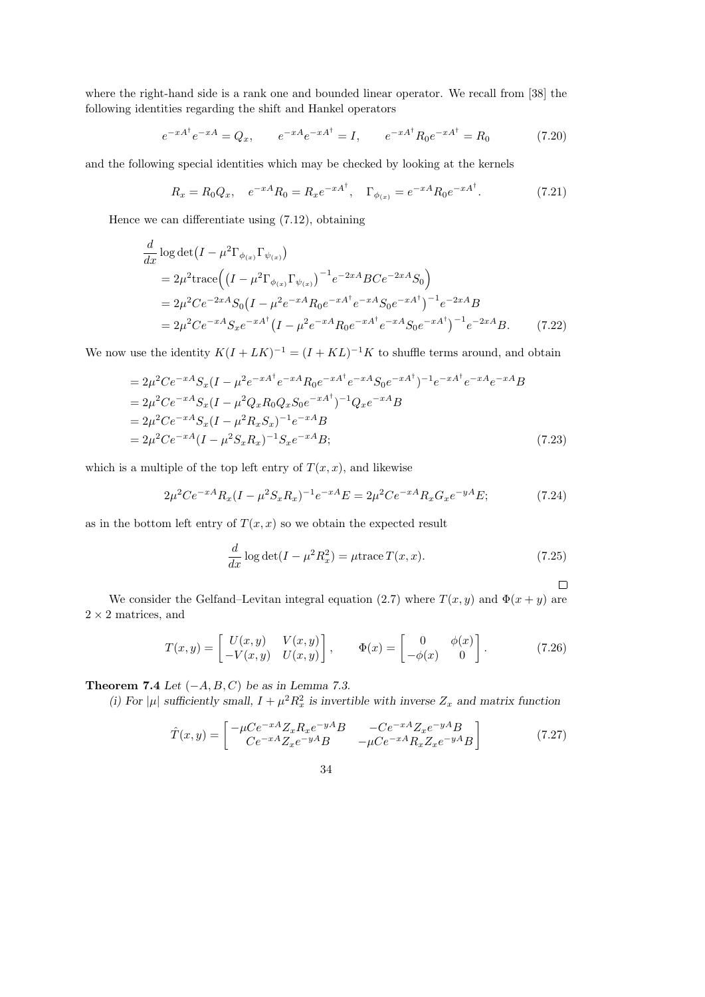where the right-hand side is a rank one and bounded linear operator. We recall from [38] the following identities regarding the shift and Hankel operators

$$
e^{-xA^{\dagger}}e^{-xA} = Q_x, \qquad e^{-xA^{\dagger}} = I, \qquad e^{-xA^{\dagger}}R_0e^{-xA^{\dagger}} = R_0 \tag{7.20}
$$

and the following special identities which may be checked by looking at the kernels

$$
R_x = R_0 Q_x, \quad e^{-xA} R_0 = R_x e^{-xA^{\dagger}}, \quad \Gamma_{\phi_{(x)}} = e^{-xA} R_0 e^{-xA^{\dagger}}.
$$
 (7.21)

Hence we can differentiate using (7.12), obtaining

$$
\frac{d}{dx}\log\det(I - \mu^2 \Gamma_{\phi_{(x)}} \Gamma_{\psi_{(x)}})
$$
\n
$$
= 2\mu^2 \text{trace}\Big( \big(I - \mu^2 \Gamma_{\phi_{(x)}} \Gamma_{\psi_{(x)}} \big)^{-1} e^{-2xA} BC e^{-2xA} S_0 \Big)
$$
\n
$$
= 2\mu^2 C e^{-2xA} S_0 \big(I - \mu^2 e^{-xA} R_0 e^{-xA^{\dagger}} e^{-xA} S_0 e^{-xA^{\dagger}} \big)^{-1} e^{-2xA} B
$$
\n
$$
= 2\mu^2 C e^{-xA} S_x e^{-xA^{\dagger}} \big(I - \mu^2 e^{-xA} R_0 e^{-xA^{\dagger}} e^{-xA} S_0 e^{-xA^{\dagger}} \big)^{-1} e^{-2xA} B. \tag{7.22}
$$

We now use the identity  $K(I + LK)^{-1} = (I + KL)^{-1}K$  to shuffle terms around, and obtain

$$
= 2\mu^{2}Ce^{-xA}S_{x}(I - \mu^{2}e^{-xA^{\dagger}}e^{-xA}R_{0}e^{-xA^{\dagger}}e^{-xA^{\dagger}})^{-1}e^{-xA^{\dagger}}e^{-xA}e^{-xA}B
$$
  
\n
$$
= 2\mu^{2}Ce^{-xA}S_{x}(I - \mu^{2}Q_{x}R_{0}Q_{x}S_{0}e^{-xA^{\dagger}})^{-1}Q_{x}e^{-xA}B
$$
  
\n
$$
= 2\mu^{2}Ce^{-xA}S_{x}(I - \mu^{2}R_{x}S_{x})^{-1}e^{-xA}B
$$
  
\n
$$
= 2\mu^{2}Ce^{-xA}(I - \mu^{2}S_{x}R_{x})^{-1}S_{x}e^{-xA}B;
$$
  
\n(7.23)

which is a multiple of the top left entry of  $T(x, x)$ , and likewise

$$
2\mu^2 C e^{-xA} R_x (I - \mu^2 S_x R_x)^{-1} e^{-xA} E = 2\mu^2 C e^{-xA} R_x G_x e^{-yA} E; \tag{7.24}
$$

as in the bottom left entry of  $T(x, x)$  so we obtain the expected result

$$
\frac{d}{dx}\log\det(I-\mu^2 R_x^2) = \mu \text{trace}\,T(x,x). \tag{7.25}
$$

 $\Box$ 

We consider the Gelfand–Levitan integral equation (2.7) where  $T(x, y)$  and  $\Phi(x + y)$  are  $2 \times 2$  matrices, and

$$
T(x,y) = \begin{bmatrix} U(x,y) & V(x,y) \\ -V(x,y) & U(x,y) \end{bmatrix}, \qquad \Phi(x) = \begin{bmatrix} 0 & \phi(x) \\ -\phi(x) & 0 \end{bmatrix}.
$$
 (7.26)

Theorem 7.4 Let  $(-A, B, C)$  be as in Lemma 7.3.

(i) For  $|\mu|$  sufficiently small,  $I + \mu^2 R_x^2$  is invertible with inverse  $Z_x$  and matrix function

$$
\hat{T}(x,y) = \begin{bmatrix} -\mu Ce^{-xA} Z_x R_x e^{-yA} B & -Ce^{-xA} Z_x e^{-yA} B \\ Ce^{-xA} Z_x e^{-yA} B & -\mu Ce^{-xA} R_x Z_x e^{-yA} B \end{bmatrix}
$$
(7.27)

34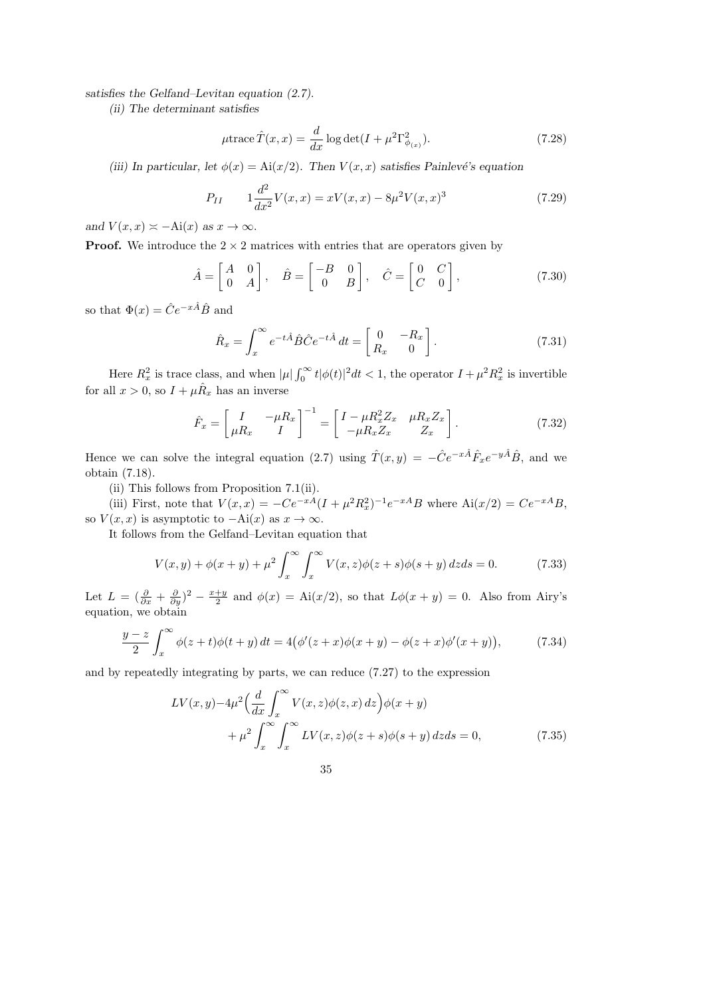satisfies the Gelfand–Levitan equation (2.7).

(ii) The determinant satisfies

$$
\mu \operatorname{trace} \hat{T}(x, x) = \frac{d}{dx} \log \det(I + \mu^2 \Gamma_{\phi_{(x)}}^2). \tag{7.28}
$$

(iii) In particular, let  $\phi(x) = Ai(x/2)$ . Then  $V(x, x)$  satisfies Painlevé's equation

$$
P_{II} \t 1\frac{d^2}{dx^2}V(x,x) = xV(x,x) - 8\mu^2 V(x,x)^3 \t (7.29)
$$

and  $V(x, x) \simeq -\text{Ai}(x)$  as  $x \to \infty$ .

**Proof.** We introduce the  $2 \times 2$  matrices with entries that are operators given by

$$
\hat{A} = \begin{bmatrix} A & 0 \\ 0 & A \end{bmatrix}, \quad \hat{B} = \begin{bmatrix} -B & 0 \\ 0 & B \end{bmatrix}, \quad \hat{C} = \begin{bmatrix} 0 & C \\ C & 0 \end{bmatrix}, \tag{7.30}
$$

so that  $\Phi(x) = \hat{C}e^{-x\hat{A}}\hat{B}$  and

$$
\hat{R}_x = \int_x^{\infty} e^{-t\hat{A}} \hat{B} \hat{C} e^{-t\hat{A}} dt = \begin{bmatrix} 0 & -R_x \\ R_x & 0 \end{bmatrix}.
$$
\n(7.31)

Here  $R_x^2$  is trace class, and when  $|\mu| \int_0^\infty t |\phi(t)|^2 dt < 1$ , the operator  $I + \mu^2 R_x^2$  is invertible for all  $x > 0$ , so  $I + \mu \hat{R}_x$  has an inverse

$$
\hat{F}_x = \begin{bmatrix} I & -\mu R_x \\ \mu R_x & I \end{bmatrix}^{-1} = \begin{bmatrix} I - \mu R_x^2 Z_x & \mu R_x Z_x \\ -\mu R_x Z_x & Z_x \end{bmatrix}.
$$
\n(7.32)

Hence we can solve the integral equation (2.7) using  $\hat{T}(x,y) = -\hat{C}e^{-x\hat{A}}\hat{F}_xe^{-y\hat{A}}\hat{B}$ , and we obtain (7.18).

(ii) This follows from Proposition 7.1(ii).

(iii) First, note that  $V(x, x) = -Ce^{-xA}(I + \mu^2 R_x^2)^{-1}e^{-xA}B$  where  $Ai(x/2) = Ce^{-xA}B$ , so  $V(x, x)$  is asymptotic to  $-Ai(x)$  as  $x \to \infty$ .

It follows from the Gelfand–Levitan equation that

$$
V(x, y) + \phi(x + y) + \mu^2 \int_x^{\infty} \int_x^{\infty} V(x, z) \phi(z + s) \phi(s + y) \, dz \, ds = 0. \tag{7.33}
$$

Let  $L = (\frac{\partial}{\partial x} + \frac{\partial}{\partial y})^2 - \frac{x+y}{2}$  $\frac{+y}{2}$  and  $\phi(x) = \text{Ai}(x/2)$ , so that  $L\phi(x+y) = 0$ . Also from Airy's equation, we obtain

$$
\frac{y-z}{2} \int_{x}^{\infty} \phi(z+t)\phi(t+y) dt = 4(\phi'(z+x)\phi(x+y) - \phi(z+x)\phi'(x+y)), \tag{7.34}
$$

and by repeatedly integrating by parts, we can reduce (7.27) to the expression

$$
LV(x,y) - 4\mu^2 \left(\frac{d}{dx} \int_x^\infty V(x,z)\phi(z,x) dz\right) \phi(x+y)
$$
  
+  $\mu^2 \int_x^\infty \int_x^\infty LV(x,z)\phi(z+s)\phi(s+y) dz ds = 0,$  (7.35)

35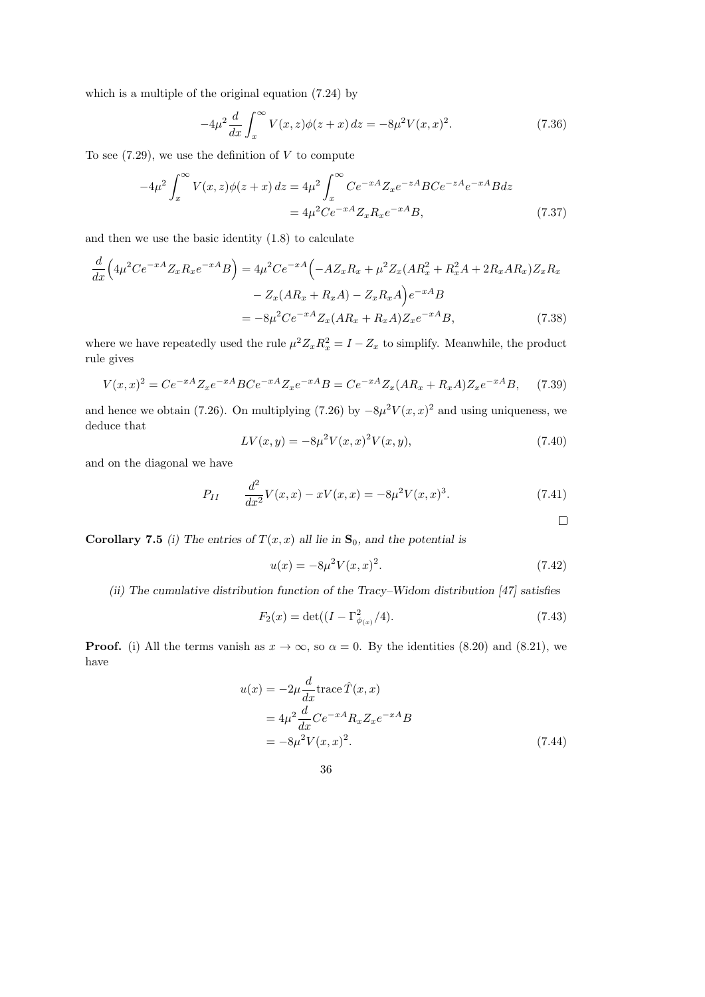which is a multiple of the original equation (7.24) by

$$
-4\mu^2 \frac{d}{dx} \int_x^{\infty} V(x,z)\phi(z+x) dz = -8\mu^2 V(x,x)^2.
$$
 (7.36)

To see  $(7.29)$ , we use the definition of V to compute

$$
-4\mu^{2} \int_{x}^{\infty} V(x,z)\phi(z+x) dz = 4\mu^{2} \int_{x}^{\infty} Ce^{-xA} Z_{x} e^{-zA} BC e^{-zA} e^{-xA} B dz
$$

$$
= 4\mu^{2} Ce^{-xA} Z_{x} R_{x} e^{-xA} B,
$$
(7.37)

and then we use the basic identity (1.8) to calculate

$$
\frac{d}{dx}\left(4\mu^{2}Ce^{-xA}Z_{x}R_{x}e^{-xA}B\right) = 4\mu^{2}Ce^{-xA}\left(-AZ_{x}R_{x} + \mu^{2}Z_{x}(AR_{x}^{2} + R_{x}^{2}A + 2R_{x}AR_{x})Z_{x}R_{x}\right)
$$
\n
$$
-Z_{x}(AR_{x} + R_{x}A) - Z_{x}R_{x}A\right)e^{-xA}B
$$
\n
$$
= -8\mu^{2}Ce^{-xA}Z_{x}(AR_{x} + R_{x}A)Z_{x}e^{-xA}B,
$$
\n(7.38)

where we have repeatedly used the rule  $\mu^2 Z_x R_x^2 = I - Z_x$  to simplify. Meanwhile, the product rule gives

$$
V(x,x)^{2} = Ce^{-xA}Z_{x}e^{-xA}BCe^{-xA}Z_{x}e^{-xA}B = Ce^{-xA}Z_{x}(AR_{x} + R_{x}A)Z_{x}e^{-xA}B, \quad (7.39)
$$

and hence we obtain (7.26). On multiplying (7.26) by  $-8\mu^2 V(x,x)^2$  and using uniqueness, we deduce that

$$
LV(x,y) = -8\mu^2 V(x,x)^2 V(x,y),\tag{7.40}
$$

and on the diagonal we have

$$
P_{II} \frac{d^2}{dx^2}V(x,x) - xV(x,x) = -8\mu^2 V(x,x)^3. \tag{7.41}
$$

 $\Box$ 

Corollary 7.5 (i) The entries of  $T(x, x)$  all lie in  $S_0$ , and the potential is

$$
u(x) = -8\mu^2 V(x, x)^2.
$$
 (7.42)

(ii) The cumulative distribution function of the Tracy–Widom distribution [47] satisfies

$$
F_2(x) = \det((I - \Gamma_{\phi_{(x)}}^2/4). \tag{7.43}
$$

**Proof.** (i) All the terms vanish as  $x \to \infty$ , so  $\alpha = 0$ . By the identities (8.20) and (8.21), we have

$$
u(x) = -2\mu \frac{d}{dx} \operatorname{trace} \hat{T}(x, x)
$$
  
=  $4\mu^2 \frac{d}{dx} C e^{-xA} R_x Z_x e^{-xA} B$   
=  $-8\mu^2 V(x, x)^2$ . (7.44)

36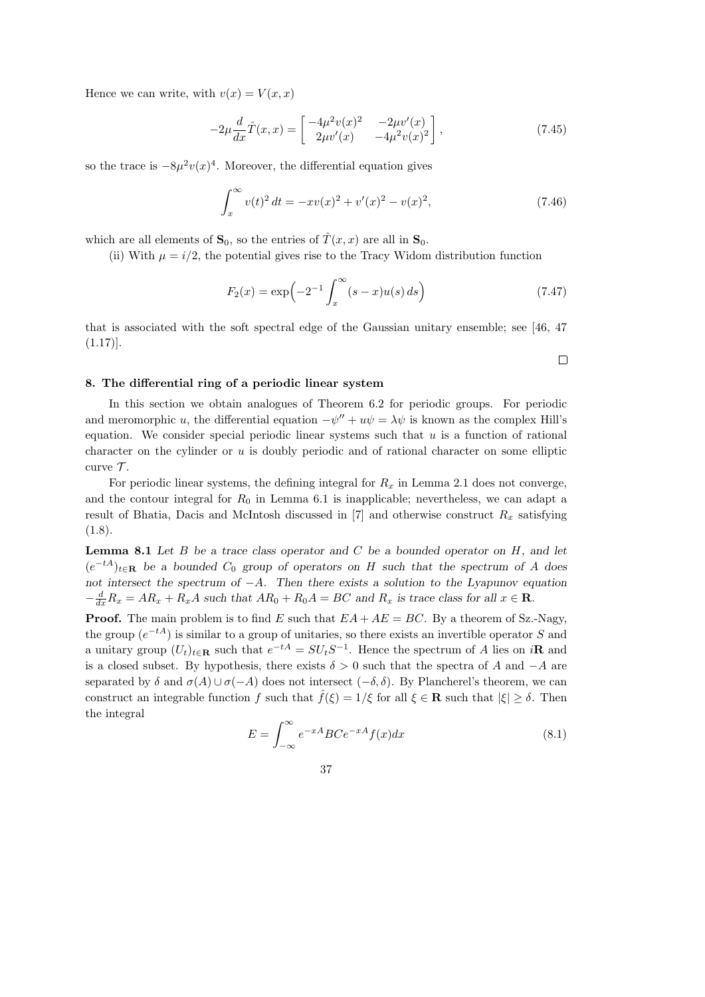Hence we can write, with  $v(x) = V(x, x)$ 

$$
-2\mu \frac{d}{dx}\hat{T}(x,x) = \begin{bmatrix} -4\mu^2 v(x)^2 & -2\mu v'(x) \\ 2\mu v'(x) & -4\mu^2 v(x)^2 \end{bmatrix},
$$
(7.45)

so the trace is  $-8\mu^2 v(x)^4$ . Moreover, the differential equation gives

$$
\int_{x}^{\infty} v(t)^{2} dt = -x v(x)^{2} + v'(x)^{2} - v(x)^{2}, \qquad (7.46)
$$

which are all elements of  $\mathbf{S}_0$ , so the entries of  $\hat{T}(x, x)$  are all in  $\mathbf{S}_0$ .

(ii) With  $\mu = i/2$ , the potential gives rise to the Tracy Widom distribution function

$$
F_2(x) = \exp\left(-2^{-1} \int_x^{\infty} (s-x)u(s) \, ds\right) \tag{7.47}
$$

that is associated with the soft spectral edge of the Gaussian unitary ensemble; see [46, 47  $(1.17)$ .

$$
\overline{\phantom{0}}
$$

### 8. The differential ring of a periodic linear system

In this section we obtain analogues of Theorem 6.2 for periodic groups. For periodic and meromorphic u, the differential equation  $-\psi'' + u\psi = \lambda\psi$  is known as the complex Hill's equation. We consider special periodic linear systems such that  $u$  is a function of rational character on the cylinder or u is doubly periodic and of rational character on some elliptic curve  $\mathcal{T}$ .

For periodic linear systems, the defining integral for  $R_x$  in Lemma 2.1 does not converge, and the contour integral for  $R_0$  in Lemma 6.1 is inapplicable; nevertheless, we can adapt a result of Bhatia, Dacis and McIntosh discussed in [7] and otherwise construct  $R_x$  satisfying  $(1.8).$ 

**Lemma 8.1** Let  $B$  be a trace class operator and  $C$  be a bounded operator on  $H$ , and let  $(e^{-tA})_{t\in\mathbf{R}}$  be a bounded  $C_0$  group of operators on H such that the spectrum of A does not intersect the spectrum of  $-A$ . Then there exists a solution to the Lyapunov equation  $-\frac{d}{dx}R_x = AR_x + R_xA$  such that  $AR_0 + R_0A = BC$  and  $R_x$  is trace class for all  $x \in \mathbb{R}$ .

**Proof.** The main problem is to find E such that  $EA + AE = BC$ . By a theorem of Sz.-Nagy, the group  $(e^{-tA})$  is similar to a group of unitaries, so there exists an invertible operator S and a unitary group  $(U_t)_{t\in\mathbf{R}}$  such that  $e^{-tA} = SU_tS^{-1}$ . Hence the spectrum of A lies on iR and is a closed subset. By hypothesis, there exists  $\delta > 0$  such that the spectra of A and  $-A$  are separated by  $\delta$  and  $\sigma(A) \cup \sigma(-A)$  does not intersect  $(-\delta, \delta)$ . By Plancherel's theorem, we can construct an integrable function f such that  $\hat{f}(\xi) = 1/\xi$  for all  $\xi \in \mathbf{R}$  such that  $|\xi| \geq \delta$ . Then the integral

$$
E = \int_{-\infty}^{\infty} e^{-xA} BC e^{-xA} f(x) dx
$$
\n(8.1)

37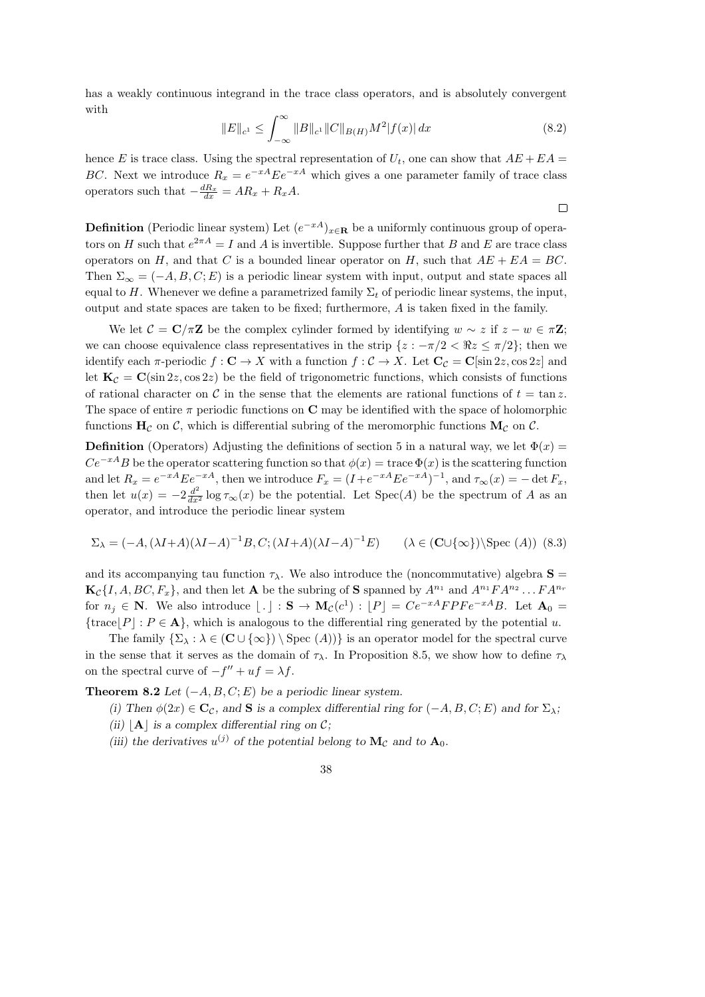has a weakly continuous integrand in the trace class operators, and is absolutely convergent with

$$
||E||_{c^1} \le \int_{-\infty}^{\infty} ||B||_{c^1} ||C||_{B(H)} M^2 |f(x)| dx \qquad (8.2)
$$

 $\Box$ 

hence E is trace class. Using the spectral representation of  $U_t$ , one can show that  $AE + EA =$ BC. Next we introduce  $R_x = e^{-xA} E e^{-xA}$  which gives a one parameter family of trace class operators such that  $-\frac{dR_x}{dx} = AR_x + R_xA$ .

**Definition** (Periodic linear system) Let  $(e^{-xA})_{x \in \mathbf{R}}$  be a uniformly continuous group of operators on H such that  $e^{2\pi A} = I$  and A is invertible. Suppose further that B and E are trace class operators on H, and that C is a bounded linear operator on H, such that  $AE + EA = BC$ . Then  $\Sigma_{\infty} = (-A, B, C; E)$  is a periodic linear system with input, output and state spaces all equal to H. Whenever we define a parametrized family  $\Sigma_t$  of periodic linear systems, the input, output and state spaces are taken to be fixed; furthermore, A is taken fixed in the family.

We let  $C = \mathbf{C}/\pi \mathbf{Z}$  be the complex cylinder formed by identifying  $w \sim z$  if  $z - w \in \pi \mathbf{Z}$ ; we can choose equivalence class representatives in the strip  $\{z : -\pi/2 < \Re z \le \pi/2\}$ ; then we identify each  $\pi$ -periodic  $f : \mathbf{C} \to X$  with a function  $f : \mathcal{C} \to X$ . Let  $\mathbf{C}_{\mathcal{C}} = \mathbf{C}[\sin 2z, \cos 2z]$  and let  $\mathbf{K}_{\mathcal{C}} = \mathbf{C}(\sin 2z, \cos 2z)$  be the field of trigonometric functions, which consists of functions of rational character on C in the sense that the elements are rational functions of  $t = \tan z$ . The space of entire  $\pi$  periodic functions on **C** may be identified with the space of holomorphic functions  $H_{\mathcal{C}}$  on  $\mathcal{C}$ , which is differential subring of the meromorphic functions  $M_{\mathcal{C}}$  on  $\mathcal{C}$ .

**Definition** (Operators) Adjusting the definitions of section 5 in a natural way, we let  $\Phi(x)$  $Ce^{-xA}B$  be the operator scattering function so that  $\phi(x) = \text{trace } \Phi(x)$  is the scattering function and let  $R_x = e^{-xA} E e^{-xA}$ , then we introduce  $F_x = (I + e^{-xA} E e^{-xA})^{-1}$ , and  $\tau_\infty(x) = -\det F_x$ , then let  $u(x) = -2\frac{d^2}{dx^2}\log \tau_\infty(x)$  be the potential. Let  $Spec(A)$  be the spectrum of A as an operator, and introduce the periodic linear system

$$
\Sigma_{\lambda} = (-A, (\lambda I + A)(\lambda I - A)^{-1}B, C; (\lambda I + A)(\lambda I - A)^{-1}E) \qquad (\lambda \in (C \cup \{\infty\}) \setminus \text{Spec } (A)) \tag{8.3}
$$

and its accompanying tau function  $\tau_{\lambda}$ . We also introduce the (noncommutative) algebra  $S =$  $\mathbf{K}_{\mathcal{C}}\{I, A, BC, F_x\}$ , and then let A be the subring of S spanned by  $A^{n_1}$  and  $A^{n_1}FA^{n_2} \dots FA^{n_r}$ for  $n_j \in \mathbb{N}$ . We also introduce  $\lfloor . \rfloor : \mathbf{S} \to \mathbf{M}_{\mathcal{C}}(c^1) : \lfloor P \rfloor = Ce^{-xA}F P F e^{-xA} B$ . Let  $\mathbf{A}_0 =$  ${\text{trace}}[P]: P \in \mathbf{A}$ , which is analogous to the differential ring generated by the potential u.

The family  $\{\Sigma_{\lambda} : \lambda \in (\mathbf{C} \cup \{\infty\}) \setminus \text{Spec}(A))\}$  is an operator model for the spectral curve in the sense that it serves as the domain of  $\tau_{\lambda}$ . In Proposition 8.5, we show how to define  $\tau_{\lambda}$ on the spectral curve of  $-f'' + uf = \lambda f$ .

Theorem 8.2 Let  $(-A, B, C; E)$  be a periodic linear system.

(i) Then  $\phi(2x) \in \mathbf{C}_{\mathcal{C}}$ , and S is a complex differential ring for  $(-A, B, C; E)$  and for  $\Sigma_{\lambda}$ ;

(ii)  $|\mathbf{A}|$  is a complex differential ring on C;

(iii) the derivatives  $u^{(j)}$  of the potential belong to  $\mathbf{M}_{\mathcal{C}}$  and to  $\mathbf{A}_0$ .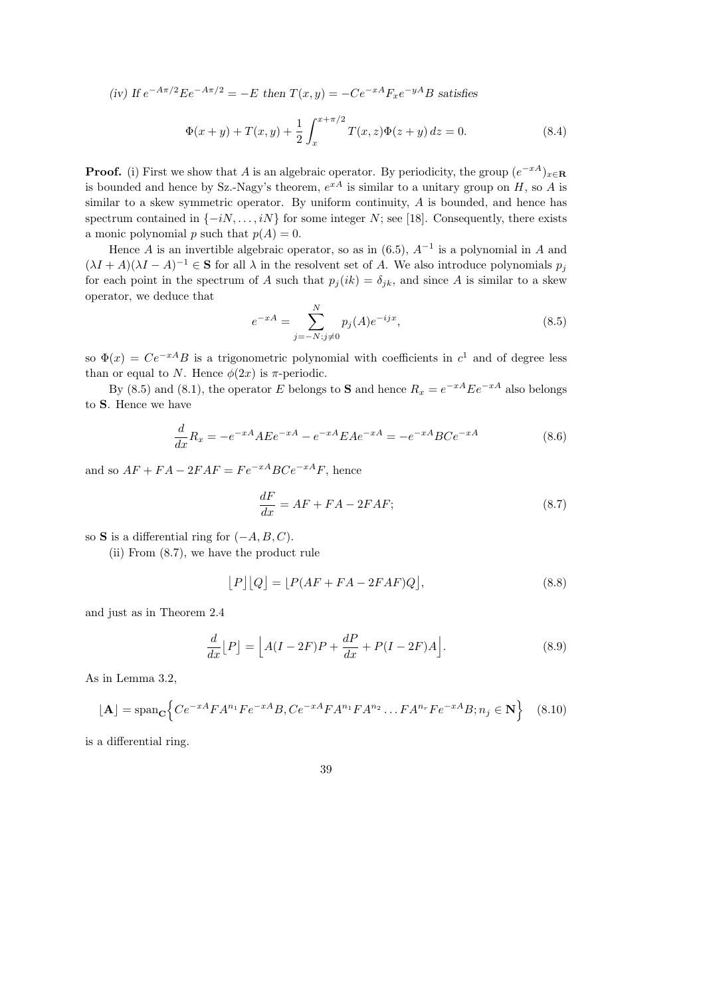(iv) If  $e^{-A\pi/2}Ee^{-A\pi/2} = -E$  then  $T(x, y) = -Ce^{-xA}F_xe^{-yA}B$  satisfies

$$
\Phi(x+y) + T(x,y) + \frac{1}{2} \int_{x}^{x+\pi/2} T(x,z)\Phi(z+y) dz = 0.
$$
 (8.4)

**Proof.** (i) First we show that A is an algebraic operator. By periodicity, the group  $(e^{-xA})_{x\in\mathbf{R}}$ is bounded and hence by Sz.-Nagy's theorem,  $e^{xA}$  is similar to a unitary group on H, so A is similar to a skew symmetric operator. By uniform continuity, A is bounded, and hence has spectrum contained in  $\{-iN, \ldots, iN\}$  for some integer N; see [18]. Consequently, there exists a monic polynomial p such that  $p(A) = 0$ .

Hence A is an invertible algebraic operator, so as in  $(6.5)$ ,  $A^{-1}$  is a polynomial in A and  $(\lambda I + A)(\lambda I - A)^{-1} \in \mathbf{S}$  for all  $\lambda$  in the resolvent set of A. We also introduce polynomials  $p_j$ for each point in the spectrum of A such that  $p_j(ik) = \delta_{jk}$ , and since A is similar to a skew operator, we deduce that

$$
e^{-xA} = \sum_{j=-N;j\neq 0}^{N} p_j(A)e^{-ijx},\tag{8.5}
$$

so  $\Phi(x) = Ce^{-xA}B$  is a trigonometric polynomial with coefficients in  $c^1$  and of degree less than or equal to N. Hence  $\phi(2x)$  is  $\pi$ -periodic.

By (8.5) and (8.1), the operator E belongs to **S** and hence  $R_x = e^{-xA} E e^{-xA}$  also belongs to S. Hence we have

$$
\frac{d}{dx}R_x = -e^{-xA}AEe^{-xA} - e^{-xA}EAe^{-xA} = -e^{-xA}BCe^{-xA}
$$
\n(8.6)

and so  $AF + FA - 2FAF = Fe^{-xA}BCe^{-xA}F$ , hence

$$
\frac{dF}{dx} = AF + FA - 2FAF;
$$
\n(8.7)

so S is a differential ring for  $(-A, B, C)$ .

(ii) From (8.7), we have the product rule

$$
[P][Q] = [P(AF + FA - 2FAF)Q],
$$
\n(8.8)

and just as in Theorem 2.4

$$
\frac{d}{dx}\left[P\right] = \left[A(I - 2F)P + \frac{dP}{dx} + P(I - 2F)A\right].\tag{8.9}
$$

As in Lemma 3.2,

$$
\lfloor \mathbf{A} \rfloor = \operatorname{span}_{\mathbf{C}} \left\{ C e^{-xA} F A^{n_1} F e^{-xA} B, C e^{-xA} F A^{n_1} F A^{n_2} \dots F A^{n_r} F e^{-xA} B; n_j \in \mathbf{N} \right\} \tag{8.10}
$$

is a differential ring.

39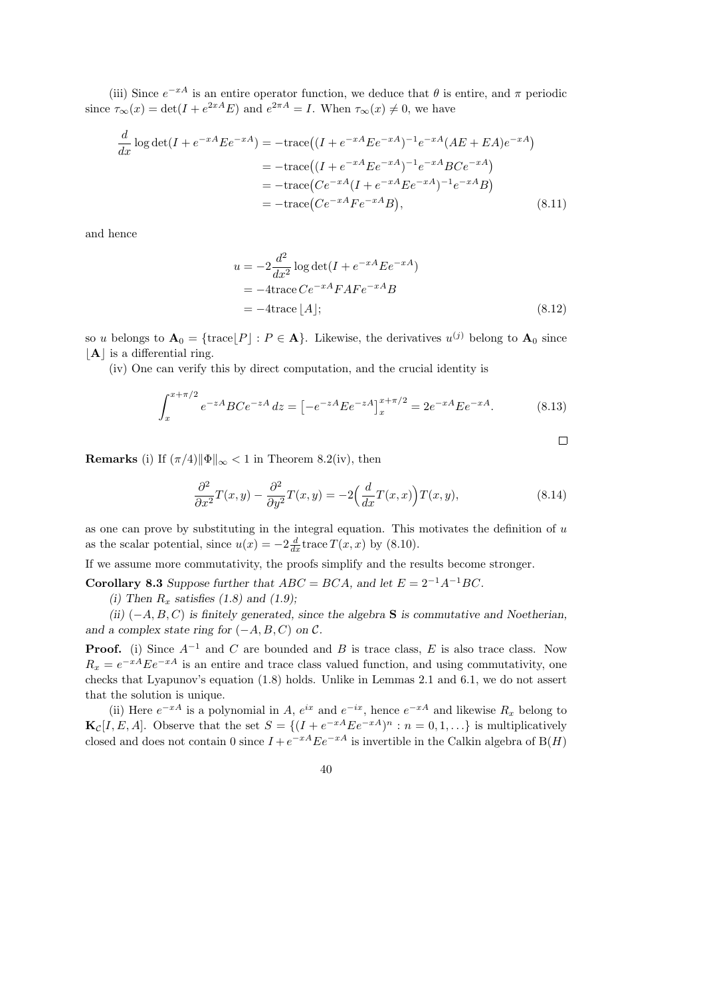(iii) Since  $e^{-xA}$  is an entire operator function, we deduce that  $\theta$  is entire, and  $\pi$  periodic since  $\tau_{\infty}(x) = \det(I + e^{2xA}E)$  and  $e^{2\pi A} = I$ . When  $\tau_{\infty}(x) \neq 0$ , we have

$$
\frac{d}{dx}\log\det(I + e^{-xA}Ee^{-xA}) = -\text{trace}((I + e^{-xA}Ee^{-xA})^{-1}e^{-xA}(AE + EA)e^{-xA})
$$
  
\n
$$
= -\text{trace}((I + e^{-xA}Ee^{-xA})^{-1}e^{-xA}BCe^{-xA})
$$
  
\n
$$
= -\text{trace}(Ce^{-xA}(I + e^{-xA}Ee^{-xA})^{-1}e^{-xA}B)
$$
  
\n
$$
= -\text{trace}(Ce^{-xA}Fe^{-xA}B), \tag{8.11}
$$

and hence

$$
u = -2\frac{d^2}{dx^2}\log \det(I + e^{-xA}Ee^{-xA})
$$
  
= -4trace Ce^{-xA}FAFe^{-xA}B  
= -4trace [A]; (8.12)

so u belongs to  $\mathbf{A}_0 = {\text{trace}[P] : P \in \mathbf{A}}$ . Likewise, the derivatives  $u^{(j)}$  belong to  $\mathbf{A}_0$  since  $|\mathbf{A}|$  is a differential ring.

(iv) One can verify this by direct computation, and the crucial identity is

$$
\int_{x}^{x+\pi/2} e^{-zA} BC e^{-zA} dz = \left[ -e^{-zA} E e^{-zA} \right]_{x}^{x+\pi/2} = 2e^{-xA} E e^{-xA}.
$$
 (8.13)

$$
\qquad \qquad \Box
$$

**Remarks** (i) If  $(\pi/4)$  $\|\Phi\|_{\infty}$  < 1 in Theorem 8.2(iv), then

$$
\frac{\partial^2}{\partial x^2}T(x,y) - \frac{\partial^2}{\partial y^2}T(x,y) = -2\left(\frac{d}{dx}T(x,x)\right)T(x,y),\tag{8.14}
$$

as one can prove by substituting in the integral equation. This motivates the definition of  $u$ as the scalar potential, since  $u(x) = -2\frac{d}{dx}\text{trace }T(x,x)$  by (8.10).

If we assume more commutativity, the proofs simplify and the results become stronger.

Corollary 8.3 Suppose further that  $ABC = BCA$ , and let  $E = 2^{-1}A^{-1}BC$ .

(i) Then  $R_x$  satisfies (1.8) and (1.9);

(ii)  $(-A, B, C)$  is finitely generated, since the algebra S is commutative and Noetherian, and a complex state ring for  $(-A, B, C)$  on  $\mathcal{C}$ .

**Proof.** (i) Since  $A^{-1}$  and C are bounded and B is trace class, E is also trace class. Now  $R_x = e^{-xA} E e^{-xA}$  is an entire and trace class valued function, and using commutativity, one checks that Lyapunov's equation (1.8) holds. Unlike in Lemmas 2.1 and 6.1, we do not assert that the solution is unique.

(ii) Here  $e^{-xA}$  is a polynomial in A,  $e^{ix}$  and  $e^{-ix}$ , hence  $e^{-xA}$  and likewise  $R_x$  belong to  $\mathbf{K}_{\mathcal{C}}[I, E, A]$ . Observe that the set  $S = \{(I + e^{-xA}Ee^{-xA})^n : n = 0, 1, ...\}$  is multiplicatively closed and does not contain 0 since  $I + e^{-xA} E e^{-xA}$  is invertible in the Calkin algebra of B(H)

40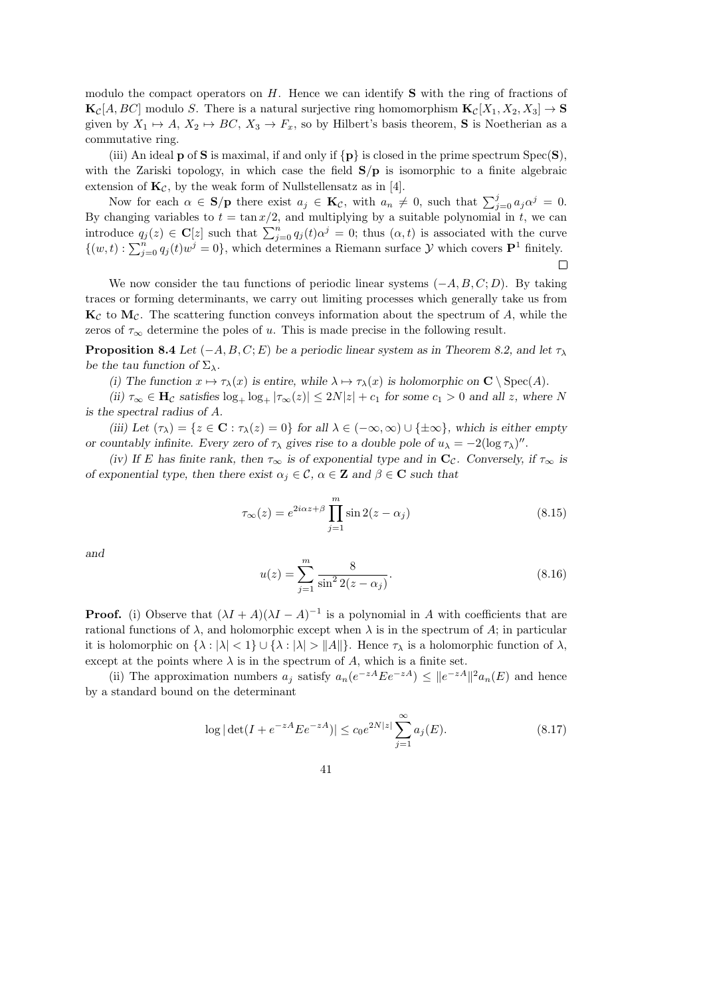modulo the compact operators on  $H$ . Hence we can identify  $S$  with the ring of fractions of  $\mathbf{K}_{\mathcal{C}}[A,BC]$  modulo S. There is a natural surjective ring homomorphism  $\mathbf{K}_{\mathcal{C}}[X_1, X_2, X_3] \to \mathbf{S}$ given by  $X_1 \mapsto A, X_2 \mapsto BC, X_3 \to F_x$ , so by Hilbert's basis theorem, S is Noetherian as a commutative ring.

(iii) An ideal **p** of **S** is maximal, if and only if  $\{p\}$  is closed in the prime spectrum  $Spec(\mathbf{S})$ , with the Zariski topology, in which case the field  $S/p$  is isomorphic to a finite algebraic extension of  $\mathbf{K}_{\mathcal{C}}$ , by the weak form of Nullstellensatz as in [4].

Now for each  $\alpha \in \mathbf{S/p}$  there exist  $a_j \in \mathbf{K}_{\mathcal{C}}$ , with  $a_n \neq 0$ , such that  $\sum_{j=0}^j a_j \alpha^j = 0$ . By changing variables to  $t = \tan x/2$ , and multiplying by a suitable polynomial in t, we can introduce  $q_j(z) \in \mathbf{C}[z]$  such that  $\sum_{j=0}^n q_j(t) \alpha^j = 0$ ; thus  $(\alpha, t)$  is associated with the curve  $\{(w,t): \sum_{j=0}^n q_j(t)w^j = 0\}$ , which determines a Riemann surface  $\mathcal Y$  which covers  $\mathbf{P}^1$  finitely.  $\Box$ 

We now consider the tau functions of periodic linear systems  $(-A, B, C; D)$ . By taking traces or forming determinants, we carry out limiting processes which generally take us from  $\mathbf{K}_{\mathcal{C}}$  to  $\mathbf{M}_{\mathcal{C}}$ . The scattering function conveys information about the spectrum of A, while the zeros of  $\tau_{\infty}$  determine the poles of u. This is made precise in the following result.

**Proposition 8.4** Let  $(-A, B, C; E)$  be a periodic linear system as in Theorem 8.2, and let  $\tau_{\lambda}$ be the tau function of  $\Sigma_{\lambda}$ .

(i) The function  $x \mapsto \tau_{\lambda}(x)$  is entire, while  $\lambda \mapsto \tau_{\lambda}(x)$  is holomorphic on  $\mathbb{C} \setminus \text{Spec}(A)$ .

(ii)  $\tau_{\infty} \in \mathbf{H}_{\mathcal{C}}$  satisfies  $\log_+ \log_+ |\tau_{\infty}(z)| \leq 2N|z| + c_1$  for some  $c_1 > 0$  and all z, where N is the spectral radius of A.

(iii) Let  $(\tau_{\lambda}) = \{z \in \mathbf{C} : \tau_{\lambda}(z) = 0\}$  for all  $\lambda \in (-\infty, \infty) \cup \{\pm \infty\}$ , which is either empty or countably infinite. Every zero of  $\tau_{\lambda}$  gives rise to a double pole of  $u_{\lambda} = -2(\log \tau_{\lambda})''$ .

(iv) If E has finite rank, then  $\tau_{\infty}$  is of exponential type and in  $C_{\mathcal{C}}$ . Conversely, if  $\tau_{\infty}$  is of exponential type, then there exist  $\alpha_j \in \mathcal{C}$ ,  $\alpha \in \mathbf{Z}$  and  $\beta \in \mathbf{C}$  such that

$$
\tau_{\infty}(z) = e^{2i\alpha z + \beta} \prod_{j=1}^{m} \sin 2(z - \alpha_j)
$$
\n(8.15)

and

$$
u(z) = \sum_{j=1}^{m} \frac{8}{\sin^2 2(z - \alpha_j)}.
$$
\n(8.16)

**Proof.** (i) Observe that  $(\lambda I + A)(\lambda I - A)^{-1}$  is a polynomial in A with coefficients that are rational functions of  $\lambda$ , and holomorphic except when  $\lambda$  is in the spectrum of A; in particular it is holomorphic on  $\{\lambda : |\lambda| < 1\} \cup \{\lambda : |\lambda| > ||A||\}$ . Hence  $\tau_{\lambda}$  is a holomorphic function of  $\lambda$ , except at the points where  $\lambda$  is in the spectrum of A, which is a finite set.

(ii) The approximation numbers  $a_j$  satisfy  $a_n(e^{-zA}Ee^{-zA}) \leq ||e^{-zA}||^2 a_n(E)$  and hence by a standard bound on the determinant

$$
\log|\det(I + e^{-zA}Ee^{-zA})| \le c_0 e^{2N|z|} \sum_{j=1}^{\infty} a_j(E). \tag{8.17}
$$

$$
41\,
$$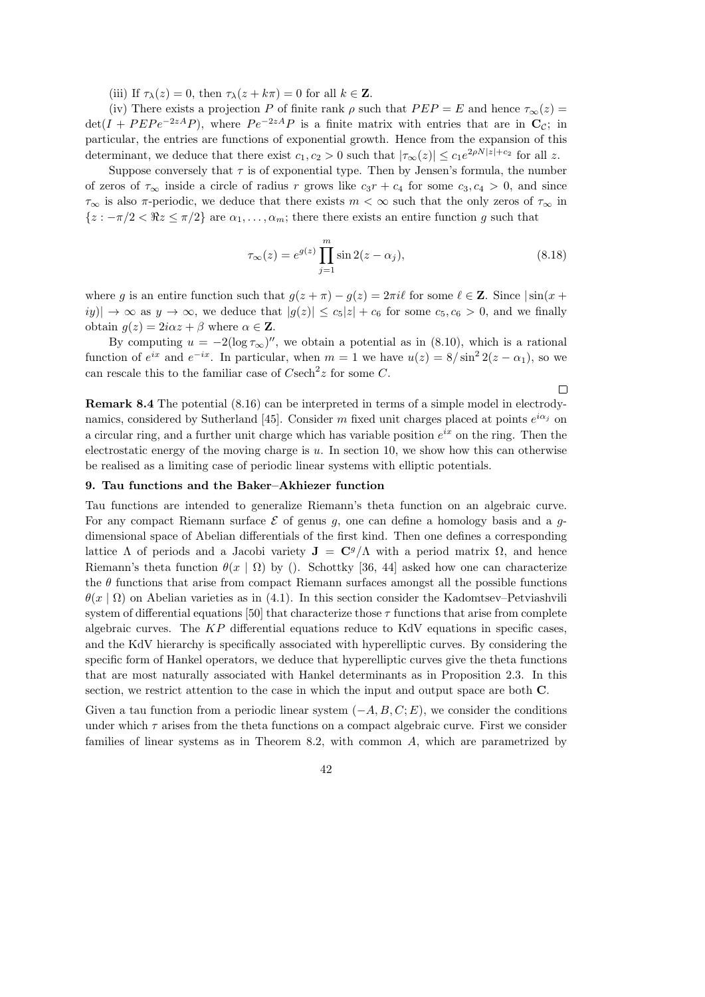(iii) If  $\tau_{\lambda}(z) = 0$ , then  $\tau_{\lambda}(z + k\pi) = 0$  for all  $k \in \mathbb{Z}$ .

(iv) There exists a projection P of finite rank  $\rho$  such that  $PEP = E$  and hence  $\tau_{\infty}(z) =$  $\det(I + P E P e^{-2zA} P)$ , where  $P e^{-2zA} P$  is a finite matrix with entries that are in  $C_c$ ; in particular, the entries are functions of exponential growth. Hence from the expansion of this determinant, we deduce that there exist  $c_1, c_2 > 0$  such that  $|\tau_\infty(z)| \leq c_1 e^{2\rho N|z| + c_2}$  for all z.

Suppose conversely that  $\tau$  is of exponential type. Then by Jensen's formula, the number of zeros of  $\tau_{\infty}$  inside a circle of radius r grows like  $c_3r + c_4$  for some  $c_3, c_4 > 0$ , and since  $\tau_{\infty}$  is also  $\pi$ -periodic, we deduce that there exists  $m < \infty$  such that the only zeros of  $\tau_{\infty}$  in  ${z : -\pi/2 < \Re z \leq \pi/2}$  are  $\alpha_1, \ldots, \alpha_m$ ; there there exists an entire function g such that

$$
\tau_{\infty}(z) = e^{g(z)} \prod_{j=1}^{m} \sin 2(z - \alpha_j), \qquad (8.18)
$$

 $\Box$ 

where g is an entire function such that  $g(z + \pi) - g(z) = 2\pi i \ell$  for some  $\ell \in \mathbb{Z}$ . Since  $|\sin(x + \ell)|$  $|iy\rangle \rightarrow \infty$  as  $y \rightarrow \infty$ , we deduce that  $|g(z)| \leq c_5|z| + c_6$  for some  $c_5, c_6 > 0$ , and we finally obtain  $g(z) = 2i\alpha z + \beta$  where  $\alpha \in \mathbf{Z}$ .

By computing  $u = -2(\log \tau_{\infty})''$ , we obtain a potential as in (8.10), which is a rational function of  $e^{ix}$  and  $e^{-ix}$ . In particular, when  $m = 1$  we have  $u(z) = 8/\sin^2 2(z - \alpha_1)$ , so we can rescale this to the familiar case of  $C \text{sech}^2 z$  for some C.

Remark 8.4 The potential  $(8.16)$  can be interpreted in terms of a simple model in electrodynamics, considered by Sutherland [45]. Consider m fixed unit charges placed at points  $e^{i\alpha_j}$  on a circular ring, and a further unit charge which has variable position  $e^{ix}$  on the ring. Then the electrostatic energy of the moving charge is  $u$ . In section 10, we show how this can otherwise be realised as a limiting case of periodic linear systems with elliptic potentials.

## 9. Tau functions and the Baker–Akhiezer function

Tau functions are intended to generalize Riemann's theta function on an algebraic curve. For any compact Riemann surface  $\mathcal E$  of genus g, one can define a homology basis and a gdimensional space of Abelian differentials of the first kind. Then one defines a corresponding lattice  $\Lambda$  of periods and a Jacobi variety  $J = \mathbb{C}^g/\Lambda$  with a period matrix  $\Omega$ , and hence Riemann's theta function  $\theta(x \mid \Omega)$  by (). Schottky [36, 44] asked how one can characterize the  $\theta$  functions that arise from compact Riemann surfaces amongst all the possible functions  $\theta(x | \Omega)$  on Abelian varieties as in (4.1). In this section consider the Kadomtsev–Petviashvili system of differential equations [50] that characterize those  $\tau$  functions that arise from complete algebraic curves. The KP differential equations reduce to KdV equations in specific cases, and the KdV hierarchy is specifically associated with hyperelliptic curves. By considering the specific form of Hankel operators, we deduce that hyperelliptic curves give the theta functions that are most naturally associated with Hankel determinants as in Proposition 2.3. In this section, we restrict attention to the case in which the input and output space are both C.

Given a tau function from a periodic linear system  $(-A, B, C; E)$ , we consider the conditions under which  $\tau$  arises from the theta functions on a compact algebraic curve. First we consider families of linear systems as in Theorem 8.2, with common A, which are parametrized by

$$
^{42}
$$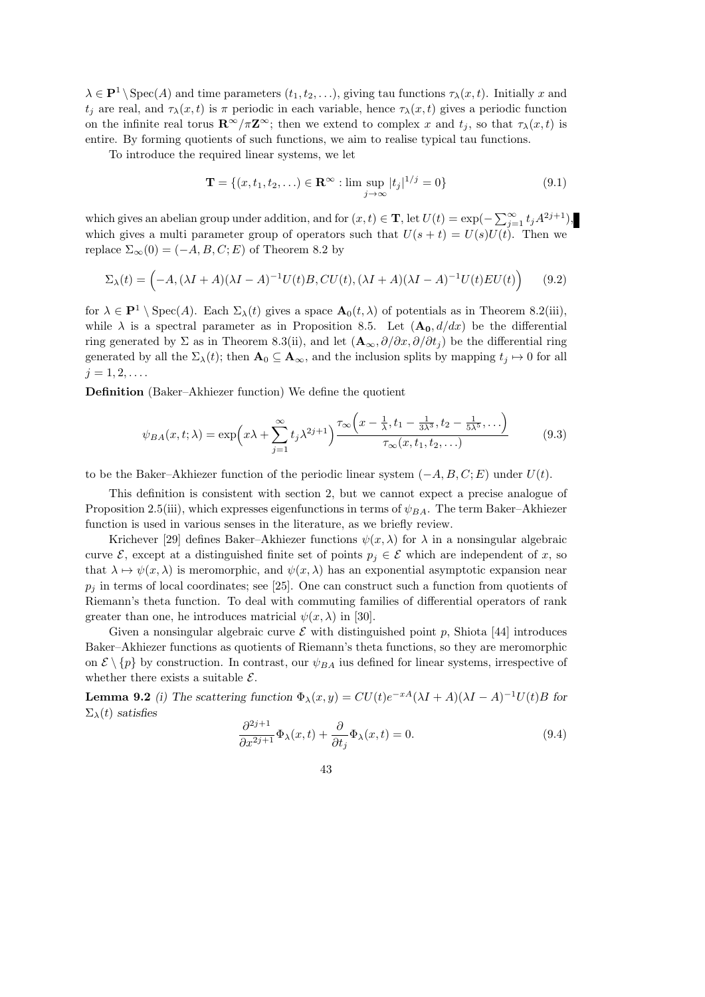$\lambda \in \mathbf{P}^1 \setminus \text{Spec}(A)$  and time parameters  $(t_1, t_2, \ldots)$ , giving tau functions  $\tau_\lambda(x, t)$ . Initially x and  $t_i$  are real, and  $\tau_\lambda(x,t)$  is  $\pi$  periodic in each variable, hence  $\tau_\lambda(x,t)$  gives a periodic function on the infinite real torus  $\mathbf{R}^{\infty}/\pi \mathbf{Z}^{\infty}$ ; then we extend to complex x and  $t_j$ , so that  $\tau_{\lambda}(x,t)$  is entire. By forming quotients of such functions, we aim to realise typical tau functions.

To introduce the required linear systems, we let

$$
\mathbf{T} = \{ (x, t_1, t_2, \ldots) \in \mathbf{R}^{\infty} : \lim_{j \to \infty} |t_j|^{1/j} = 0 \}
$$
(9.1)

which gives an abelian group under addition, and for  $(x,t) \in \mathbf{T}$ , let  $U(t) = \exp(-\sum_{j=1}^{\infty} t_j A^{2j+1})$ , which gives a multi parameter group of operators such that  $U(s + t) = U(s)U(t)$ . Then we replace  $\Sigma_{\infty}(0) = (-A, B, C; E)$  of Theorem 8.2 by

$$
\Sigma_{\lambda}(t) = \left(-A, (\lambda I + A)(\lambda I - A)^{-1}U(t)B, CU(t), (\lambda I + A)(\lambda I - A)^{-1}U(t)EU(t)\right) \tag{9.2}
$$

for  $\lambda \in \mathbf{P}^1 \setminus \text{Spec}(A)$ . Each  $\Sigma_\lambda(t)$  gives a space  $\mathbf{A}_0(t,\lambda)$  of potentials as in Theorem 8.2(iii), while  $\lambda$  is a spectral parameter as in Proposition 8.5. Let  $(\mathbf{A_0}, d/dx)$  be the differential ring generated by  $\Sigma$  as in Theorem 8.3(ii), and let  $(\mathbf{A}_{\infty}, \partial/\partial x, \partial/\partial t_i)$  be the differential ring generated by all the  $\Sigma_{\lambda}(t)$ ; then  $\mathbf{A}_0 \subseteq \mathbf{A}_{\infty}$ , and the inclusion splits by mapping  $t_j \mapsto 0$  for all  $j = 1, 2, \ldots$ 

Definition (Baker–Akhiezer function) We define the quotient

$$
\psi_{BA}(x,t;\lambda) = \exp\left(x\lambda + \sum_{j=1}^{\infty} t_j \lambda^{2j+1}\right) \frac{\tau_{\infty}\left(x - \frac{1}{\lambda}, t_1 - \frac{1}{3\lambda^3}, t_2 - \frac{1}{5\lambda^5}, \ldots\right)}{\tau_{\infty}(x, t_1, t_2, \ldots)}
$$
(9.3)

to be the Baker–Akhiezer function of the periodic linear system  $(-A, B, C; E)$  under  $U(t)$ .

This definition is consistent with section 2, but we cannot expect a precise analogue of Proposition 2.5(iii), which expresses eigenfunctions in terms of  $\psi_{BA}$ . The term Baker–Akhiezer function is used in various senses in the literature, as we briefly review.

Krichever [29] defines Baker–Akhiezer functions  $\psi(x, \lambda)$  for  $\lambda$  in a nonsingular algebraic curve  $\mathcal{E}$ , except at a distinguished finite set of points  $p_j \in \mathcal{E}$  which are independent of x, so that  $\lambda \mapsto \psi(x, \lambda)$  is meromorphic, and  $\psi(x, \lambda)$  has an exponential asymptotic expansion near  $p_j$  in terms of local coordinates; see [25]. One can construct such a function from quotients of Riemann's theta function. To deal with commuting families of differential operators of rank greater than one, he introduces matricial  $\psi(x, \lambda)$  in [30].

Given a nonsingular algebraic curve  $\mathcal E$  with distinguished point p, Shiota [44] introduces Baker–Akhiezer functions as quotients of Riemann's theta functions, so they are meromorphic on  $\mathcal{E} \setminus \{p\}$  by construction. In contrast, our  $\psi_{BA}$  ius defined for linear systems, irrespective of whether there exists a suitable  $\mathcal{E}$ .

**Lemma 9.2** (i) The scattering function  $\Phi_{\lambda}(x, y) = CU(t)e^{-xA}(\lambda I + A)(\lambda I - A)^{-1}U(t)B$  for  $\Sigma_{\lambda}(t)$  satisfies

$$
\frac{\partial^{2j+1}}{\partial x^{2j+1}}\Phi_{\lambda}(x,t) + \frac{\partial}{\partial t_j}\Phi_{\lambda}(x,t) = 0.
$$
\n(9.4)

43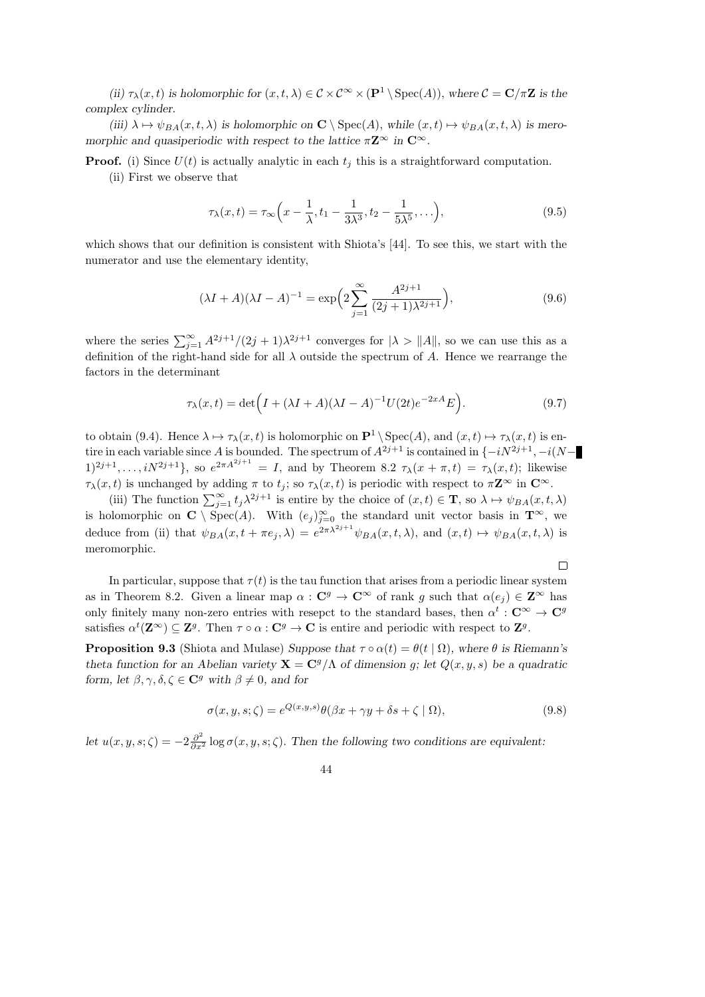(ii)  $\tau_{\lambda}(x,t)$  is holomorphic for  $(x,t,\lambda) \in \mathcal{C} \times \mathcal{C}^{\infty} \times (\mathbf{P}^1 \setminus \text{Spec}(A)),$  where  $\mathcal{C} = \mathbf{C}/\pi \mathbf{Z}$  is the complex cylinder.

(iii)  $\lambda \mapsto \psi_{BA}(x, t, \lambda)$  is holomorphic on  $\mathbb{C} \setminus \text{Spec}(A)$ , while  $(x, t) \mapsto \psi_{BA}(x, t, \lambda)$  is meromorphic and quasiperiodic with respect to the lattice  $\pi \mathbf{Z}^{\infty}$  in  $\mathbf{C}^{\infty}$ .

**Proof.** (i) Since  $U(t)$  is actually analytic in each  $t_j$  this is a straightforward computation.

(ii) First we observe that

$$
\tau_{\lambda}(x,t) = \tau_{\infty}\left(x - \frac{1}{\lambda}, t_1 - \frac{1}{3\lambda^3}, t_2 - \frac{1}{5\lambda^5}, \ldots\right),\tag{9.5}
$$

which shows that our definition is consistent with Shiota's [44]. To see this, we start with the numerator and use the elementary identity,

$$
(\lambda I + A)(\lambda I - A)^{-1} = \exp\left(2\sum_{j=1}^{\infty} \frac{A^{2j+1}}{(2j+1)\lambda^{2j+1}}\right),\tag{9.6}
$$

where the series  $\sum_{j=1}^{\infty} A^{2j+1}/(2j+1)\lambda^{2j+1}$  converges for  $|\lambda| > \|A\|$ , so we can use this as a definition of the right-hand side for all  $\lambda$  outside the spectrum of A. Hence we rearrange the factors in the determinant

$$
\tau_{\lambda}(x,t) = \det\left(I + (\lambda I + A)(\lambda I - A)^{-1}U(2t)e^{-2xA}E\right).
$$
\n(9.7)

to obtain (9.4). Hence  $\lambda \mapsto \tau_{\lambda}(x,t)$  is holomorphic on  $\mathbf{P}^1 \setminus \text{Spec}(A)$ , and  $(x,t) \mapsto \tau_{\lambda}(x,t)$  is entire in each variable since A is bounded. The spectrum of  $A^{2j+1}$  is contained in  $\{-iN^{2j+1}, -i(N-1)\}$  $(1)^{2j+1}, \ldots, i^{N^{2j+1}}\},$  so  $e^{2\pi A^{2j+1}} = I$ , and by Theorem 8.2  $\tau_{\lambda}(x + \pi, t) = \tau_{\lambda}(x, t)$ ; likewise  $\tau_{\lambda}(x,t)$  is unchanged by adding  $\pi$  to  $t_j$ ; so  $\tau_{\lambda}(x,t)$  is periodic with respect to  $\pi \mathbb{Z}^{\infty}$  in  $\mathbb{C}^{\infty}$ .

(iii) The function  $\sum_{j=1}^{\infty} t_j \lambda^{2j+1}$  is entire by the choice of  $(x, t) \in \mathbf{T}$ , so  $\lambda \mapsto \psi_{BA}(x, t, \lambda)$ is holomorphic on  $\mathbb{C} \setminus \text{Spec}(A)$ . With  $(e_j)_{j=0}^{\infty}$  the standard unit vector basis in  $\mathbb{T}^{\infty}$ , we deduce from (ii) that  $\psi_{BA}(x, t + \pi e_j, \lambda) = e^{2\pi \lambda^{2j+1}} \psi_{BA}(x, t, \lambda)$ , and  $(x, t) \mapsto \psi_{BA}(x, t, \lambda)$  is meromorphic.

 $\Box$ 

In particular, suppose that  $\tau(t)$  is the tau function that arises from a periodic linear system as in Theorem 8.2. Given a linear map  $\alpha$ :  $\mathbf{C}^g \to \mathbf{C}^\infty$  of rank g such that  $\alpha(e_j) \in \mathbf{Z}^\infty$  has only finitely many non-zero entries with resepct to the standard bases, then  $\alpha^t : \mathbf{C}^{\infty} \to \mathbf{C}^g$ satisfies  $\alpha^t(\mathbf{Z}^{\infty}) \subseteq \mathbf{Z}^g$ . Then  $\tau \circ \alpha : \mathbf{C}^g \to \mathbf{C}$  is entire and periodic with respect to  $\mathbf{Z}^g$ .

**Proposition 9.3** (Shiota and Mulase) Suppose that  $\tau \circ \alpha(t) = \theta(t | \Omega)$ , where  $\theta$  is Riemann's theta function for an Abelian variety  $\mathbf{X} = \mathbf{C}^g/\Lambda$  of dimension g; let  $Q(x, y, s)$  be a quadratic form, let  $\beta, \gamma, \delta, \zeta \in \mathbb{C}^g$  with  $\beta \neq 0$ , and for

$$
\sigma(x, y, s; \zeta) = e^{Q(x, y, s)} \theta(\beta x + \gamma y + \delta s + \zeta \mid \Omega), \tag{9.8}
$$

let  $u(x, y, s; \zeta) = -2 \frac{\partial^2}{\partial x^2} \log \sigma(x, y, s; \zeta)$ . Then the following two conditions are equivalent: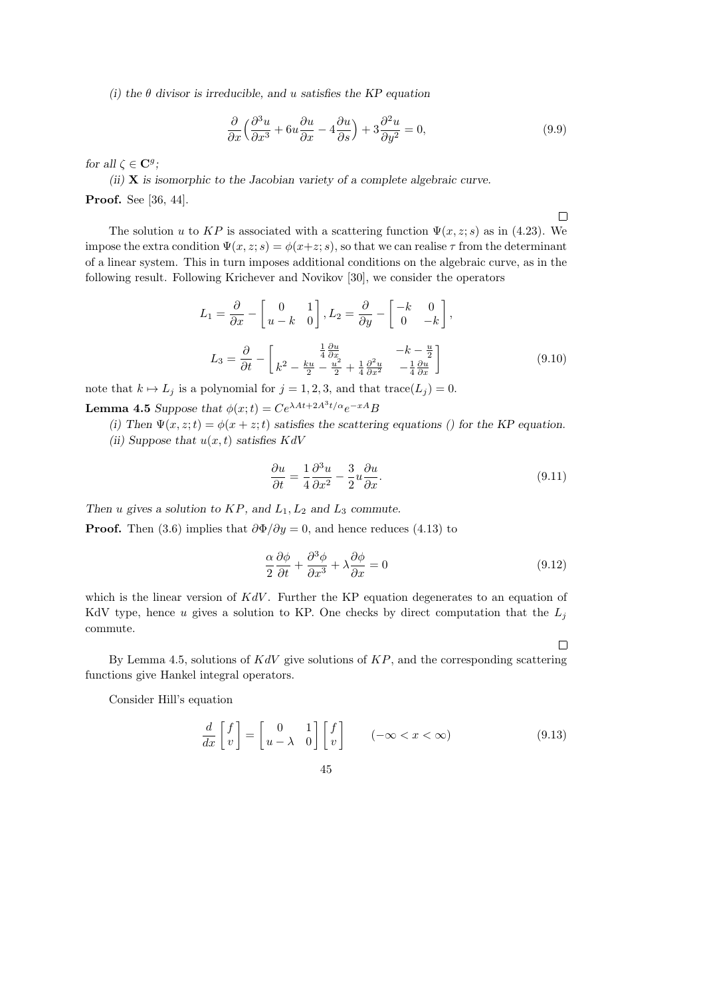(i) the  $\theta$  divisor is irreducible, and u satisfies the KP equation

$$
\frac{\partial}{\partial x} \left( \frac{\partial^3 u}{\partial x^3} + 6u \frac{\partial u}{\partial x} - 4 \frac{\partial u}{\partial s} \right) + 3 \frac{\partial^2 u}{\partial y^2} = 0, \tag{9.9}
$$

for all  $\zeta \in \mathbf{C}^g$ ;

(ii)  $X$  is isomorphic to the Jacobian variety of a complete algebraic curve.

Proof. See [36, 44].

 $\Box$ 

The solution u to KP is associated with a scattering function  $\Psi(x, z; s)$  as in (4.23). We impose the extra condition  $\Psi(x, z; s) = \phi(x+z; s)$ , so that we can realise  $\tau$  from the determinant of a linear system. This in turn imposes additional conditions on the algebraic curve, as in the following result. Following Krichever and Novikov [30], we consider the operators

$$
L_1 = \frac{\partial}{\partial x} - \begin{bmatrix} 0 & 1 \\ u - k & 0 \end{bmatrix}, L_2 = \frac{\partial}{\partial y} - \begin{bmatrix} -k & 0 \\ 0 & -k \end{bmatrix},
$$
  

$$
L_3 = \frac{\partial}{\partial t} - \begin{bmatrix} \frac{1}{4} \frac{\partial u}{\partial x} & -k - \frac{u}{2} \\ k^2 - \frac{ku}{2} - \frac{u^2}{2} + \frac{1}{4} \frac{\partial^2 u}{\partial x^2} & -\frac{1}{4} \frac{\partial u}{\partial x} \end{bmatrix}
$$
(9.10)

note that  $k \mapsto L_j$  is a polynomial for  $j = 1, 2, 3$ , and that trace( $L_j$ ) = 0.

**Lemma 4.5** Suppose that  $\phi(x;t) = Ce^{\lambda At + 2A^3t/\alpha}e^{-xA}B$ 

(i) Then  $\Psi(x, z; t) = \phi(x + z; t)$  satisfies the scattering equations () for the KP equation.

(ii) Suppose that  $u(x, t)$  satisfies  $KdV$ 

$$
\frac{\partial u}{\partial t} = \frac{1}{4} \frac{\partial^3 u}{\partial x^2} - \frac{3}{2} u \frac{\partial u}{\partial x}.
$$
\n(9.11)

Then u gives a solution to  $KP$ , and  $L_1, L_2$  and  $L_3$  commute.

**Proof.** Then (3.6) implies that  $\partial \Phi / \partial y = 0$ , and hence reduces (4.13) to

$$
\frac{\alpha}{2} \frac{\partial \phi}{\partial t} + \frac{\partial^3 \phi}{\partial x^3} + \lambda \frac{\partial \phi}{\partial x} = 0
$$
\n(9.12)

which is the linear version of  $KdV$ . Further the KP equation degenerates to an equation of KdV type, hence u gives a solution to KP. One checks by direct computation that the  $L_j$ commute.

 $\Box$ 

By Lemma 4.5, solutions of  $KdV$  give solutions of  $KP$ , and the corresponding scattering functions give Hankel integral operators.

45

Consider Hill's equation

$$
\frac{d}{dx}\begin{bmatrix} f \\ v \end{bmatrix} = \begin{bmatrix} 0 & 1 \\ u - \lambda & 0 \end{bmatrix} \begin{bmatrix} f \\ v \end{bmatrix} \qquad (-\infty < x < \infty) \tag{9.13}
$$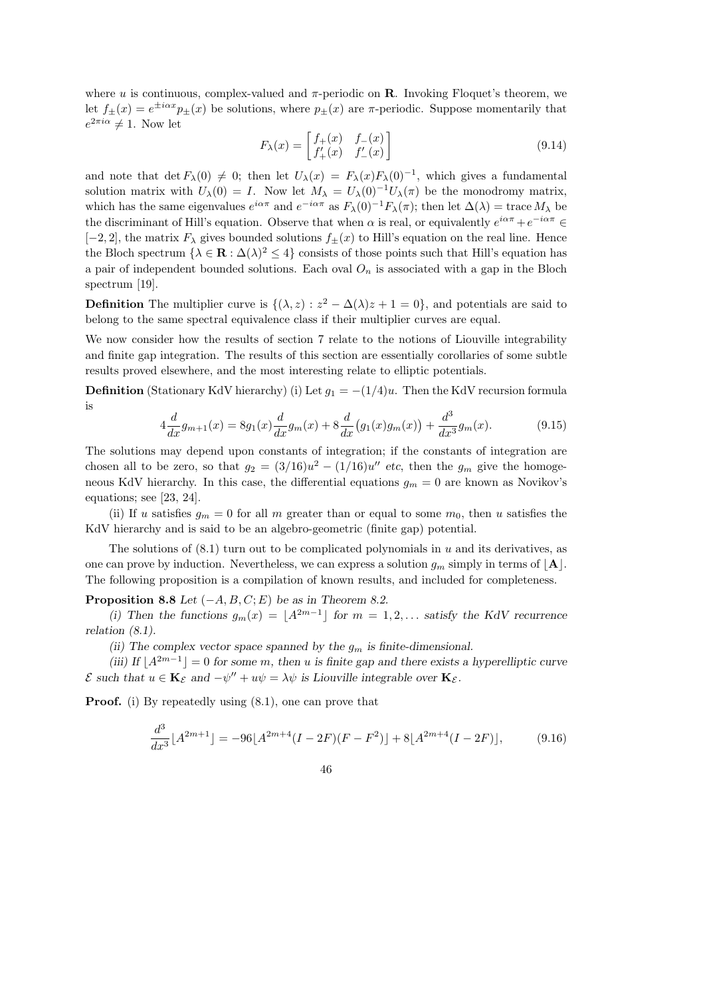where u is continuous, complex-valued and  $\pi$ -periodic on **R**. Invoking Floquet's theorem, we let  $f_{\pm}(x) = e^{\pm i\alpha x} p_{\pm}(x)$  be solutions, where  $p_{\pm}(x)$  are  $\pi$ -periodic. Suppose momentarily that  $e^{2\pi i \alpha} \neq 1$ . Now let

$$
F_{\lambda}(x) = \begin{bmatrix} f_{+}(x) & f_{-}(x) \\ f'_{+}(x) & f'_{-}(x) \end{bmatrix}
$$
 (9.14)

and note that det  $F_\lambda(0) \neq 0$ ; then let  $U_\lambda(x) = F_\lambda(x)F_\lambda(0)^{-1}$ , which gives a fundamental solution matrix with  $U_\lambda(0) = I$ . Now let  $M_\lambda = U_\lambda(0)^{-1} U_\lambda(\pi)$  be the monodromy matrix, which has the same eigenvalues  $e^{i\alpha\pi}$  and  $e^{-i\alpha\pi}$  as  $F_\lambda(0)^{-1}F_\lambda(\pi)$ ; then let  $\Delta(\lambda) = \text{trace } M_\lambda$  be the discriminant of Hill's equation. Observe that when  $\alpha$  is real, or equivalently  $e^{i\alpha\pi}+e^{-i\alpha\pi}\in$  $[-2, 2]$ , the matrix  $F_{\lambda}$  gives bounded solutions  $f_{\pm}(x)$  to Hill's equation on the real line. Hence the Bloch spectrum  $\{\lambda \in \mathbf{R} : \Delta(\lambda)^2 \leq 4\}$  consists of those points such that Hill's equation has a pair of independent bounded solutions. Each oval  $O_n$  is associated with a gap in the Bloch spectrum [19].

**Definition** The multiplier curve is  $\{(\lambda, z) : z^2 - \Delta(\lambda)z + 1 = 0\}$ , and potentials are said to belong to the same spectral equivalence class if their multiplier curves are equal.

We now consider how the results of section 7 relate to the notions of Liouville integrability and finite gap integration. The results of this section are essentially corollaries of some subtle results proved elsewhere, and the most interesting relate to elliptic potentials.

**Definition** (Stationary KdV hierarchy) (i) Let  $g_1 = -(1/4)u$ . Then the KdV recursion formula is

$$
4\frac{d}{dx}g_{m+1}(x) = 8g_1(x)\frac{d}{dx}g_m(x) + 8\frac{d}{dx}(g_1(x)g_m(x)) + \frac{d^3}{dx^3}g_m(x).
$$
 (9.15)

The solutions may depend upon constants of integration; if the constants of integration are chosen all to be zero, so that  $g_2 = (3/16)u^2 - (1/16)u''$  etc, then the  $g_m$  give the homogeneous KdV hierarchy. In this case, the differential equations  $g_m = 0$  are known as Novikov's equations; see [23, 24].

(ii) If u satisfies  $g_m = 0$  for all m greater than or equal to some  $m_0$ , then u satisfies the KdV hierarchy and is said to be an algebro-geometric (finite gap) potential.

The solutions of  $(8.1)$  turn out to be complicated polynomials in u and its derivatives, as one can prove by induction. Nevertheless, we can express a solution  $g_m$  simply in terms of  $[A]$ . The following proposition is a compilation of known results, and included for completeness.

**Proposition 8.8** Let  $(-A, B, C; E)$  be as in Theorem 8.2.

(i) Then the functions  $g_m(x) = \lfloor A^{2m-1} \rfloor$  for  $m = 1, 2, \ldots$  satisfy the KdV recurrence relation (8.1).

(ii) The complex vector space spanned by the  $g_m$  is finite-dimensional.

(iii) If  $[A^{2m-1}] = 0$  for some m, then u is finite gap and there exists a hyperelliptic curve  $\mathcal E$  such that  $u \in \mathbf K_{\mathcal E}$  and  $-\psi'' + u\psi = \lambda \psi$  is Liouville integrable over  $\mathbf K_{\mathcal E}$ .

**Proof.** (i) By repeatedly using  $(8.1)$ , one can prove that

$$
\frac{d^3}{dx^3} [A^{2m+1}] = -96[A^{2m+4}(I - 2F)(F - F^2)] + 8[A^{2m+4}(I - 2F)],\tag{9.16}
$$

46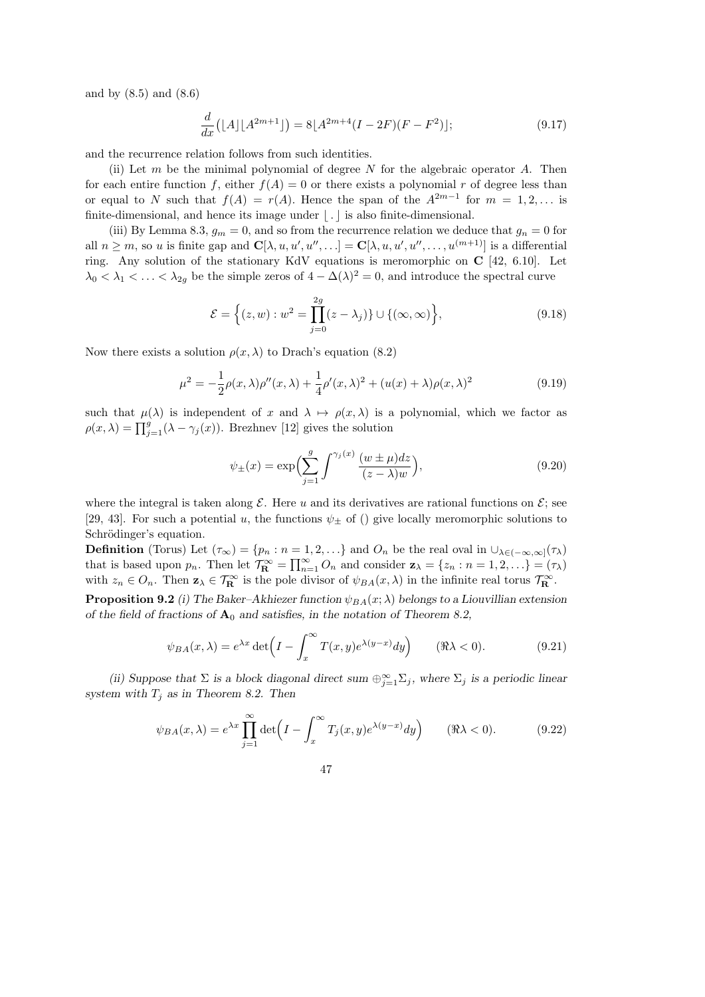and by (8.5) and (8.6)

$$
\frac{d}{dx}\left(\lfloor A\rfloor \lfloor A^{2m+1}\rfloor\right) = 8\lfloor A^{2m+4}(I - 2F)(F - F^2)\rfloor;\tag{9.17}
$$

and the recurrence relation follows from such identities.

(ii) Let m be the minimal polynomial of degree  $N$  for the algebraic operator  $A$ . Then for each entire function f, either  $f(A) = 0$  or there exists a polynomial r of degree less than or equal to N such that  $f(A) = r(A)$ . Hence the span of the  $A^{2m-1}$  for  $m = 1, 2, ...$  is finite-dimensional, and hence its image under  $\vert \cdot \vert$  is also finite-dimensional.

(iii) By Lemma 8.3,  $g_m = 0$ , and so from the recurrence relation we deduce that  $g_n = 0$  for all  $n \geq m$ , so u is finite gap and  $\mathbb{C}[\lambda, u, u', u'', \ldots] = \mathbb{C}[\lambda, u, u', u'', \ldots, u^{(m+1)}]$  is a differential ring. Any solution of the stationary KdV equations is meromorphic on  $C$  [42, 6.10]. Let  $\lambda_0 < \lambda_1 < \ldots < \lambda_{2g}$  be the simple zeros of  $4 - \Delta(\lambda)^2 = 0$ , and introduce the spectral curve

$$
\mathcal{E} = \left\{ (z, w) : w^2 = \prod_{j=0}^{2g} (z - \lambda_j) \} \cup \{ (\infty, \infty) \right\},\tag{9.18}
$$

Now there exists a solution  $\rho(x, \lambda)$  to Drach's equation (8.2)

$$
\mu^2 = -\frac{1}{2}\rho(x,\lambda)\rho''(x,\lambda) + \frac{1}{4}\rho'(x,\lambda)^2 + (u(x) + \lambda)\rho(x,\lambda)^2
$$
\n(9.19)

such that  $\mu(\lambda)$  is independent of x and  $\lambda \mapsto \rho(x,\lambda)$  is a polynomial, which we factor as  $\rho(x,\lambda) = \prod_{j=1}^{g} (\lambda - \gamma_j(x))$ . Brezhnev [12] gives the solution

$$
\psi_{\pm}(x) = \exp\Bigl(\sum_{j=1}^{g} \int^{\gamma_j(x)} \frac{(w \pm \mu)dz}{(z-\lambda)w}\Bigr),\tag{9.20}
$$

where the integral is taken along  $\mathcal E$ . Here u and its derivatives are rational functions on  $\mathcal E$ ; see [29, 43]. For such a potential u, the functions  $\psi_{\pm}$  of () give locally meromorphic solutions to Schrödinger's equation.

**Definition** (Torus) Let  $(\tau_{\infty}) = \{p_n : n = 1, 2, ...\}$  and  $O_n$  be the real oval in  $\cup_{\lambda \in (-\infty, \infty]} (\tau_{\lambda})$ that is based upon  $p_n$ . Then let  $\mathcal{T}_{\mathbf{R}}^{\infty} = \prod_{n=1}^{\infty} O_n$  and consider  $\mathbf{z}_{\lambda} = \{z_n : n = 1, 2, \ldots\} = (\tau_{\lambda})$ with  $z_n \in O_n$ . Then  $\mathbf{z}_{\lambda} \in \mathcal{T}_{\mathbf{R}}^{\infty}$  is the pole divisor of  $\psi_{BA}(x, \lambda)$  in the infinite real torus  $\mathcal{T}_{\mathbf{R}}^{\infty}$ .

**Proposition 9.2** (i) The Baker–Akhiezer function  $\psi_{BA}(x; \lambda)$  belongs to a Liouvillian extension of the field of fractions of  $A_0$  and satisfies, in the notation of Theorem 8.2,

$$
\psi_{BA}(x,\lambda) = e^{\lambda x} \det \left( I - \int_x^{\infty} T(x,y) e^{\lambda(y-x)} dy \right) \quad (\Re \lambda < 0). \tag{9.21}
$$

(ii) Suppose that  $\Sigma$  is a block diagonal direct sum  $\oplus_{j=1}^{\infty} \Sigma_j$ , where  $\Sigma_j$  is a periodic linear system with  $T_j$  as in Theorem 8.2. Then

$$
\psi_{BA}(x,\lambda) = e^{\lambda x} \prod_{j=1}^{\infty} \det \left( I - \int_x^{\infty} T_j(x,y) e^{\lambda(y-x)} dy \right) \quad (\Re \lambda < 0). \tag{9.22}
$$

47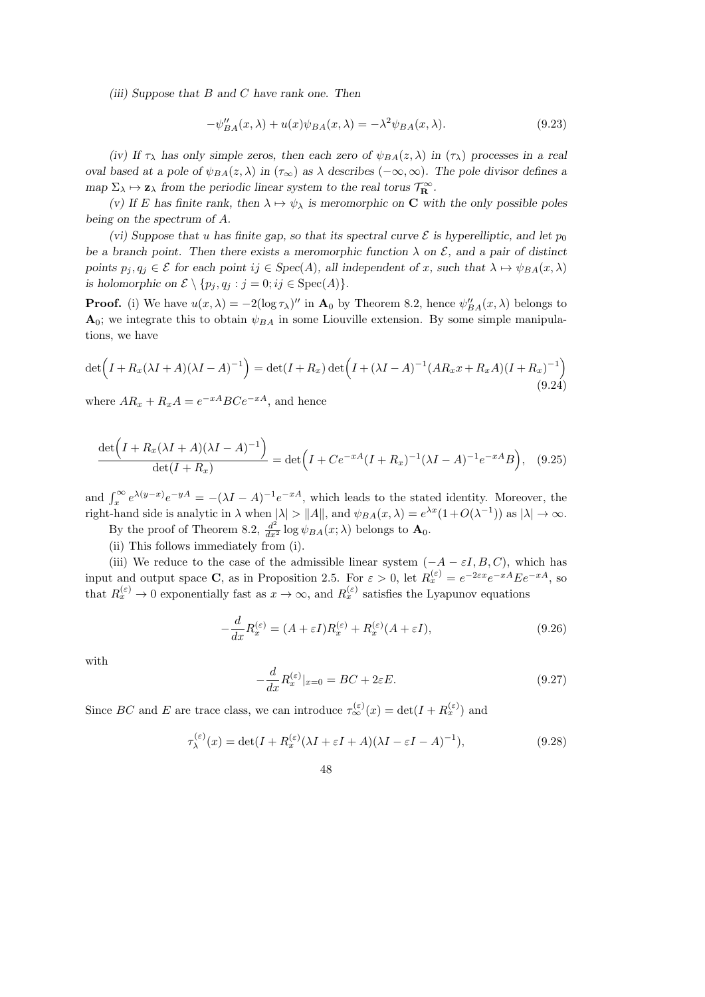(iii) Suppose that  $B$  and  $C$  have rank one. Then

$$
-\psi''_{BA}(x,\lambda) + u(x)\psi_{BA}(x,\lambda) = -\lambda^2 \psi_{BA}(x,\lambda). \tag{9.23}
$$

(iv) If  $\tau_{\lambda}$  has only simple zeros, then each zero of  $\psi_{BA}(z,\lambda)$  in  $(\tau_{\lambda})$  processes in a real oval based at a pole of  $\psi_{BA}(z, \lambda)$  in  $(\tau_{\infty})$  as  $\lambda$  describes  $(-\infty, \infty)$ . The pole divisor defines a map  $\Sigma_{\lambda} \mapsto \mathbf{z}_{\lambda}$  from the periodic linear system to the real torus  $\mathcal{T}_{\mathbf{R}}^{\infty}$ .

(v) If E has finite rank, then  $\lambda \mapsto \psi_{\lambda}$  is meromorphic on C with the only possible poles being on the spectrum of A.

(vi) Suppose that u has finite gap, so that its spectral curve  $\mathcal E$  is hyperelliptic, and let  $p_0$ be a branch point. Then there exists a meromorphic function  $\lambda$  on  $\mathcal{E}$ , and a pair of distinct points  $p_j, q_j \in \mathcal{E}$  for each point  $ij \in \text{Spec}(A)$ , all independent of x, such that  $\lambda \mapsto \psi_{BA}(x, \lambda)$ is holomorphic on  $\mathcal{E} \setminus \{p_j, q_j : j = 0; ij \in \text{Spec}(A)\}.$ 

**Proof.** (i) We have  $u(x, \lambda) = -2(\log \tau_\lambda)''$  in  $\mathbf{A}_0$  by Theorem 8.2, hence  $\psi''_{BA}(x, \lambda)$  belongs to  $\mathbf{A}_0$ ; we integrate this to obtain  $\psi_{BA}$  in some Liouville extension. By some simple manipulations, we have

$$
\det(I + R_x(\lambda I + A)(\lambda I - A)^{-1}) = \det(I + R_x) \det(I + (\lambda I - A)^{-1}(AR_x x + R_x A)(I + R_x)^{-1})
$$
\n(9.24)

where  $AR_x + R_xA = e^{-xA}BCe^{-xA}$ , and hence

$$
\frac{\det\left(I + R_x(\lambda I + A)(\lambda I - A)^{-1}\right)}{\det(I + R_x)} = \det\left(I + Ce^{-xA}(I + R_x)^{-1}(\lambda I - A)^{-1}e^{-xA}B\right), \quad (9.25)
$$

and  $\int_x^{\infty} e^{\lambda(y-x)} e^{-yA} = -(\lambda I - A)^{-1} e^{-xA}$ , which leads to the stated identity. Moreover, the right-hand side is analytic in  $\lambda$  when  $|\lambda| > ||A||$ , and  $\psi_{BA}(x, \lambda) = e^{\lambda x}(1 + O(\lambda^{-1}))$  as  $|\lambda| \to \infty$ .

By the proof of Theorem 8.2,  $\frac{d^2}{dx^2} \log \psi_{BA}(x; \lambda)$  belongs to  $\mathbf{A}_0$ .

(ii) This follows immediately from (i).

(iii) We reduce to the case of the admissible linear system  $(-A - \varepsilon I, B, C)$ , which has input and output space C, as in Proposition 2.5. For  $\varepsilon > 0$ , let  $R_x^{(\varepsilon)} = e^{-2\varepsilon x} e^{-xA} E e^{-xA}$ , so that  $R_x^{(\varepsilon)} \to 0$  exponentially fast as  $x \to \infty$ , and  $R_x^{(\varepsilon)}$  satisfies the Lyapunov equations

$$
-\frac{d}{dx}R_x^{(\varepsilon)} = (A + \varepsilon I)R_x^{(\varepsilon)} + R_x^{(\varepsilon)}(A + \varepsilon I),\tag{9.26}
$$

with

$$
-\frac{d}{dx}R_x^{(\varepsilon)}|_{x=0} = BC + 2\varepsilon E.
$$
\n(9.27)

Since BC and E are trace class, we can introduce  $\tau_{\infty}^{(\varepsilon)}(x) = \det(I + R_x^{(\varepsilon)})$  and

$$
\tau_{\lambda}^{(\varepsilon)}(x) = \det(I + R_x^{(\varepsilon)}(\lambda I + \varepsilon I + A)(\lambda I - \varepsilon I - A)^{-1}), \tag{9.28}
$$

$$
48\,
$$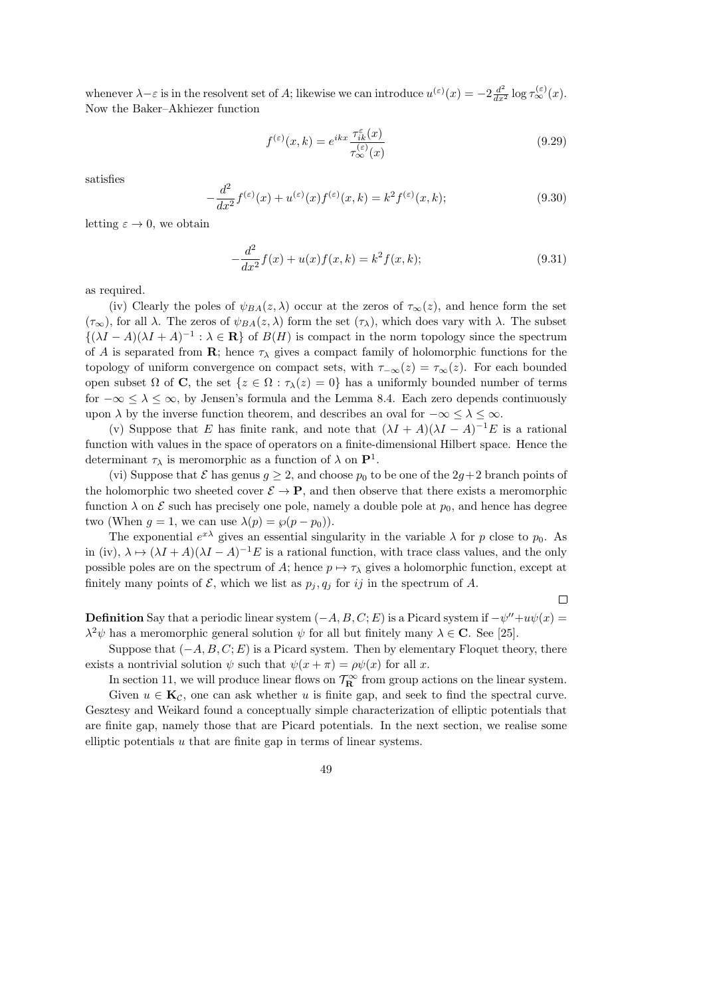whenever  $\lambda - \varepsilon$  is in the resolvent set of A; likewise we can introduce  $u^{(\varepsilon)}(x) = -2\frac{d^2}{dx^2} \log \tau_{\infty}^{(\varepsilon)}(x)$ . Now the Baker–Akhiezer function

$$
f^{(\varepsilon)}(x,k) = e^{ikx} \frac{\tau_{ik}^{\varepsilon}(x)}{\tau_{\infty}^{(\varepsilon)}(x)}
$$
(9.29)

satisfies

$$
-\frac{d^2}{dx^2}f^{(\varepsilon)}(x) + u^{(\varepsilon)}(x)f^{(\varepsilon)}(x,k) = k^2 f^{(\varepsilon)}(x,k); \tag{9.30}
$$

letting  $\varepsilon \to 0$ , we obtain

$$
-\frac{d^2}{dx^2}f(x) + u(x)f(x,k) = k^2 f(x,k); \tag{9.31}
$$

as required.

(iv) Clearly the poles of  $\psi_{BA}(z,\lambda)$  occur at the zeros of  $\tau_{\infty}(z)$ , and hence form the set  $(\tau_{\infty})$ , for all  $\lambda$ . The zeros of  $\psi_{BA}(z,\lambda)$  form the set  $(\tau_{\lambda})$ , which does vary with  $\lambda$ . The subset  $\{(\lambda I - A)(\lambda I + A)^{-1} : \lambda \in \mathbf{R}\}\$  of  $B(H)$  is compact in the norm topology since the spectrum of A is separated from **R**; hence  $\tau_{\lambda}$  gives a compact family of holomorphic functions for the topology of uniform convergence on compact sets, with  $\tau_{-\infty}(z) = \tau_{\infty}(z)$ . For each bounded open subset  $\Omega$  of C, the set  $\{z \in \Omega : \tau_\lambda(z) = 0\}$  has a uniformly bounded number of terms for  $-\infty \leq \lambda \leq \infty$ , by Jensen's formula and the Lemma 8.4. Each zero depends continuously upon  $\lambda$  by the inverse function theorem, and describes an oval for  $-\infty \leq \lambda \leq \infty$ .

(v) Suppose that E has finite rank, and note that  $(\lambda I + A)(\lambda I - A)^{-1}E$  is a rational function with values in the space of operators on a finite-dimensional Hilbert space. Hence the determinant  $\tau_{\lambda}$  is meromorphic as a function of  $\lambda$  on  $\mathbf{P}^{1}$ .

(vi) Suppose that  $\mathcal E$  has genus  $g \geq 2$ , and choose  $p_0$  to be one of the  $2g+2$  branch points of the holomorphic two sheeted cover  $\mathcal{E} \to \mathbf{P}$ , and then observe that there exists a meromorphic function  $\lambda$  on  $\mathcal E$  such has precisely one pole, namely a double pole at  $p_0$ , and hence has degree two (When  $g = 1$ , we can use  $\lambda(p) = \wp(p - p_0)$ ).

The exponential  $e^{x\lambda}$  gives an essential singularity in the variable  $\lambda$  for p close to  $p_0$ . As in (iv),  $\lambda \mapsto (\lambda I + A)(\lambda I - A)^{-1}E$  is a rational function, with trace class values, and the only possible poles are on the spectrum of A; hence  $p \mapsto \tau_{\lambda}$  gives a holomorphic function, except at finitely many points of  $\mathcal{E}$ , which we list as  $p_i, q_i$  for ij in the spectrum of A.

 $\Box$ 

**Definition** Say that a periodic linear system  $(-A, B, C; E)$  is a Picard system if  $-\psi'' + u\psi(x) =$  $\lambda^2 \psi$  has a meromorphic general solution  $\psi$  for all but finitely many  $\lambda \in \mathbb{C}$ . See [25].

Suppose that  $(-A, B, C; E)$  is a Picard system. Then by elementary Floquet theory, there exists a nontrivial solution  $\psi$  such that  $\psi(x + \pi) = \rho \psi(x)$  for all x.

In section 11, we will produce linear flows on  $\mathcal{T}_{\mathbf{R}}^{\infty}$  from group actions on the linear system.

Given  $u \in \mathbf{K}_{\mathcal{C}}$ , one can ask whether u is finite gap, and seek to find the spectral curve. Gesztesy and Weikard found a conceptually simple characterization of elliptic potentials that are finite gap, namely those that are Picard potentials. In the next section, we realise some elliptic potentials  $u$  that are finite gap in terms of linear systems.

49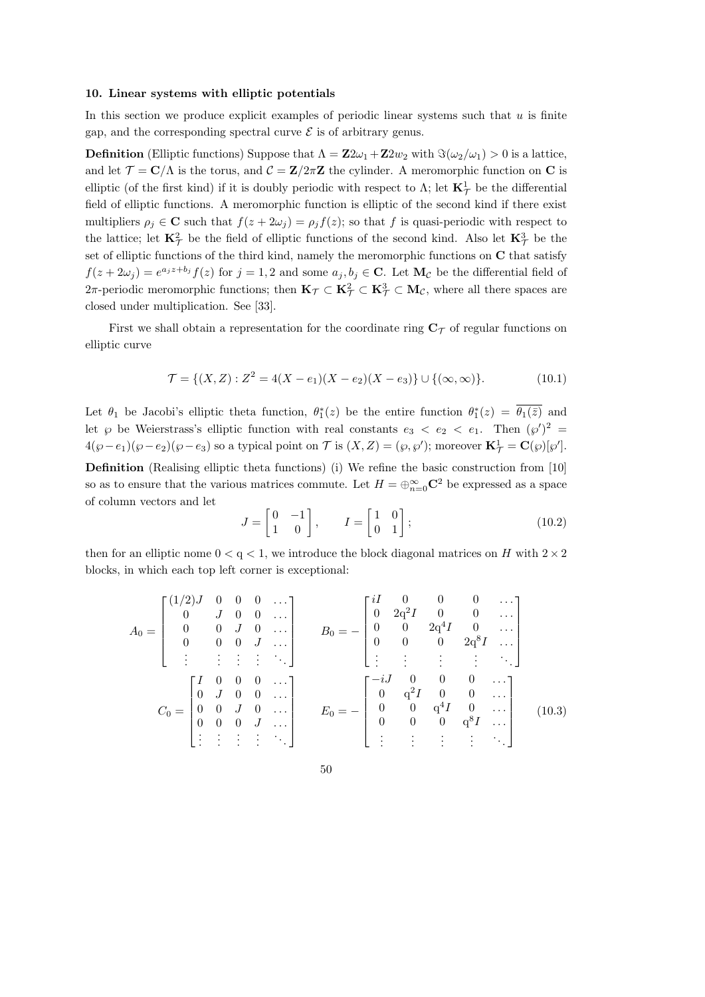#### 10. Linear systems with elliptic potentials

In this section we produce explicit examples of periodic linear systems such that  $u$  is finite gap, and the corresponding spectral curve  $\mathcal E$  is of arbitrary genus.

**Definition** (Elliptic functions) Suppose that  $\Lambda = \mathbf{Z}2\omega_1 + \mathbf{Z}2w_2$  with  $\Im(\omega_2/\omega_1) > 0$  is a lattice, and let  $\mathcal{T} = \mathbf{C}/\Lambda$  is the torus, and  $\mathcal{C} = \mathbf{Z}/2\pi\mathbf{Z}$  the cylinder. A meromorphic function on C is elliptic (of the first kind) if it is doubly periodic with respect to  $\Lambda$ ; let  $\mathbf{K}_{\mathcal{T}}^1$  be the differential field of elliptic functions. A meromorphic function is elliptic of the second kind if there exist multipliers  $\rho_i \in \mathbb{C}$  such that  $f(z + 2\omega_i) = \rho_i f(z)$ ; so that f is quasi-periodic with respect to the lattice; let  $\mathbf{K}_{\mathcal{T}}^2$  be the field of elliptic functions of the second kind. Also let  $\mathbf{K}_{\mathcal{T}}^3$  be the set of elliptic functions of the third kind, namely the meromorphic functions on C that satisfy  $f(z+2\omega_j) = e^{a_j z + b_j} f(z)$  for  $j = 1, 2$  and some  $a_j, b_j \in \mathbb{C}$ . Let  $\mathbf{M}_{\mathcal{C}}$  be the differential field of 2π-periodic meromorphic functions; then  $K_{\mathcal{T}} \subset K_{\mathcal{T}}^2 \subset K_{\mathcal{T}}^3 \subset M_{\mathcal{C}}$ , where all there spaces are closed under multiplication. See [33].

First we shall obtain a representation for the coordinate ring  $C_{\tau}$  of regular functions on elliptic curve

$$
\mathcal{T} = \{ (X, Z) : Z^2 = 4(X - e_1)(X - e_2)(X - e_3) \} \cup \{ (\infty, \infty) \}.
$$
 (10.1)

Let  $\theta_1$  be Jacobi's elliptic theta function,  $\theta_1^*(z)$  be the entire function  $\theta_1^*(z) = \theta_1(\overline{z})$  and let  $\wp$  be Weierstrass's elliptic function with real constants  $e_3 < e_2 < e_1$ . Then  $(\wp')^2$  =  $4(\wp - e_1)(\wp - e_2)(\wp - e_3)$  so a typical point on  $\mathcal T$  is  $(X, Z) = (\wp, \wp')$ ; moreover  $\mathbf{K}^1_{\mathcal T} = \mathbf{C}(\wp)[\wp'].$ 

Definition (Realising elliptic theta functions) (i) We refine the basic construction from [10] so as to ensure that the various matrices commute. Let  $H = \bigoplus_{n=0}^{\infty} \mathbb{C}^2$  be expressed as a space of column vectors and let

$$
J = \begin{bmatrix} 0 & -1 \\ 1 & 0 \end{bmatrix}, \qquad I = \begin{bmatrix} 1 & 0 \\ 0 & 1 \end{bmatrix}; \tag{10.2}
$$

then for an elliptic nome  $0 < q < 1$ , we introduce the block diagonal matrices on H with  $2 \times 2$ blocks, in which each top left corner is exceptional:

$$
A_0 = \begin{bmatrix} (1/2)J & 0 & 0 & 0 & \dots \\ 0 & J & 0 & 0 & \dots \\ 0 & 0 & J & 0 & \dots \\ 0 & 0 & 0 & J & \dots \\ \vdots & \vdots & \vdots & \vdots & \ddots \end{bmatrix} \qquad B_0 = - \begin{bmatrix} iI & 0 & 0 & 0 & \dots \\ 0 & 2q^2I & 0 & 0 & \dots \\ 0 & 0 & 2q^4I & 0 & \dots \\ 0 & 0 & 0 & 2q^8I & \dots \\ \vdots & \vdots & \vdots & \vdots & \ddots \end{bmatrix}
$$

$$
C_0 = \begin{bmatrix} I & 0 & 0 & 0 & \dots \\ 0 & J & 0 & 0 & \dots \\ 0 & 0 & J & 0 & \dots \\ 0 & 0 & 0 & J & \dots \\ \vdots & \vdots & \vdots & \vdots & \vdots \end{bmatrix} \qquad E_0 = - \begin{bmatrix} -iJ & 0 & 0 & 0 & \dots \\ 0 & q^2I & 0 & 0 & \dots \\ 0 & 0 & q^4I & 0 & \dots \\ 0 & 0 & 0 & q^8I & \dots \\ \vdots & \vdots & \vdots & \vdots & \vdots \end{bmatrix} \qquad (10.3)
$$

50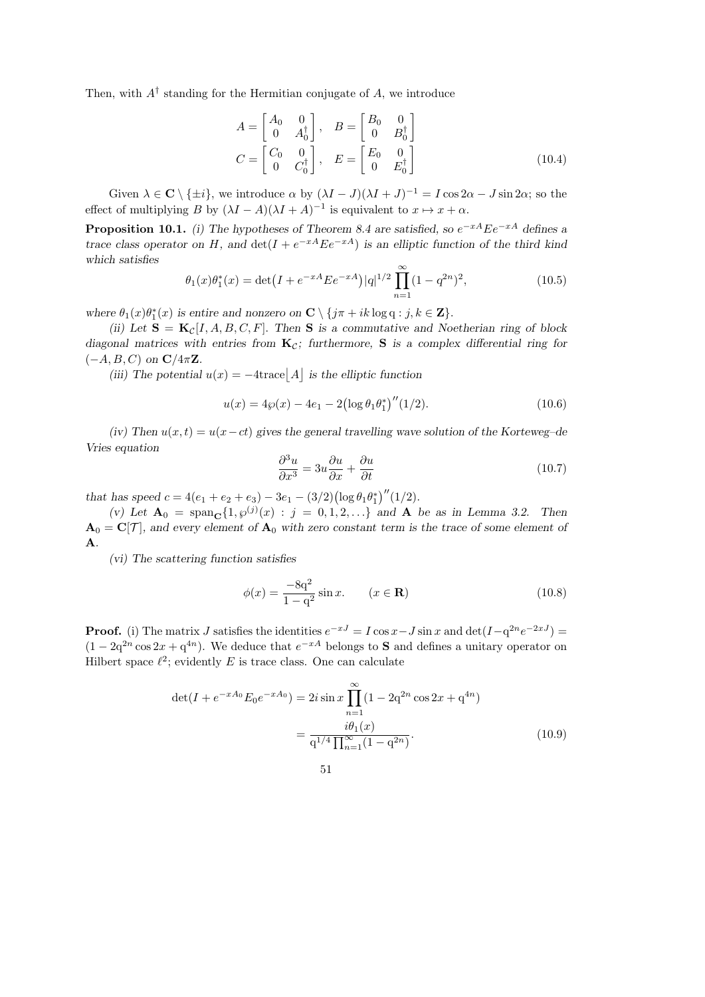Then, with  $A^{\dagger}$  standing for the Hermitian conjugate of A, we introduce

$$
A = \begin{bmatrix} A_0 & 0 \\ 0 & A_0^{\dagger} \end{bmatrix}, \quad B = \begin{bmatrix} B_0 & 0 \\ 0 & B_0^{\dagger} \end{bmatrix}
$$

$$
C = \begin{bmatrix} C_0 & 0 \\ 0 & C_0^{\dagger} \end{bmatrix}, \quad E = \begin{bmatrix} E_0 & 0 \\ 0 & E_0^{\dagger} \end{bmatrix}
$$
(10.4)

Given  $\lambda \in \mathbb{C} \setminus \{\pm i\}$ , we introduce  $\alpha$  by  $(\lambda I - J)(\lambda I + J)^{-1} = I \cos 2\alpha - J \sin 2\alpha$ ; so the effect of multiplying B by  $(\lambda I - A)(\lambda I + A)^{-1}$  is equivalent to  $x \mapsto x + \alpha$ .

**Proposition 10.1.** (i) The hypotheses of Theorem 8.4 are satisfied, so  $e^{-xA}Ee^{-xA}$  defines a trace class operator on H, and  $\det(I + e^{-xA} E e^{-xA})$  is an elliptic function of the third kind which satisfies

$$
\theta_1(x)\theta_1^*(x) = \det(I + e^{-xA}Ee^{-xA})|q|^{1/2}\prod_{n=1}^{\infty}(1-q^{2n})^2,
$$
\n(10.5)

where  $\theta_1(x)\theta_1^*(x)$  is entire and nonzero on  $\mathbf{C} \setminus \{j\pi + ik \log q : j, k \in \mathbf{Z}\}.$ 

(ii) Let  $\mathbf{S} = \mathbf{K}_{\mathcal{C}}[I, A, B, C, F]$ . Then S is a commutative and Noetherian ring of block diagonal matrices with entries from  $K_c$ ; furthermore, S is a complex differential ring for  $(-A, B, C)$  on  $\mathbf{C}/4\pi\mathbf{Z}$ .

(iii) The potential  $u(x) = -4$ trace | A | is the elliptic function

$$
u(x) = 4\wp(x) - 4e_1 - 2\left(\log \theta_1 \theta_1^*\right)''(1/2). \tag{10.6}
$$

(iv) Then  $u(x,t) = u(x-ct)$  gives the general travelling wave solution of the Korteweg–de Vries equation

$$
\frac{\partial^3 u}{\partial x^3} = 3u \frac{\partial u}{\partial x} + \frac{\partial u}{\partial t}
$$
 (10.7)

that has speed  $c = 4(e_1 + e_2 + e_3) - 3e_1 - (3/2)(\log \theta_1 \theta_1^*)''(1/2)$ .

(v) Let  $\mathbf{A}_0 = \text{span}_{\mathbf{C}}\{1, \wp^{(j)}(x) : j = 0, 1, 2, \ldots\}$  and  $\mathbf{A}$  be as in Lemma 3.2. Then  $\mathbf{A}_0 = \mathbf{C}[\mathcal{T}]$ , and every element of  $\mathbf{A}_0$  with zero constant term is the trace of some element of A.

(vi) The scattering function satisfies

$$
\phi(x) = \frac{-8q^2}{1 - q^2} \sin x. \qquad (x \in \mathbf{R})
$$
\n(10.8)

**Proof.** (i) The matrix J satisfies the identities  $e^{-xJ} = I \cos x - J \sin x$  and  $\det(I - q^{2n}e^{-2xJ}) =$  $(1-2q^{2n}\cos 2x+q^{4n})$ . We deduce that  $e^{-xA}$  belongs to **S** and defines a unitary operator on Hilbert space  $\ell^2$ ; evidently E is trace class. One can calculate

$$
\det(I + e^{-xA_0} E_0 e^{-xA_0}) = 2i \sin x \prod_{n=1}^{\infty} (1 - 2q^{2n} \cos 2x + q^{4n})
$$

$$
= \frac{i\theta_1(x)}{q^{1/4} \prod_{n=1}^{\infty} (1 - q^{2n})}.
$$
(10.9)

$$
51\,
$$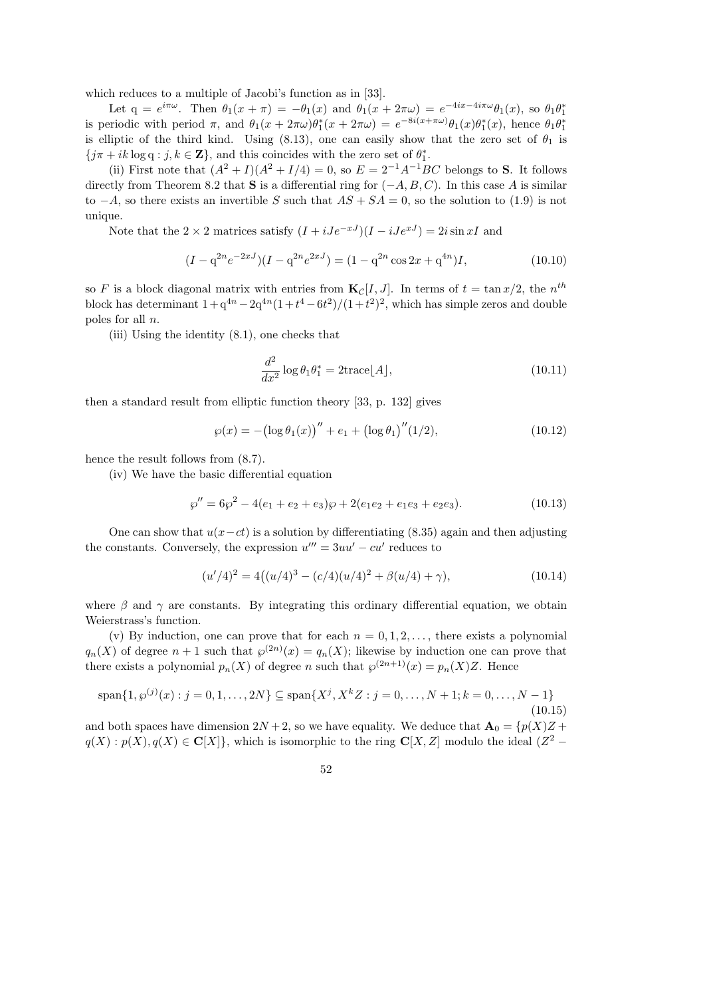which reduces to a multiple of Jacobi's function as in [33].

Let  $q = e^{i\pi\omega}$ . Then  $\theta_1(x + \pi) = -\theta_1(x)$  and  $\theta_1(x + 2\pi\omega) = e^{-4ix - 4i\pi\omega}\theta_1(x)$ , so  $\theta_1\theta_1^*$ is periodic with period  $\pi$ , and  $\theta_1(x+2\pi\omega)\theta_1^*(x+2\pi\omega) = e^{-8i(x+\pi\omega)}\theta_1(x)\theta_1^*(x)$ , hence  $\theta_1\theta_1^*$ is elliptic of the third kind. Using (8.13), one can easily show that the zero set of  $\theta_1$  is  ${j\pi + ik \log q : j, k \in \mathbf{Z}}$ , and this coincides with the zero set of  $\theta_1^*$ .

(ii) First note that  $(A^2 + I)(A^2 + I/4) = 0$ , so  $E = 2^{-1}A^{-1}BC$  belongs to S. It follows directly from Theorem 8.2 that S is a differential ring for  $(-A, B, C)$ . In this case A is similar to  $-A$ , so there exists an invertible S such that  $AS + SA = 0$ , so the solution to (1.9) is not unique.

Note that the 2 × 2 matrices satisfy  $(I + iJe^{-xJ})(I - iJe^{xJ}) = 2i \sin xI$  and

$$
(I - q^{2n}e^{-2xJ})(I - q^{2n}e^{2xJ}) = (1 - q^{2n}\cos 2x + q^{4n})I,
$$
\n(10.10)

so F is a block diagonal matrix with entries from  $\mathbf{K}_{\mathcal{C}}[I, J]$ . In terms of  $t = \tan x/2$ , the  $n^{th}$ block has determinant  $1+q^{4n}-2q^{4n}(1+t^4-6t^2)/(1+t^2)^2$ , which has simple zeros and double poles for all n.

(iii) Using the identity (8.1), one checks that

$$
\frac{d^2}{dx^2} \log \theta_1 \theta_1^* = 2 \text{trace}[A],\tag{10.11}
$$

then a standard result from elliptic function theory [33, p. 132] gives

$$
\wp(x) = -(\log \theta_1(x))'' + e_1 + (\log \theta_1)''(1/2), \tag{10.12}
$$

hence the result follows from  $(8.7)$ .

(iv) We have the basic differential equation

$$
\wp'' = 6\wp^2 - 4(e_1 + e_2 + e_3)\wp + 2(e_1e_2 + e_1e_3 + e_2e_3). \tag{10.13}
$$

One can show that  $u(x-ct)$  is a solution by differentiating (8.35) again and then adjusting the constants. Conversely, the expression  $u''' = 3uu' - cu'$  reduces to

$$
(u'/4)^2 = 4((u/4)^3 - (c/4)(u/4)^2 + \beta(u/4) + \gamma), \tag{10.14}
$$

where  $\beta$  and  $\gamma$  are constants. By integrating this ordinary differential equation, we obtain Weierstrass's function.

(v) By induction, one can prove that for each  $n = 0, 1, 2, \ldots$ , there exists a polynomial  $q_n(X)$  of degree  $n+1$  such that  $\wp^{(2n)}(x) = q_n(X)$ ; likewise by induction one can prove that there exists a polynomial  $p_n(X)$  of degree n such that  $\wp^{(2n+1)}(x) = p_n(X)Z$ . Hence

$$
\text{span}\{1, \wp^{(j)}(x) : j = 0, 1, \dots, 2N\} \subseteq \text{span}\{X^j, X^k Z : j = 0, \dots, N + 1; k = 0, \dots, N - 1\}
$$
\n(10.15)

and both spaces have dimension 2N + 2, so we have equality. We deduce that A<sup>0</sup> = {p(X)Z +  $q(X): p(X), q(X) \in \mathbf{C}[X]$ , which is isomorphic to the ring  $\mathbf{C}[X, Z]$  modulo the ideal  $(Z^2 -$ 

52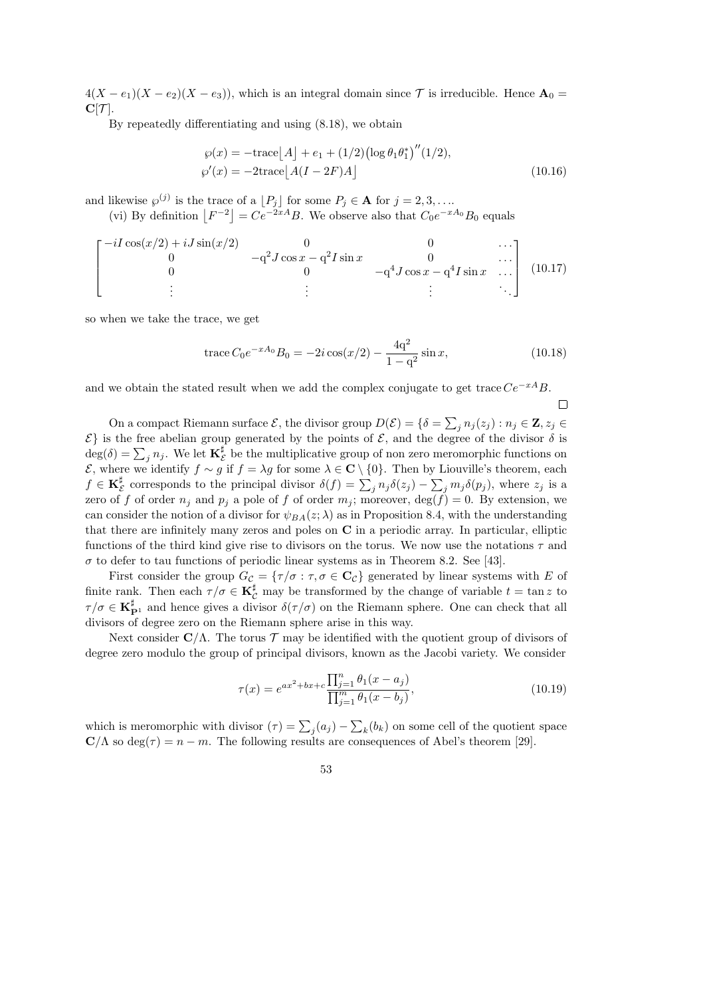$4(X - e_1)(X - e_2)(X - e_3)$ , which is an integral domain since  $\mathcal T$  is irreducible. Hence  $\mathbf{A}_0 =$  $\mathbf{C}[\mathcal{T}].$ 

By repeatedly differentiating and using (8.18), we obtain

$$
\wp(x) = -\text{trace}\left[A\right] + e_1 + (1/2)\left(\log \theta_1 \theta_1^*\right)''(1/2),
$$
  
\n
$$
\wp'(x) = -2\text{trace}\left[A(I - 2F)A\right]
$$
\n(10.16)

and likewise  $\wp^{(j)}$  is the trace of a  $\lfloor P_j \rfloor$  for some  $P_j \in \mathbf{A}$  for  $j = 2, 3, \ldots$ 

(vi) By definition  $\lfloor F^{-2} \rfloor = Ce^{-2xA}B$ . We observe also that  $C_0e^{-xA_0}B_0$  equals

$$
\begin{bmatrix}\n-iI\cos(x/2) + iJ\sin(x/2) & 0 & 0 & \cdots \\
0 & -q^2J\cos x - q^2I\sin x & 0 & \cdots \\
0 & 0 & -q^4J\cos x - q^4I\sin x & \cdots \\
\vdots & \vdots & \vdots & \ddots\n\end{bmatrix}
$$
(10.17)

so when we take the trace, we get

trace 
$$
C_0 e^{-xA_0} B_0 = -2i \cos(x/2) - \frac{4q^2}{1-q^2} \sin x,
$$
 (10.18)

 $\Box$ 

and we obtain the stated result when we add the complex conjugate to get trace  $Ce^{-xA}B$ .

On a compact Riemann surface  $\mathcal{E}$ , the divisor group  $D(\mathcal{E}) = \{ \delta = \sum_j n_j(z_j) : n_j \in \mathbf{Z}, z_j \in \mathbf{Z} \}$  $\mathcal{E}$  is the free abelian group generated by the points of  $\mathcal{E}$ , and the degree of the divisor  $\delta$  is  $\deg(\delta) = \sum_j n_j$ . We let  $\mathbf{K}_{\ell}^{\sharp}$  $\mathcal{E}$  be the multiplicative group of non zero meromorphic functions on  $\mathcal{E}$ , where we identify  $f \sim g$  if  $f = \lambda g$  for some  $\lambda \in \mathbb{C} \setminus \{0\}$ . Then by Liouville's theorem, each  $f\in \mathbf{K}^{\sharp}_{\beta}$  $\mathcal{E}$  corresponds to the principal divisor  $\delta(f) = \sum_j n_j \delta(z_j) - \sum_j m_j \delta(p_j)$ , where  $z_j$  is a zero of f of order  $n_j$  and  $p_j$  a pole of f of order  $m_j$ ; moreover,  $\deg(f) = 0$ . By extension, we can consider the notion of a divisor for  $\psi_{BA}(z; \lambda)$  as in Proposition 8.4, with the understanding that there are infinitely many zeros and poles on C in a periodic array. In particular, elliptic functions of the third kind give rise to divisors on the torus. We now use the notations  $\tau$  and  $\sigma$  to defer to tau functions of periodic linear systems as in Theorem 8.2. See [43].

First consider the group  $G_{\mathcal{C}} = {\{\tau/\sigma : \tau, \sigma \in \mathbb{C}_{\mathcal{C}}\}}$  generated by linear systems with E of finite rank. Then each  $\tau/\sigma \in \mathbf{K}_{\mathcal{C}}^{\sharp}$  may be transformed by the change of variable  $t = \tan z$  to  $\tau/\sigma \in \mathbf{K}_{\mathbf{P}^1}^{\sharp}$  and hence gives a divisor  $\delta(\tau/\sigma)$  on the Riemann sphere. One can check that all divisors of degree zero on the Riemann sphere arise in this way.

Next consider  $\mathbf{C}/\Lambda$ . The torus  $\mathcal T$  may be identified with the quotient group of divisors of degree zero modulo the group of principal divisors, known as the Jacobi variety. We consider

$$
\tau(x) = e^{ax^2 + bx + c} \frac{\prod_{j=1}^n \theta_1(x - a_j)}{\prod_{j=1}^m \theta_1(x - b_j)},
$$
\n(10.19)

which is meromorphic with divisor  $(\tau) = \sum_j (a_j) - \sum_k (b_k)$  on some cell of the quotient space  $\mathbf{C}/\Lambda$  so deg( $\tau$ ) = n – m. The following results are consequences of Abel's theorem [29].

$$
53\,
$$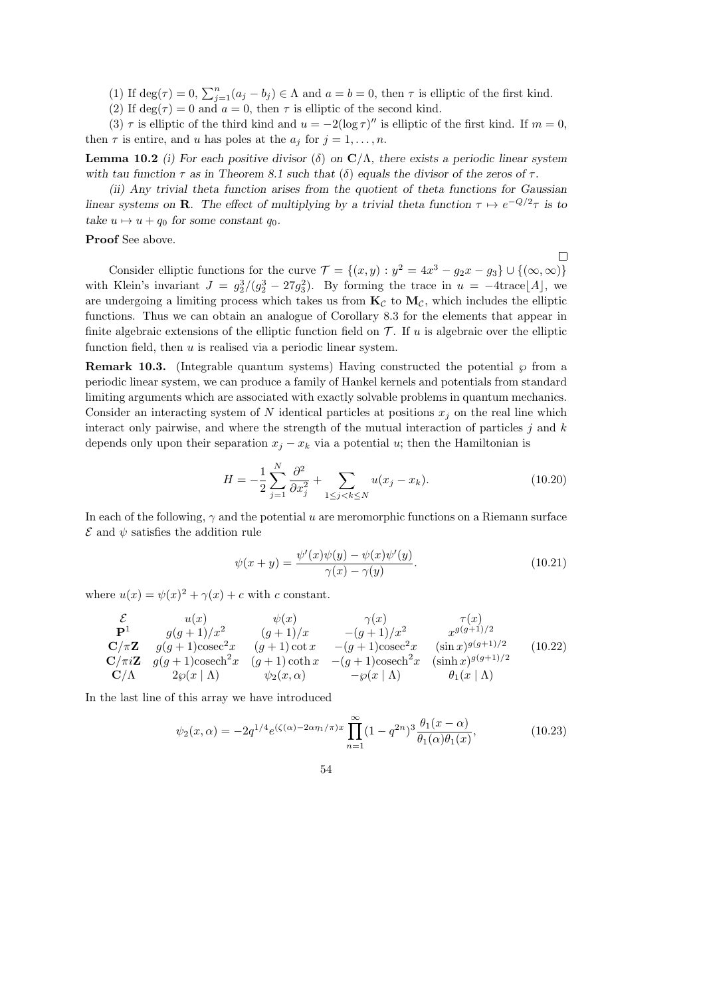(1) If deg( $\tau$ ) = 0,  $\sum_{j=1}^{n} (a_j - b_j) \in \Lambda$  and  $a = b = 0$ , then  $\tau$  is elliptic of the first kind.

(2) If deg( $\tau$ ) = 0 and  $a = 0$ , then  $\tau$  is elliptic of the second kind.

(3)  $\tau$  is elliptic of the third kind and  $u = -2(\log \tau)$ " is elliptic of the first kind. If  $m = 0$ , then  $\tau$  is entire, and u has poles at the  $a_j$  for  $j = 1, \ldots, n$ .

**Lemma 10.2** (i) For each positive divisor (δ) on  $\mathbb{C}/\Lambda$ , there exists a periodic linear system with tau function  $\tau$  as in Theorem 8.1 such that  $(\delta)$  equals the divisor of the zeros of  $\tau$ .

(ii) Any trivial theta function arises from the quotient of theta functions for Gaussian linear systems on **R**. The effect of multiplying by a trivial theta function  $\tau \mapsto e^{-Q/2}\tau$  is to take  $u \mapsto u + q_0$  for some constant  $q_0$ .

Proof See above.

 $\Box$ Consider elliptic functions for the curve  $\mathcal{T} = \{(x, y) : y^2 = 4x^3 - g_2x - g_3\} \cup \{(\infty, \infty)\}\$ with Klein's invariant  $J = g_2^3/(g_2^3 - 27g_3^2)$ . By forming the trace in  $u = -4$ trace  $[A]$ , we are undergoing a limiting process which takes us from  $\mathbf{K}_{\mathcal{C}}$  to  $\mathbf{M}_{\mathcal{C}}$ , which includes the elliptic functions. Thus we can obtain an analogue of Corollary 8.3 for the elements that appear in finite algebraic extensions of the elliptic function field on  $\mathcal T$ . If u is algebraic over the elliptic function field, then  $u$  is realised via a periodic linear system.

**Remark 10.3.** (Integrable quantum systems) Having constructed the potential  $\wp$  from a periodic linear system, we can produce a family of Hankel kernels and potentials from standard limiting arguments which are associated with exactly solvable problems in quantum mechanics. Consider an interacting system of N identical particles at positions  $x_j$  on the real line which interact only pairwise, and where the strength of the mutual interaction of particles  $j$  and  $k$ depends only upon their separation  $x_j - x_k$  via a potential u; then the Hamiltonian is

$$
H = -\frac{1}{2} \sum_{j=1}^{N} \frac{\partial^2}{\partial x_j^2} + \sum_{1 \le j < k \le N} u(x_j - x_k). \tag{10.20}
$$

In each of the following,  $\gamma$  and the potential u are meromorphic functions on a Riemann surface  $\mathcal E$  and  $\psi$  satisfies the addition rule

$$
\psi(x+y) = \frac{\psi'(x)\psi(y) - \psi(x)\psi'(y)}{\gamma(x) - \gamma(y)}.\tag{10.21}
$$

where  $u(x) = \psi(x)^2 + \gamma(x) + c$  with c constant.

$$
\mathcal{E} \n\mathbf{P}^1 \n\mathbf{g}(g+1)/x^2 \n\mathbf{g}(g+1)/x^2 \n\mathbf{g}(g+1) \cos c^2 x \n\mathbf{g}(g+1) \cot x \n\mathbf{g}(g+1) \cot x \n\mathbf{g}(g+1) \cot x \n\mathbf{g}(g+1) \cot x \n\mathbf{g}(g+1) \cot x \n\mathbf{g}(g+1) \cot x \n\mathbf{g}(g+1) \cot x \n\mathbf{g}(g+1) \cot x \n\mathbf{g}(g+1) \cot x \n\mathbf{g}(g+1) \cot x \n\mathbf{g}(g+1) \cot x \n\mathbf{g}(g+1) \cot x \n\mathbf{g}(g+1) \cot x \n\mathbf{g}(g+1) \cot x \n\mathbf{g}(g+1) \cot x \n\mathbf{g}(g+1) \cot x \n\mathbf{g}(g+1) \cot x \n\mathbf{g}(g+1) \cot x \n\mathbf{g}(g+1) \cot x \n\mathbf{g}(g+1) \cot x \n\mathbf{g}(g+1) \cot x \n\mathbf{g}(g+1) \cot x \n\mathbf{g}(g+1) \cot x \n\mathbf{g}(g+1) \cot x \n\mathbf{g}(g+1) \cot x \n\mathbf{g}(g+1) \cot x \n\mathbf{g}(g+1) \cot x \n\mathbf{g}(g+1) \cot x \n\mathbf{g}(g+1) \n\mathbf{g}(g+1) \n\mathbf{g}(g+1) \n\mathbf{g}(g+1) \n\mathbf{g}(g+1) \n\mathbf{g}(g+1) \n\mathbf{g}(g+1) \n\mathbf{g}(g+1) \n\mathbf{g}(g+1) \n\mathbf{g}(g+1) \n\mathbf{g}(g+1) \n\mathbf{g}(g+1) \n\mathbf{g}(g+1) \n\mathbf{g}(g+1) \n\mathbf{g}(g+1) \n\mathbf{g}(g+1) \n\mathbf{g}(g+1) \n\mathbf{g}(g+1) \n\mathbf{g}(g+1) \n\mathbf{g}(g+1) \n\mathbf{g}(g+1) \n\mathbf{g}(g+1) \n\mathbf{g}(g+1)
$$

In the last line of this array we have introduced

$$
\psi_2(x,\alpha) = -2q^{1/4} e^{(\zeta(\alpha) - 2\alpha \eta_1/\pi)x} \prod_{n=1}^{\infty} (1 - q^{2n})^3 \frac{\theta_1(x - \alpha)}{\theta_1(\alpha)\theta_1(x)},
$$
(10.23)

$$
54\,
$$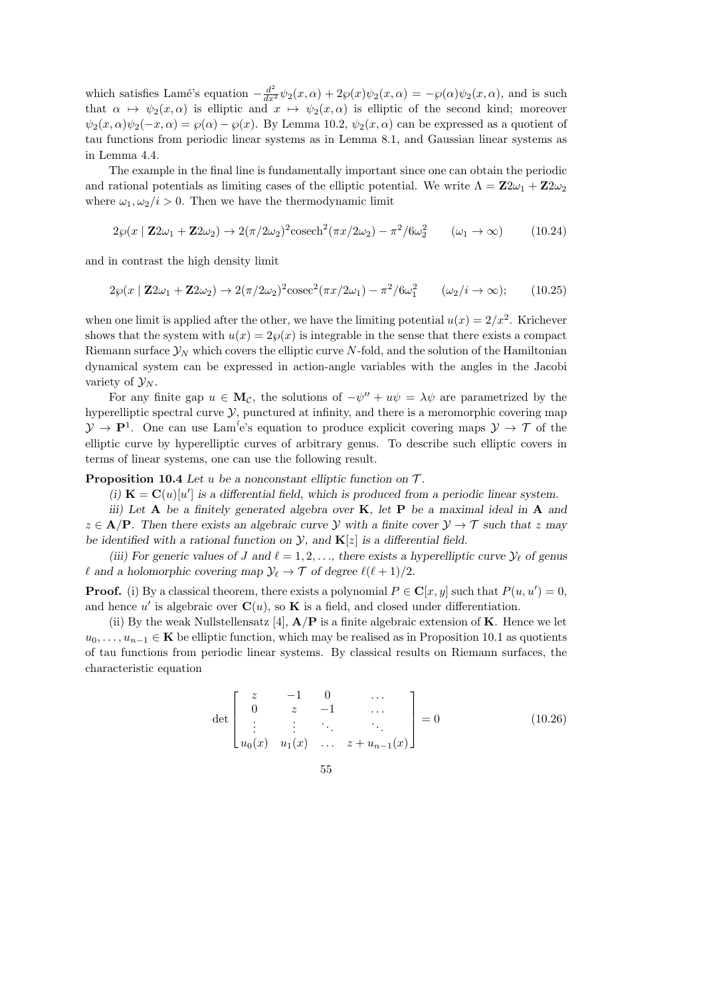which satisfies Lamé's equation  $-\frac{d^2}{dx^2}\psi_2(x,\alpha) + 2\wp(x)\psi_2(x,\alpha) = -\wp(\alpha)\psi_2(x,\alpha)$ , and is such that  $\alpha \mapsto \psi_2(x, \alpha)$  is elliptic and  $x \mapsto \psi_2(x, \alpha)$  is elliptic of the second kind; moreover  $\psi_2(x,\alpha)\psi_2(-x,\alpha) = \wp(\alpha) - \wp(x)$ . By Lemma 10.2,  $\psi_2(x,\alpha)$  can be expressed as a quotient of tau functions from periodic linear systems as in Lemma 8.1, and Gaussian linear systems as in Lemma 4.4.

The example in the final line is fundamentally important since one can obtain the periodic and rational potentials as limiting cases of the elliptic potential. We write  $\Lambda = \mathbf{Z} 2\omega_1 + \mathbf{Z} 2\omega_2$ where  $\omega_1, \omega_2/i > 0$ . Then we have the thermodynamic limit

$$
2\wp(x \mid \mathbf{Z}2\omega_1 + \mathbf{Z}2\omega_2) \to 2(\pi/2\omega_2)^2 \text{cosech}^2(\pi x/2\omega_2) - \pi^2/6\omega_2^2 \qquad (\omega_1 \to \infty) \tag{10.24}
$$

and in contrast the high density limit

$$
2\wp(x \mid \mathbf{Z}2\omega_1 + \mathbf{Z}2\omega_2) \to 2(\pi/2\omega_2)^2 \csc^2(\pi x/2\omega_1) - \pi^2/6\omega_1^2 \qquad (\omega_2/i \to \infty); \qquad (10.25)
$$

when one limit is applied after the other, we have the limiting potential  $u(x) = 2/x^2$ . Krichever shows that the system with  $u(x) = 2\wp(x)$  is integrable in the sense that there exists a compact Riemann surface  $\mathcal{Y}_N$  which covers the elliptic curve N-fold, and the solution of the Hamiltonian dynamical system can be expressed in action-angle variables with the angles in the Jacobi variety of  $\mathcal{Y}_N$ .

For any finite gap  $u \in M_{\mathcal{C}}$ , the solutions of  $-\psi'' + u\psi = \lambda\psi$  are parametrized by the hyperelliptic spectral curve  $\mathcal{Y}$ , punctured at infinity, and there is a meromorphic covering map  $\mathcal{Y} \to \mathbf{P}^1$ . One can use Lam<sup>'</sup>e's equation to produce explicit covering maps  $\mathcal{Y} \to \mathcal{T}$  of the elliptic curve by hyperelliptic curves of arbitrary genus. To describe such elliptic covers in terms of linear systems, one can use the following result.

**Proposition 10.4** Let u be a nonconstant elliptic function on  $\mathcal{T}$ .

(i)  $\mathbf{K} = \mathbf{C}(u)[u']$  is a differential field, which is produced from a periodic linear system.

iii) Let  $A$  be a finitely generated algebra over  $K$ , let  $P$  be a maximal ideal in  $A$  and  $z \in A/P$ . Then there exists an algebraic curve Y with a finite cover  $\mathcal{Y} \to \mathcal{T}$  such that z may be identified with a rational function on  $\mathcal{Y}$ , and  $\mathbf{K}[z]$  is a differential field.

(iii) For generic values of J and  $\ell = 1, 2, \ldots$ , there exists a hyperelliptic curve  $\mathcal{Y}_\ell$  of genus  $\ell$  and a holomorphic covering map  $\mathcal{Y}_\ell \to \mathcal{T}$  of degree  $\ell(\ell + 1)/2$ .

**Proof.** (i) By a classical theorem, there exists a polynomial  $P \in \mathbb{C}[x, y]$  such that  $P(u, u') = 0$ , and hence u' is algebraic over  $\mathbf{C}(u)$ , so **K** is a field, and closed under differentiation.

(ii) By the weak Nullstellensatz [4],  $\mathbf{A}/\mathbf{P}$  is a finite algebraic extension of **K**. Hence we let  $u_0, \ldots, u_{n-1} \in \mathbf{K}$  be elliptic function, which may be realised as in Proposition 10.1 as quotients of tau functions from periodic linear systems. By classical results on Riemann surfaces, the characteristic equation

$$
\det \begin{bmatrix} z & -1 & 0 & \dots \\ 0 & z & -1 & \dots \\ \vdots & \vdots & \ddots & \vdots \\ u_0(x) & u_1(x) & \dots & z + u_{n-1}(x) \end{bmatrix} = 0
$$
 (10.26)

55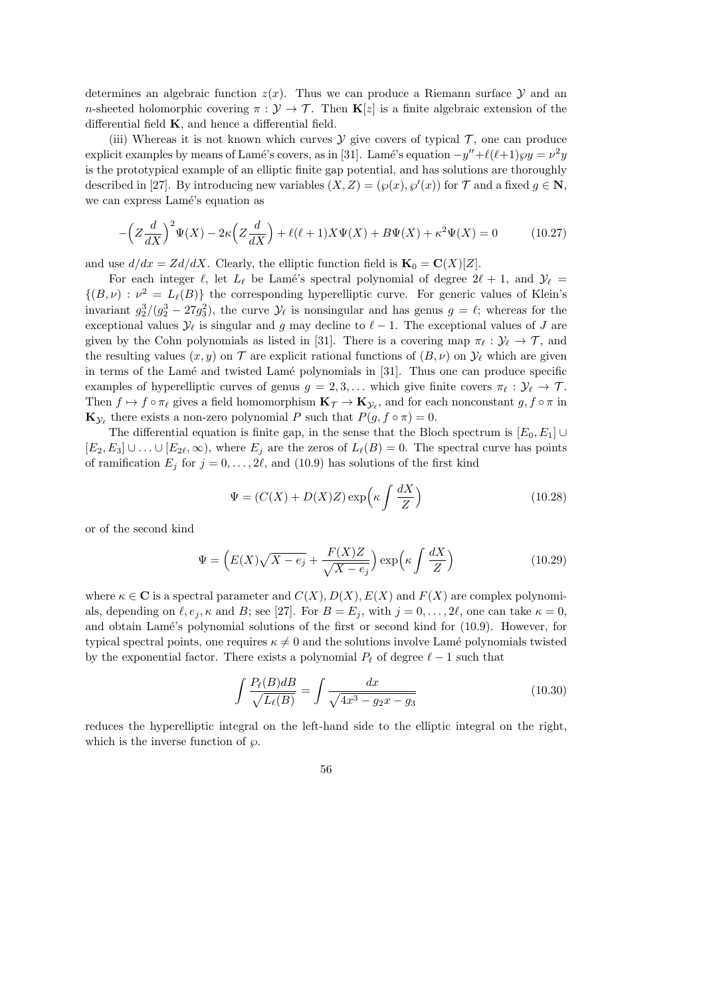determines an algebraic function  $z(x)$ . Thus we can produce a Riemann surface  $\mathcal Y$  and an n-sheeted holomorphic covering  $\pi : \mathcal{Y} \to \mathcal{T}$ . Then  $\mathbf{K}[z]$  is a finite algebraic extension of the differential field  $K$ , and hence a differential field.

(iii) Whereas it is not known which curves  $\mathcal Y$  give covers of typical  $\mathcal T$ , one can produce explicit examples by means of Lamé's covers, as in [31]. Lamé's equation  $-y'' + \ell(\ell+1)\wp y = \nu^2 y$ is the prototypical example of an elliptic finite gap potential, and has solutions are thoroughly described in [27]. By introducing new variables  $(X, Z) = (\wp(x), \wp'(x))$  for T and a fixed  $g \in \mathbb{N}$ , we can express Lamé's equation as

$$
-\left(Z\frac{d}{dX}\right)^2\Psi(X) - 2\kappa\left(Z\frac{d}{dX}\right) + \ell(\ell+1)X\Psi(X) + B\Psi(X) + \kappa^2\Psi(X) = 0\tag{10.27}
$$

and use  $d/dx = Zd/dX$ . Clearly, the elliptic function field is  $\mathbf{K}_0 = \mathbf{C}(X)[Z]$ .

For each integer  $\ell$ , let  $L_{\ell}$  be Lamé's spectral polynomial of degree  $2\ell + 1$ , and  $\mathcal{Y}_{\ell} =$  $\{(B,\nu) : \nu^2 = L_{\ell}(B)\}\$ the corresponding hyperelliptic curve. For generic values of Klein's invariant  $g_2^3/(g_2^3-27g_3^2)$ , the curve  $\mathcal{Y}_\ell$  is nonsingular and has genus  $g=\ell$ ; whereas for the exceptional values  $\mathcal{Y}_\ell$  is singular and g may decline to  $\ell - 1$ . The exceptional values of J are given by the Cohn polynomials as listed in [31]. There is a covering map  $\pi_\ell : \mathcal{Y}_\ell \to \mathcal{T}$ , and the resulting values  $(x, y)$  on T are explicit rational functions of  $(B, \nu)$  on  $\mathcal{Y}_\ell$  which are given in terms of the Lamé and twisted Lamé polynomials in  $[31]$ . Thus one can produce specific examples of hyperelliptic curves of genus  $g = 2, 3, \ldots$  which give finite covers  $\pi_{\ell} : \mathcal{Y}_{\ell} \to \mathcal{T}$ . Then  $f \mapsto f \circ \pi_\ell$  gives a field homomorphism  $\mathbf{K}_{\mathcal{T}} \to \mathbf{K}_{\mathcal{Y}_\ell}$ , and for each nonconstant  $g, f \circ \pi$  in  $\mathbf{K}_{\mathcal{Y}_{\ell}}$  there exists a non-zero polynomial P such that  $P(g, f \circ \pi) = 0$ .

The differential equation is finite gap, in the sense that the Bloch spectrum is  $[E_0, E_1] \cup$  $[E_2, E_3] \cup \ldots \cup [E_{2\ell}, \infty)$ , where  $E_j$  are the zeros of  $L_{\ell}(B) = 0$ . The spectral curve has points of ramification  $E_j$  for  $j = 0, \ldots, 2\ell$ , and (10.9) has solutions of the first kind

$$
\Psi = (C(X) + D(X)Z) \exp\left(\kappa \int \frac{dX}{Z}\right) \tag{10.28}
$$

or of the second kind

$$
\Psi = \left( E(X)\sqrt{X - e_j} + \frac{F(X)Z}{\sqrt{X - e_j}} \right) \exp\left(\kappa \int \frac{dX}{Z}\right) \tag{10.29}
$$

where  $\kappa \in \mathbb{C}$  is a spectral parameter and  $C(X)$ ,  $D(X)$ ,  $E(X)$  and  $F(X)$  are complex polynomials, depending on  $\ell, e_j, \kappa$  and B; see [27]. For  $B = E_j$ , with  $j = 0, \ldots, 2\ell$ , one can take  $\kappa = 0$ , and obtain Lamé's polynomial solutions of the first or second kind for  $(10.9)$ . However, for typical spectral points, one requires  $\kappa \neq 0$  and the solutions involve Lamé polynomials twisted by the exponential factor. There exists a polynomial  $P_\ell$  of degree  $\ell - 1$  such that

$$
\int \frac{P_{\ell}(B)dB}{\sqrt{L_{\ell}(B)}} = \int \frac{dx}{\sqrt{4x^3 - g_2x - g_3}}
$$
(10.30)

reduces the hyperelliptic integral on the left-hand side to the elliptic integral on the right, which is the inverse function of  $\wp$ .

$$
^{56}
$$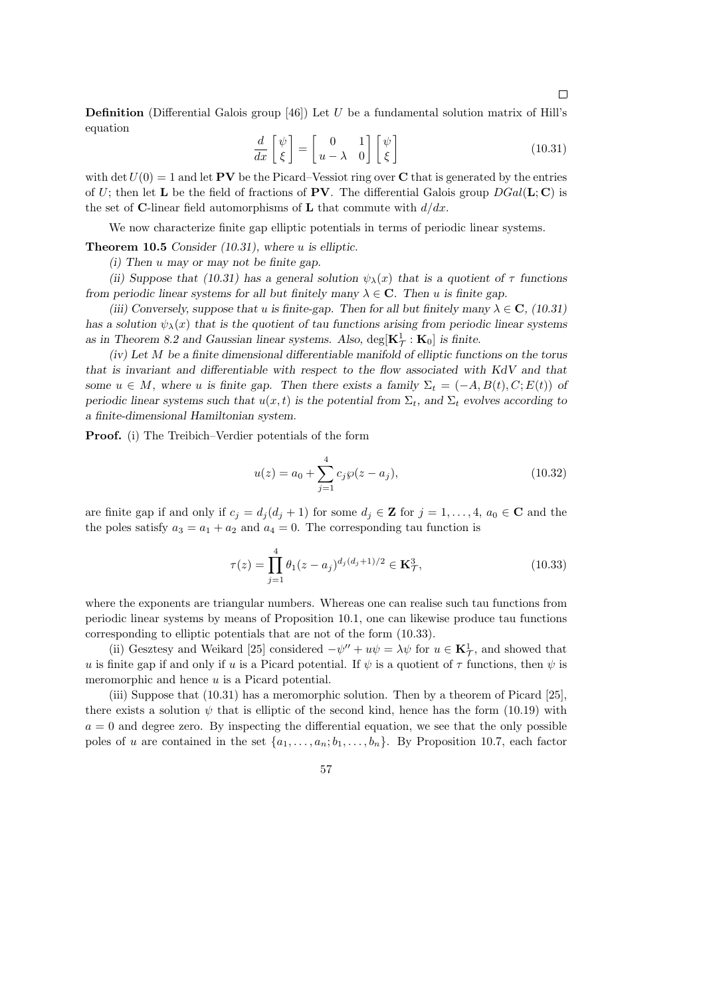**Definition** (Differential Galois group [46]) Let U be a fundamental solution matrix of Hill's equation

$$
\frac{d}{dx}\begin{bmatrix} \psi \\ \xi \end{bmatrix} = \begin{bmatrix} 0 & 1 \\ u - \lambda & 0 \end{bmatrix} \begin{bmatrix} \psi \\ \xi \end{bmatrix}
$$
\n(10.31)

with det  $U(0) = 1$  and let **PV** be the Picard–Vessiot ring over **C** that is generated by the entries of U; then let L be the field of fractions of PV. The differential Galois group  $DGal(L; C)$  is the set of C-linear field automorphisms of L that commute with  $d/dx$ .

We now characterize finite gap elliptic potentials in terms of periodic linear systems.

**Theorem 10.5** Consider  $(10.31)$ , where u is elliptic.

(i) Then u may or may not be finite gap.

(ii) Suppose that (10.31) has a general solution  $\psi_{\lambda}(x)$  that is a quotient of  $\tau$  functions from periodic linear systems for all but finitely many  $\lambda \in \mathbb{C}$ . Then u is finite gap.

(iii) Conversely, suppose that u is finite-gap. Then for all but finitely many  $\lambda \in \mathbb{C}$ , (10.31) has a solution  $\psi_{\lambda}(x)$  that is the quotient of tau functions arising from periodic linear systems as in Theorem 8.2 and Gaussian linear systems. Also,  $deg[\mathbf{K}_{\mathcal{T}}^1 : \mathbf{K}_0]$  is finite.

(iv) Let M be a finite dimensional differentiable manifold of elliptic functions on the torus that is invariant and differentiable with respect to the flow associated with KdV and that some  $u \in M$ , where u is finite gap. Then there exists a family  $\Sigma_t = (-A, B(t), C; E(t))$  of periodic linear systems such that  $u(x, t)$  is the potential from  $\Sigma_t$ , and  $\Sigma_t$  evolves according to a finite-dimensional Hamiltonian system.

Proof. (i) The Treibich–Verdier potentials of the form

$$
u(z) = a_0 + \sum_{j=1}^{4} c_j \wp(z - a_j),
$$
\n(10.32)

are finite gap if and only if  $c_j = d_j (d_j + 1)$  for some  $d_j \in \mathbf{Z}$  for  $j = 1, \ldots, 4, a_0 \in \mathbf{C}$  and the the poles satisfy  $a_3 = a_1 + a_2$  and  $a_4 = 0$ . The corresponding tau function is

$$
\tau(z) = \prod_{j=1}^{4} \theta_1 (z - a_j)^{d_j(d_j + 1)/2} \in \mathbf{K}_{\mathcal{T}}^3,
$$
\n(10.33)

where the exponents are triangular numbers. Whereas one can realise such tau functions from periodic linear systems by means of Proposition 10.1, one can likewise produce tau functions corresponding to elliptic potentials that are not of the form (10.33).

(ii) Gesztesy and Weikard [25] considered  $-\psi'' + u\psi = \lambda\psi$  for  $u \in \mathbf{K}^1_{\mathcal{T}}$ , and showed that u is finite gap if and only if u is a Picard potential. If  $\psi$  is a quotient of  $\tau$  functions, then  $\psi$  is meromorphic and hence u is a Picard potential.

(iii) Suppose that (10.31) has a meromorphic solution. Then by a theorem of Picard [25], there exists a solution  $\psi$  that is elliptic of the second kind, hence has the form (10.19) with  $a = 0$  and degree zero. By inspecting the differential equation, we see that the only possible poles of u are contained in the set  $\{a_1, \ldots, a_n; b_1, \ldots, b_n\}$ . By Proposition 10.7, each factor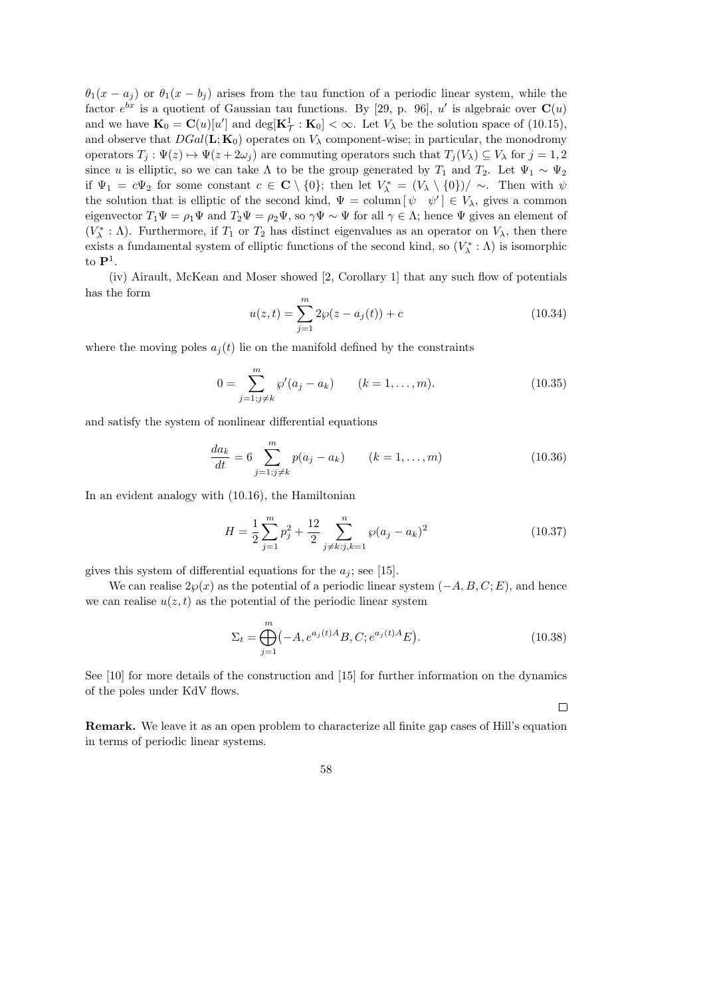$\theta_1(x-a_j)$  or  $\theta_1(x-b_j)$  arises from the tau function of a periodic linear system, while the factor  $e^{bx}$  is a quotient of Gaussian tau functions. By [29, p. 96], u' is algebraic over  $\mathbf{C}(u)$ and we have  $\mathbf{K}_0 = \mathbf{C}(u)[u']$  and  $\text{deg}[\mathbf{K}_{\mathcal{T}}^1 : \mathbf{K}_0] < \infty$ . Let  $V_\lambda$  be the solution space of (10.15), and observe that  $DGal(\mathbf{L}; \mathbf{K}_0)$  operates on  $V_\lambda$  component-wise; in particular, the monodromy operators  $T_j : \Psi(z) \mapsto \Psi(z + 2\omega_j)$  are commuting operators such that  $T_j(V_\lambda) \subseteq V_\lambda$  for  $j = 1, 2$ since u is elliptic, so we can take  $\Lambda$  to be the group generated by  $T_1$  and  $T_2$ . Let  $\Psi_1 \sim \Psi_2$ if  $\Psi_1 = c\Psi_2$  for some constant  $c \in \mathbb{C} \setminus \{0\}$ ; then let  $V^*_{\lambda} = (V_{\lambda} \setminus \{0\})/\sim$ . Then with  $\psi$ the solution that is elliptic of the second kind,  $\Psi = \text{column} \left[ \psi \quad \psi' \right] \in V_{\lambda}$ , gives a common eigenvector  $T_1\Psi = \rho_1\Psi$  and  $T_2\Psi = \rho_2\Psi$ , so  $\gamma\Psi \sim \Psi$  for all  $\gamma \in \Lambda$ ; hence  $\Psi$  gives an element of  $(V^*_{\lambda} : \Lambda)$ . Furthermore, if  $T_1$  or  $T_2$  has distinct eigenvalues as an operator on  $V_{\lambda}$ , then there exists a fundamental system of elliptic functions of the second kind, so  $(V^*_{\lambda} : \Lambda)$  is isomorphic to  $\mathbf{P}^1$ .

(iv) Airault, McKean and Moser showed [2, Corollary 1] that any such flow of potentials has the form

$$
u(z,t) = \sum_{j=1}^{m} 2\wp(z - a_j(t)) + c
$$
 (10.34)

where the moving poles  $a_j(t)$  lie on the manifold defined by the constraints

$$
0 = \sum_{j=1; j \neq k}^{m} \wp'(a_j - a_k) \qquad (k = 1, ..., m). \tag{10.35}
$$

and satisfy the system of nonlinear differential equations

$$
\frac{da_k}{dt} = 6 \sum_{j=1; j \neq k}^{m} p(a_j - a_k) \qquad (k = 1, ..., m)
$$
\n(10.36)

In an evident analogy with (10.16), the Hamiltonian

$$
H = \frac{1}{2} \sum_{j=1}^{m} p_j^2 + \frac{12}{2} \sum_{j \neq k: j, k=1}^{n} \wp(a_j - a_k)^2
$$
 (10.37)

gives this system of differential equations for the  $a_i$ ; see [15].

We can realise  $2\wp(x)$  as the potential of a periodic linear system  $(-A, B, C; E)$ , and hence we can realise  $u(z, t)$  as the potential of the periodic linear system

$$
\Sigma_t = \bigoplus_{j=1}^m (-A, e^{a_j(t)A}B, C; e^{a_j(t)A}E). \tag{10.38}
$$

See [10] for more details of the construction and [15] for further information on the dynamics of the poles under KdV flows.

 $\Box$ 

Remark. We leave it as an open problem to characterize all finite gap cases of Hill's equation in terms of periodic linear systems.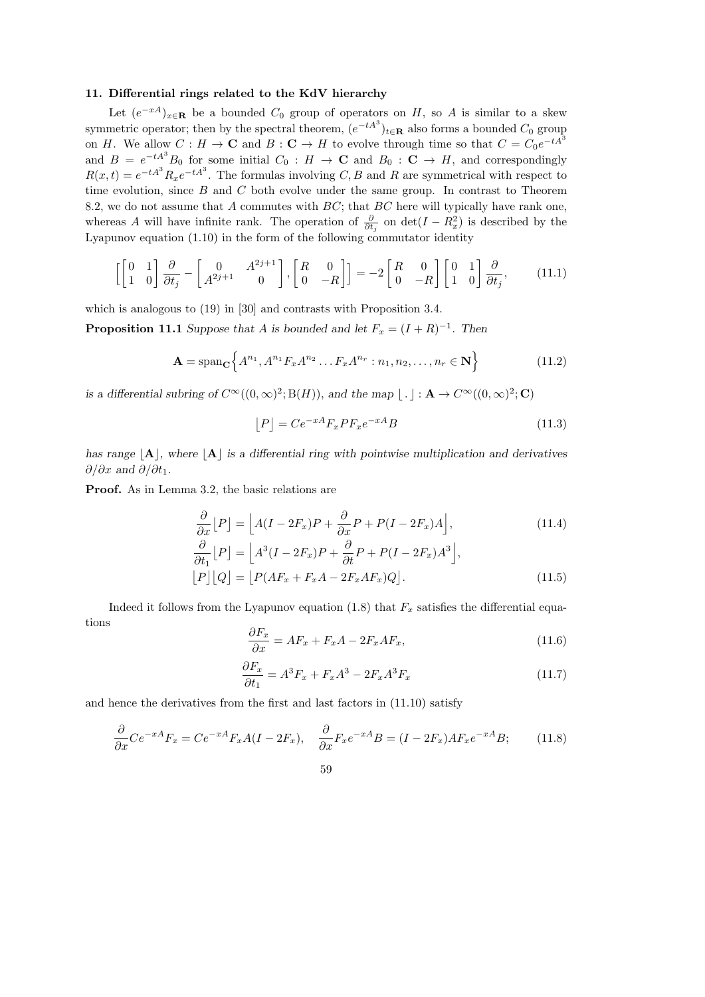# 11. Differential rings related to the KdV hierarchy

Let  $(e^{-xA})_{x\in\mathbf{R}}$  be a bounded  $C_0$  group of operators on H, so A is similar to a skew symmetric operator; then by the spectral theorem,  $(e^{-tA^3})_{t\in\mathbf{R}}$  also forms a bounded  $C_0$  group on H. We allow  $C: H \to \mathbf{C}$  and  $B: \mathbf{C} \to H$  to evolve through time so that  $C = C_0 e^{-tA^3}$ and  $B = e^{-tA^3}B_0$  for some initial  $C_0 : H \to \mathbf{C}$  and  $B_0 : \mathbf{C} \to H$ , and correspondingly  $R(x,t) = e^{-tA^3} R_x e^{-tA^3}$ . The formulas involving C, B and R are symmetrical with respect to time evolution, since  $B$  and  $C$  both evolve under the same group. In contrast to Theorem 8.2, we do not assume that  $A$  commutes with  $BC$ ; that  $BC$  here will typically have rank one, whereas A will have infinite rank. The operation of  $\frac{\partial}{\partial t_j}$  on  $\det(I - R_x^2)$  is described by the Lyapunov equation  $(1.10)$  in the form of the following commutator identity

$$
\begin{bmatrix} 0 & 1 \ 1 & 0 \end{bmatrix} \frac{\partial}{\partial t_j} - \begin{bmatrix} 0 & A^{2j+1} \ A^{2j+1} & 0 \end{bmatrix}, \begin{bmatrix} R & 0 \ 0 & -R \end{bmatrix} \begin{bmatrix} R & 0 \ 0 & -R \end{bmatrix} \begin{bmatrix} 0 & 1 \ 1 & 0 \end{bmatrix} \frac{\partial}{\partial t_j}, \qquad (11.1)
$$

which is analogous to  $(19)$  in  $[30]$  and contrasts with Proposition 3.4.

**Proposition 11.1** Suppose that A is bounded and let  $F_x = (I + R)^{-1}$ . Then

$$
\mathbf{A} = \text{span}_{\mathbf{C}} \left\{ A^{n_1}, A^{n_1} F_x A^{n_2} \dots F_x A^{n_r} : n_1, n_2, \dots, n_r \in \mathbf{N} \right\}
$$
(11.2)

is a differential subring of  $C^{\infty}((0,\infty)^2;B(H))$ , and the map  $\lfloor . \rfloor : \mathbf{A} \to C^{\infty}((0,\infty)^2; \mathbf{C})$ 

$$
[P] = Ce^{-xA}F_xPF_xe^{-xA}B\tag{11.3}
$$

has range  $|\mathbf{A}|$ , where  $|\mathbf{A}|$  is a differential ring with pointwise multiplication and derivatives  $\partial/\partial x$  and  $\partial/\partial t_1$ .

Proof. As in Lemma 3.2, the basic relations are

$$
\frac{\partial}{\partial x}[P] = \left[ A(I - 2F_x)P + \frac{\partial}{\partial x}P + P(I - 2F_x)A \right],\tag{11.4}
$$

$$
\frac{\partial}{\partial t_1} [P] = \left[ A^3 (I - 2F_x) P + \frac{\partial}{\partial t} P + P(I - 2F_x) A^3 \right],
$$
  
\n
$$
[P] [Q] = \left[ P(AF_x + F_x A - 2F_x AF_x) Q \right].
$$
\n(11.5)

Indeed it follows from the Lyapunov equation (1.8) that  $F_x$  satisfies the differential equations

$$
\frac{\partial F_x}{\partial x} = AF_x + F_x A - 2F_x AF_x,\tag{11.6}
$$

$$
\frac{\partial F_x}{\partial t_1} = A^3 F_x + F_x A^3 - 2F_x A^3 F_x \tag{11.7}
$$

and hence the derivatives from the first and last factors in (11.10) satisfy

$$
\frac{\partial}{\partial x}Ce^{-xA}F_x = Ce^{-xA}F_xA(I - 2F_x), \quad \frac{\partial}{\partial x}F_xe^{-xA}B = (I - 2F_x)AF_xe^{-xA}B; \tag{11.8}
$$
\n
$$
59
$$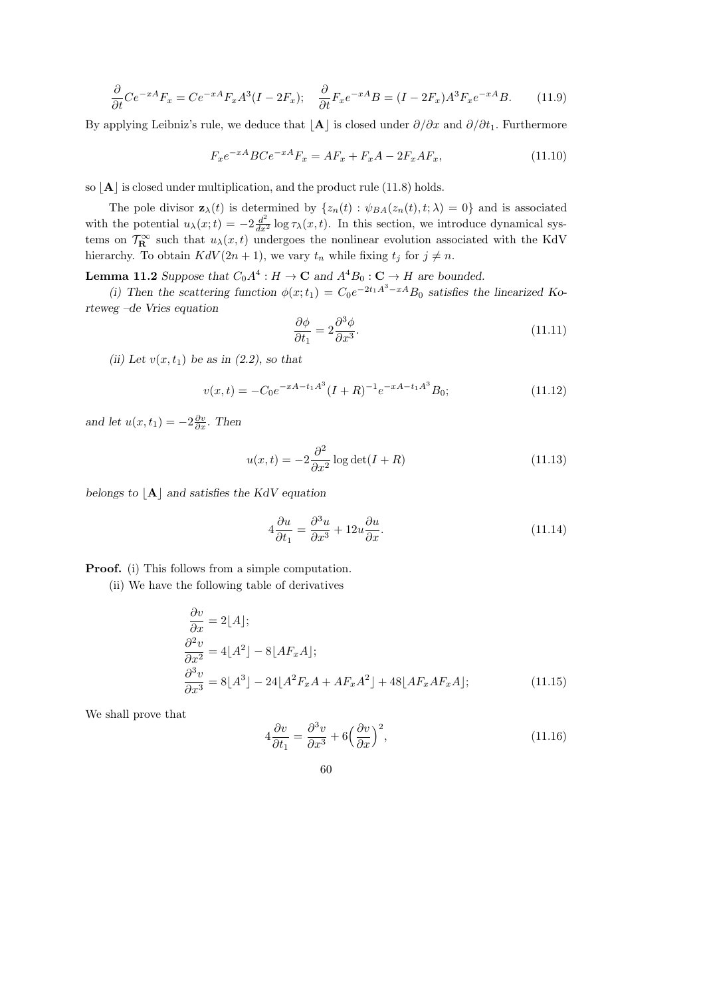$$
\frac{\partial}{\partial t}Ce^{-xA}F_x = Ce^{-xA}F_xA^3(I - 2F_x); \quad \frac{\partial}{\partial t}F_xe^{-xA}B = (I - 2F_x)A^3F_xe^{-xA}B. \tag{11.9}
$$

By applying Leibniz's rule, we deduce that  $|\mathbf{A}|$  is closed under  $\partial/\partial x$  and  $\partial/\partial t_1$ . Furthermore

$$
F_x e^{-xA} B C e^{-xA} F_x = AF_x + F_x A - 2F_x AF_x,
$$
\n(11.10)

so  $|\mathbf{A}|$  is closed under multiplication, and the product rule (11.8) holds.

The pole divisor  $\mathbf{z}_{\lambda}(t)$  is determined by  $\{z_n(t): \psi_{BA}(z_n(t), t; \lambda) = 0\}$  and is associated with the potential  $u_{\lambda}(x;t) = -2\frac{d^2}{dx^2}\log \tau_{\lambda}(x,t)$ . In this section, we introduce dynamical systems on  $\mathcal{T}_{\mathbf{R}}^{\infty}$  such that  $u_{\lambda}(x,t)$  undergoes the nonlinear evolution associated with the KdV hierarchy. To obtain  $KdV(2n + 1)$ , we vary  $t_n$  while fixing  $t_j$  for  $j \neq n$ .

**Lemma 11.2** Suppose that  $C_0A^4 : H \to \mathbf{C}$  and  $A^4B_0 : \mathbf{C} \to H$  are bounded.

(i) Then the scattering function  $\phi(x; t_1) = C_0 e^{-2t_1 A^3 - xA} B_0$  satisfies the linearized Korteweg –de Vries equation

$$
\frac{\partial \phi}{\partial t_1} = 2 \frac{\partial^3 \phi}{\partial x^3}.
$$
\n(11.11)

(ii) Let  $v(x, t_1)$  be as in (2.2), so that

$$
v(x,t) = -C_0 e^{-xA - t_1 A^3} (I + R)^{-1} e^{-xA - t_1 A^3} B_0;
$$
\n(11.12)

and let  $u(x, t_1) = -2\frac{\partial v}{\partial x}$ . Then

$$
u(x,t) = -2\frac{\partial^2}{\partial x^2} \log \det(I+R)
$$
\n(11.13)

belongs to  $|\mathbf{A}|$  and satisfies the KdV equation

$$
4\frac{\partial u}{\partial t_1} = \frac{\partial^3 u}{\partial x^3} + 12u \frac{\partial u}{\partial x}.
$$
\n(11.14)

Proof. (i) This follows from a simple computation.

(ii) We have the following table of derivatives

$$
\frac{\partial v}{\partial x} = 2[A];
$$
\n
$$
\frac{\partial^2 v}{\partial x^2} = 4[A^2] - 8[AF_xA];
$$
\n
$$
\frac{\partial^3 v}{\partial x^3} = 8[A^3] - 24[A^2F_xA + AF_xA^2] + 48[AF_xAF_xA];
$$
\n(11.15)

We shall prove that

$$
4\frac{\partial v}{\partial t_1} = \frac{\partial^3 v}{\partial x^3} + 6\left(\frac{\partial v}{\partial x}\right)^2,\tag{11.16}
$$

60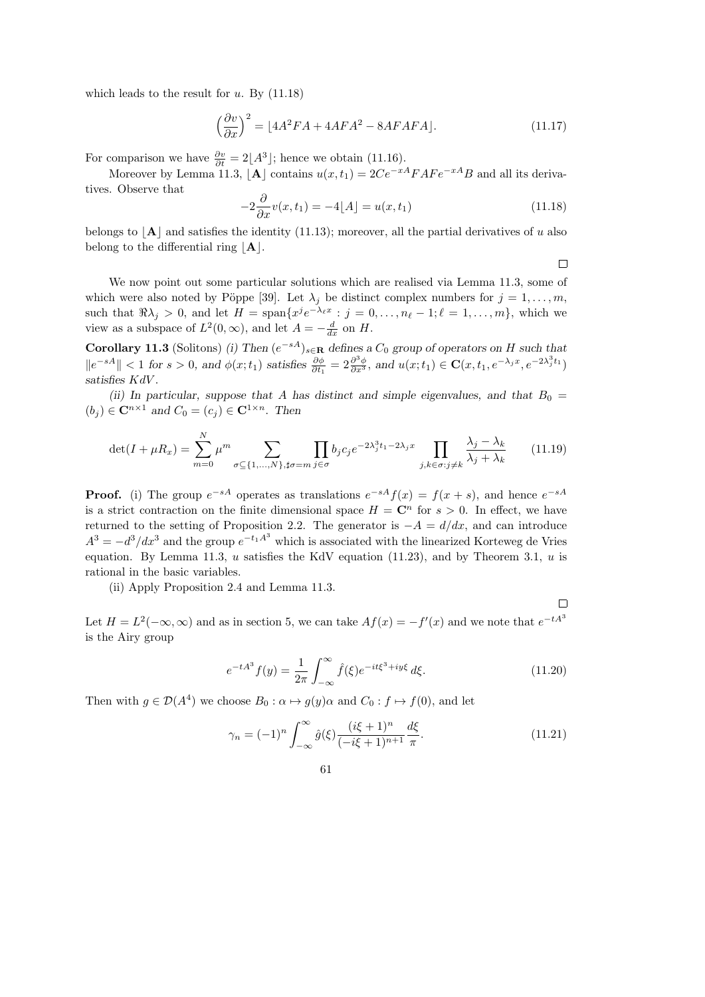which leads to the result for  $u$ . By  $(11.18)$ 

$$
\left(\frac{\partial v}{\partial x}\right)^2 = \left[4A^2FA + 4AFA^2 - 8AFAFA\right].\tag{11.17}
$$

For comparison we have  $\frac{\partial v}{\partial t} = 2[A^3]$ ; hence we obtain (11.16).

Moreover by Lemma 11.3,  $|\mathbf{A}|$  contains  $u(x, t_1) = 2Ce^{-xA}FAFe^{-xA}B$  and all its derivatives. Observe that

$$
-2\frac{\partial}{\partial x}v(x,t_1) = -4[A] = u(x,t_1)
$$
\n(11.18)

belongs to  $|\mathbf{A}|$  and satisfies the identity (11.13); moreover, all the partial derivatives of u also belong to the differential ring  $|\mathbf{A}|$ .

 $\Box$ 

We now point out some particular solutions which are realised via Lemma 11.3, some of which were also noted by Pöppe [39]. Let  $\lambda_j$  be distinct complex numbers for  $j = 1, \ldots, m$ , such that  $\Re \lambda_j > 0$ , and let  $H = \text{span}\{x^j e^{-\lambda_\ell x} : j = 0, \ldots, n_\ell - 1; \ell = 1, \ldots, m\}$ , which we view as a subspace of  $L^2(0, \infty)$ , and let  $A = -\frac{d}{dx}$  on H.

**Corollary 11.3** (Solitons) (i) Then  $(e^{-sA})_{s \in \mathbf{R}}$  defines a  $C_0$  group of operators on H such that  $||e^{-sA}|| < 1$  for  $s > 0$ , and  $\phi(x; t_1)$  satisfies  $\frac{\partial \phi}{\partial t_1} = 2 \frac{\partial^3 \phi}{\partial x^3}$ , and  $u(x; t_1) \in \mathbf{C}(x, t_1, e^{-\lambda_j x}, e^{-2\lambda_j^3 t_1})$ satisfies  $KdV$ .

(ii) In particular, suppose that A has distinct and simple eigenvalues, and that  $B_0 =$  $(b_j) \in \mathbf{C}^{n \times 1}$  and  $C_0 = (c_j) \in \mathbf{C}^{1 \times n}$ . Then

$$
\det(I + \mu R_x) = \sum_{m=0}^{N} \mu^m \sum_{\sigma \subseteq \{1, \dots, N\}, \sharp \sigma = m} \prod_{j \in \sigma} b_j c_j e^{-2\lambda_j^3 t_1 - 2\lambda_j x} \prod_{j,k \in \sigma : j \neq k} \frac{\lambda_j - \lambda_k}{\lambda_j + \lambda_k} \tag{11.19}
$$

**Proof.** (i) The group  $e^{-sA}$  operates as translations  $e^{-sA}f(x) = f(x+s)$ , and hence  $e^{-sA}$ is a strict contraction on the finite dimensional space  $H = \mathbb{C}^n$  for  $s > 0$ . In effect, we have returned to the setting of Proposition 2.2. The generator is  $-A = d/dx$ , and can introduce  $A^{3} = -d^{3}/dx^{3}$  and the group  $e^{-t_{1}A^{3}}$  which is associated with the linearized Korteweg de Vries equation. By Lemma 11.3, u satisfies the KdV equation  $(11.23)$ , and by Theorem 3.1, u is rational in the basic variables.

(ii) Apply Proposition 2.4 and Lemma 11.3.

 $\Box$ 

Let  $H = L<sup>2</sup>(-\infty, \infty)$  and as in section 5, we can take  $Af(x) = -f'(x)$  and we note that  $e^{-tA^{3}}$ is the Airy group

$$
e^{-tA^3} f(y) = \frac{1}{2\pi} \int_{-\infty}^{\infty} \hat{f}(\xi) e^{-it\xi^3 + iy\xi} d\xi.
$$
 (11.20)

Then with  $g \in \mathcal{D}(A^4)$  we choose  $B_0: \alpha \mapsto g(y)\alpha$  and  $C_0: f \mapsto f(0)$ , and let

$$
\gamma_n = (-1)^n \int_{-\infty}^{\infty} \hat{g}(\xi) \frac{(i\xi + 1)^n}{(-i\xi + 1)^{n+1}} \frac{d\xi}{\pi}.
$$
 (11.21)

$$
61\,
$$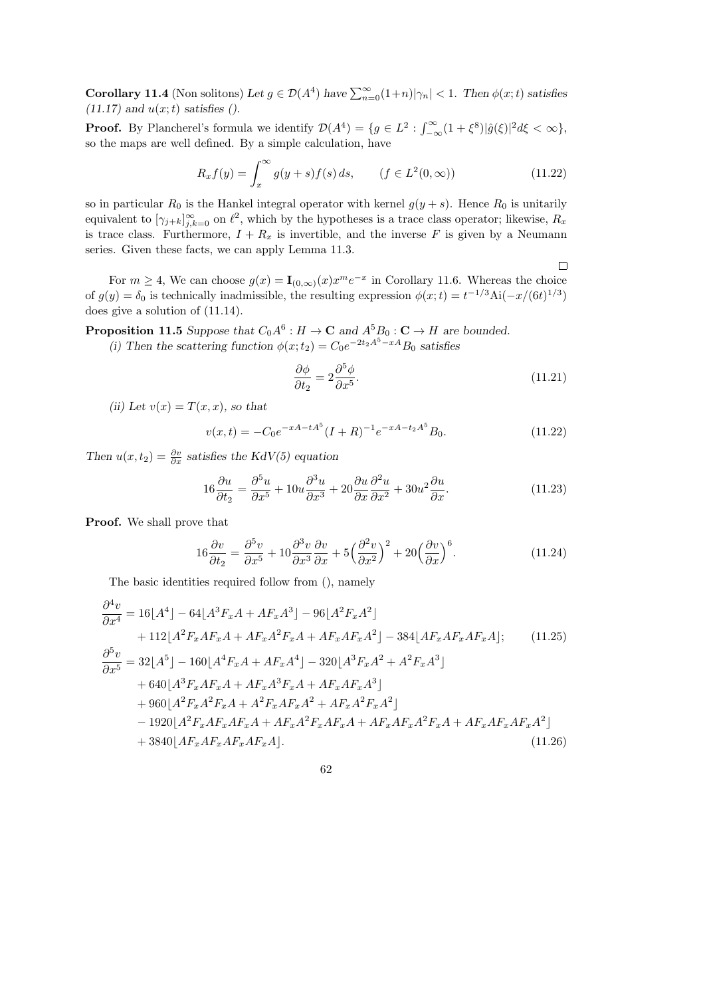**Corollary 11.4** (Non solitons) Let  $g \in \mathcal{D}(A^4)$  have  $\sum_{n=0}^{\infty} (1+n)|\gamma_n| < 1$ . Then  $\phi(x;t)$  satisfies  $(11.17)$  and  $u(x;t)$  satisfies ().

**Proof.** By Plancherel's formula we identify  $\mathcal{D}(A^4) = \{g \in L^2 : \int_{-\infty}^{\infty} (1 + \xi^8) |\hat{g}(\xi)|^2 d\xi < \infty \},\$ so the maps are well defined. By a simple calculation, have

$$
R_x f(y) = \int_x^{\infty} g(y+s) f(s) \, ds, \qquad (f \in L^2(0,\infty))
$$
\n(11.22)

so in particular  $R_0$  is the Hankel integral operator with kernel  $g(y + s)$ . Hence  $R_0$  is unitarily equivalent to  $[\gamma_{j+k}]_{j,k=0}^{\infty}$  on  $\ell^2$ , which by the hypotheses is a trace class operator; likewise,  $R_x$ is trace class. Furthermore,  $I + R_x$  is invertible, and the inverse F is given by a Neumann series. Given these facts, we can apply Lemma 11.3.

For  $m \geq 4$ , We can choose  $g(x) = \mathbf{I}_{(0,\infty)}(x)x^m e^{-x}$  in Corollary 11.6. Whereas the choice of  $g(y) = \delta_0$  is technically inadmissible, the resulting expression  $\phi(x;t) = t^{-1/3} \text{Ai}(-x/(6t)^{1/3})$ does give a solution of (11.14).

**Proposition 11.5** Suppose that  $C_0A^6: H \to \mathbb{C}$  and  $A^5B_0: \mathbb{C} \to H$  are bounded. (i) Then the scattering function  $\phi(x; t_2) = C_0 e^{-2t_2 A^5 - xA} B_0$  satisfies

$$
\frac{\partial \phi}{\partial t_2} = 2 \frac{\partial^5 \phi}{\partial x^5}.
$$
\n(11.21)

 $\Box$ 

(ii) Let  $v(x) = T(x, x)$ , so that

$$
v(x,t) = -C_0 e^{-xA - tA^5} (I + R)^{-1} e^{-xA - t_2 A^5} B_0.
$$
 (11.22)

Then  $u(x, t_2) = \frac{\partial v}{\partial x}$  satisfies the KdV(5) equation

$$
16\frac{\partial u}{\partial t_2} = \frac{\partial^5 u}{\partial x^5} + 10u\frac{\partial^3 u}{\partial x^3} + 20\frac{\partial u}{\partial x}\frac{\partial^2 u}{\partial x^2} + 30u^2\frac{\partial u}{\partial x}.
$$
 (11.23)

Proof. We shall prove that

$$
16\frac{\partial v}{\partial t_2} = \frac{\partial^5 v}{\partial x^5} + 10\frac{\partial^3 v}{\partial x^3}\frac{\partial v}{\partial x} + 5\left(\frac{\partial^2 v}{\partial x^2}\right)^2 + 20\left(\frac{\partial v}{\partial x}\right)^6.
$$
 (11.24)

The basic identities required follow from (), namely

$$
\frac{\partial^4 v}{\partial x^4} = 16[A^4] - 64[A^3F_xA + AF_xA^3] - 96[A^2F_xA^2]
$$
  
+ 112[A^2F\_xAF\_xA + AF\_xA^2F\_xA + AF\_xAF\_xA^2] - 384[AF\_xAF\_xAF\_xA]; (11.25)  

$$
\frac{\partial^5 v}{\partial x^5} = 32[A^5] - 160[A^4F_xA + AF_xA^4] - 320[A^3F_xA^2 + A^2F_xA^3]
$$
  
+ 640[A^3F\_xAF\_xA + AF\_xA^3F\_xA + AF\_xAF\_xA^2]  
+ 960[A^2F\_xA^2F\_xA + A^2F\_xAF\_xA^2 + AF\_xA^2F\_xA^2]- 1920[A^2F\_xAF\_xAF\_xA + AF\_xA^2F\_xAF\_xA + AF\_xA^2F\_xA + AF\_xAF\_xA^2F\_xA + AF\_xAF\_xAF\_xA^2]  
+ 3840[AF\_xAF\_xAF\_xAF\_xAF\_xA]. (11.26)

62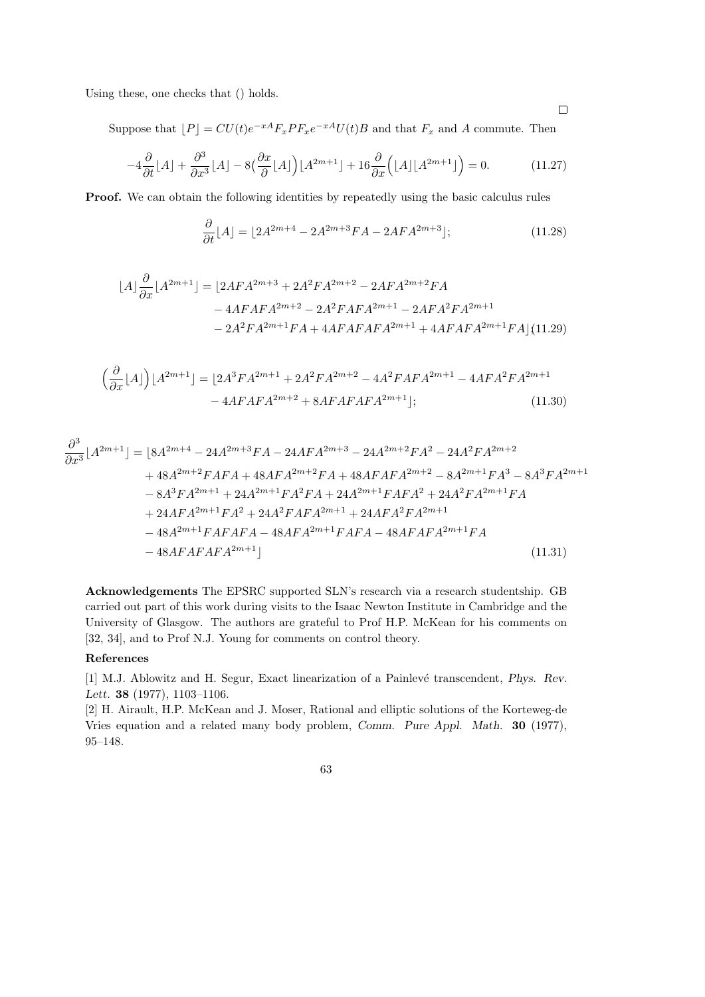Using these, one checks that () holds.

Suppose that  $[P] = CU(t)e^{-xA}F_xPF_xe^{-xA}U(t)B$  and that  $F_x$  and A commute. Then

$$
-4\frac{\partial}{\partial t}[A] + \frac{\partial^3}{\partial x^3}[A] - 8\left(\frac{\partial x}{\partial}[A]\right)[A^{2m+1}] + 16\frac{\partial}{\partial x}\left([A][A^{2m+1}]\right) = 0.
$$
 (11.27)

Proof. We can obtain the following identities by repeatedly using the basic calculus rules

$$
\frac{\partial}{\partial t}[A] = \left[2A^{2m+4} - 2A^{2m+3}FA - 2AFA^{2m+3}\right];\tag{11.28}
$$

$$
[A] \frac{\partial}{\partial x} [A^{2m+1}] = [2AFA^{2m+3} + 2A^2FA^{2m+2} - 2AFA^{2m+2}FA
$$
  
- 4AFAFA<sup>2m+2</sup> - 2A<sup>2</sup>FAFA<sup>2m+1</sup> - 2AFA<sup>2</sup>FA<sup>2m+1</sup>  
- 2A<sup>2</sup>FA<sup>2m+1</sup>FA + 4AFAFAFA<sup>2m+1</sup> + 4AFAFA<sup>2m+1</sup>FA](11.29)

$$
\left(\frac{\partial}{\partial x}\lfloor A\rfloor\right)\lfloor A^{2m+1}\rfloor = \lfloor 2A^3FA^{2m+1} + 2A^2FA^{2m+2} - 4A^2FAFA^{2m+1} - 4AFA^2FA^{2m+1} - 4AFAFA^{2m+2} + 8AFAFAFA^{2m+1}\rfloor; \tag{11.30}
$$

$$
\frac{\partial^3}{\partial x^3} [A^{2m+1}] = [8A^{2m+4} - 24A^{2m+3}FA - 24AFA^{2m+3} - 24A^{2m+2}FA^2 - 24A^2FA^{2m+2} + 48A^2m^{2m+2}FAFA + 48AFA^2m^{2m+2}FA + 48AFAFA^{2m+2} - 8A^{2m+1}FA^3 - 8A^3FA^{2m+1} + 24A^{2m+1}FA^2FA + 24A^{2m+1}FAFA^2 + 24A^2FA^{2m+1}FA + 24AFA^{2m+1}FA^2 + 24A^2FA^2FA^{2m+1} + 24AFA^2FA^2FA^{2m+1} + 48A^2m^{2m+1}FAFA - 48AFAFA^2FA^2+A^{2m+1}FA^2 + 48AFAFAFA^{2m+1}F
$$
\n
$$
-48AFAFAFA^2m^{2m+1}
$$
\n(11.31)

Acknowledgements The EPSRC supported SLN's research via a research studentship. GB carried out part of this work during visits to the Isaac Newton Institute in Cambridge and the University of Glasgow. The authors are grateful to Prof H.P. McKean for his comments on [32, 34], and to Prof N.J. Young for comments on control theory.

## References

[1] M.J. Ablowitz and H. Segur, Exact linearization of a Painlevé transcendent, Phys. Rev. Lett. 38 (1977), 1103–1106.

[2] H. Airault, H.P. McKean and J. Moser, Rational and elliptic solutions of the Korteweg-de Vries equation and a related many body problem, Comm. Pure Appl. Math. 30 (1977),  $95-148.$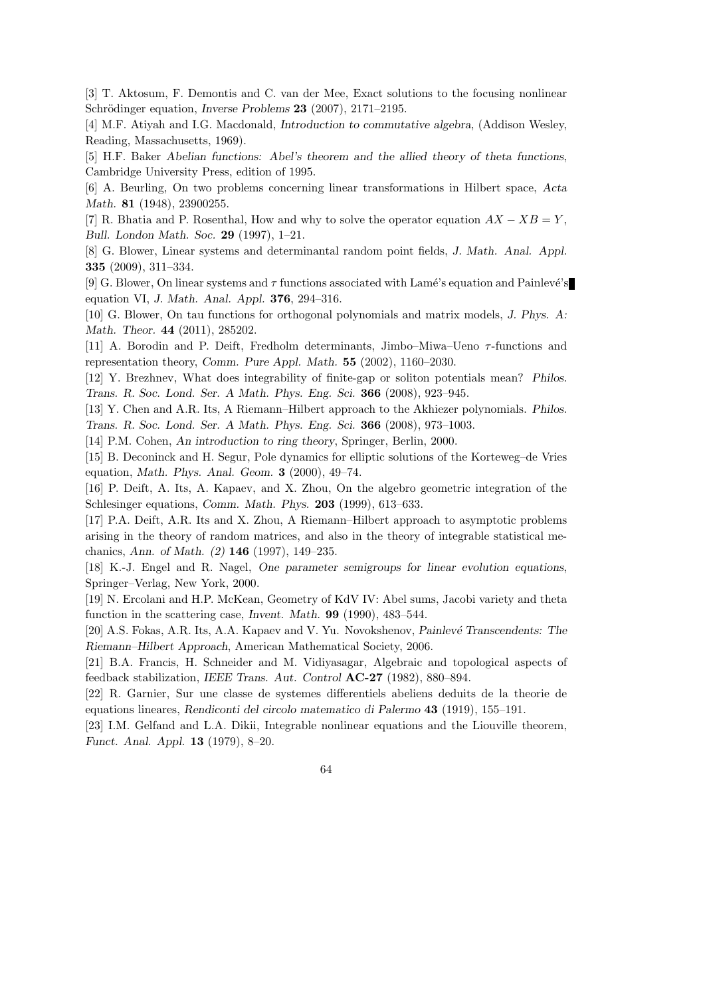[3] T. Aktosum, F. Demontis and C. van der Mee, Exact solutions to the focusing nonlinear Schrödinger equation, *Inverse Problems* 23 (2007), 2171–2195.

[4] M.F. Atiyah and I.G. Macdonald, Introduction to commutative algebra, (Addison Wesley, Reading, Massachusetts, 1969).

[5] H.F. Baker Abelian functions: Abel's theorem and the allied theory of theta functions, Cambridge University Press, edition of 1995.

[6] A. Beurling, On two problems concerning linear transformations in Hilbert space, Acta Math. **81** (1948), 23900255.

[7] R. Bhatia and P. Rosenthal, How and why to solve the operator equation  $AX - XB = Y$ , Bull. London Math. Soc. 29 (1997), 1–21.

[8] G. Blower, Linear systems and determinantal random point fields, J. Math. Anal. Appl. 335 (2009), 311–334.

[9] G. Blower, On linear systems and  $\tau$  functions associated with Lamé's equation and Painlevé's equation VI, J. Math. Anal. Appl. 376, 294–316.

[10] G. Blower, On tau functions for orthogonal polynomials and matrix models, J. Phys. A: Math. Theor. **44** (2011), 285202.

[11] A. Borodin and P. Deift, Fredholm determinants, Jimbo–Miwa–Ueno  $\tau$ -functions and representation theory, Comm. Pure Appl. Math. 55 (2002), 1160–2030.

[12] Y. Brezhnev, What does integrability of finite-gap or soliton potentials mean? Philos. Trans. R. Soc. Lond. Ser. A Math. Phys. Eng. Sci. 366 (2008), 923–945.

[13] Y. Chen and A.R. Its, A Riemann–Hilbert approach to the Akhiezer polynomials. Philos. Trans. R. Soc. Lond. Ser. A Math. Phys. Eng. Sci. 366 (2008), 973–1003.

[14] P.M. Cohen, An introduction to ring theory, Springer, Berlin, 2000.

[15] B. Deconinck and H. Segur, Pole dynamics for elliptic solutions of the Korteweg–de Vries equation, Math. Phys. Anal. Geom. 3 (2000), 49–74.

[16] P. Deift, A. Its, A. Kapaev, and X. Zhou, On the algebro geometric integration of the Schlesinger equations, Comm. Math. Phys. 203 (1999), 613–633.

[17] P.A. Deift, A.R. Its and X. Zhou, A Riemann–Hilbert approach to asymptotic problems arising in the theory of random matrices, and also in the theory of integrable statistical mechanics, Ann. of Math. (2) 146 (1997), 149–235.

[18] K.-J. Engel and R. Nagel, One parameter semigroups for linear evolution equations, Springer–Verlag, New York, 2000.

[19] N. Ercolani and H.P. McKean, Geometry of KdV IV: Abel sums, Jacobi variety and theta function in the scattering case, Invent. Math. 99 (1990), 483–544.

[20] A.S. Fokas, A.R. Its, A.A. Kapaev and V. Yu. Novokshenov, Painlevé Transcendents: The Riemann–Hilbert Approach, American Mathematical Society, 2006.

[21] B.A. Francis, H. Schneider and M. Vidiyasagar, Algebraic and topological aspects of feedback stabilization, IEEE Trans. Aut. Control AC-27 (1982), 880–894.

[22] R. Garnier, Sur une classe de systemes differentiels abeliens deduits de la theorie de equations lineares, Rendiconti del circolo matematico di Palermo 43 (1919), 155–191.

[23] I.M. Gelfand and L.A. Dikii, Integrable nonlinear equations and the Liouville theorem, Funct. Anal. Appl. 13 (1979), 8–20.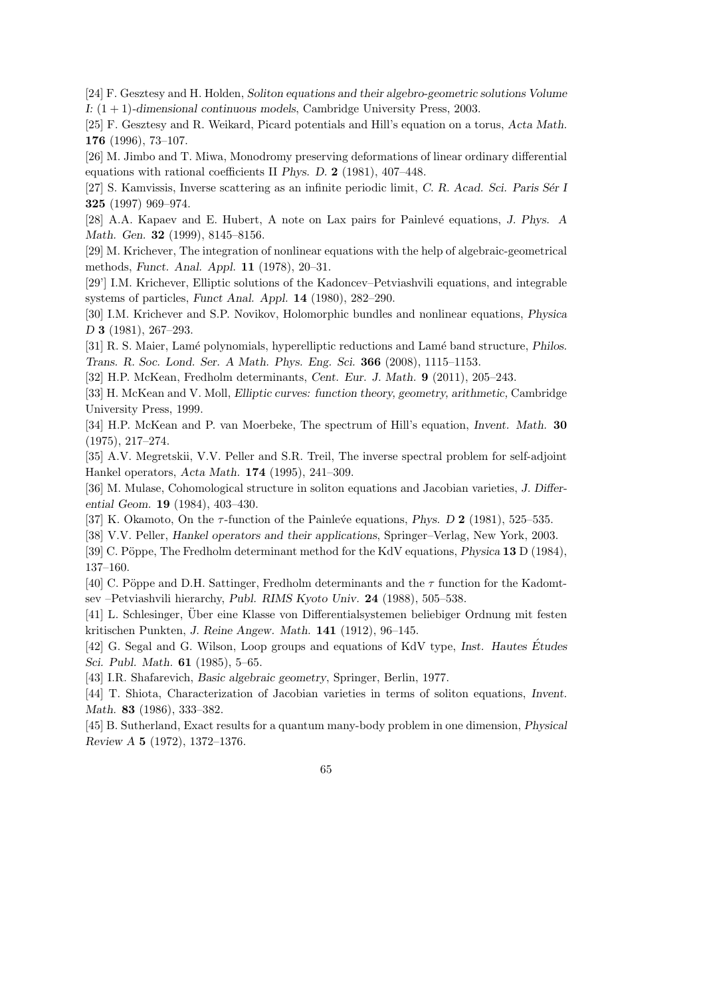[24] F. Gesztesy and H. Holden, Soliton equations and their algebro-geometric solutions Volume I: (1 + 1)-dimensional continuous models, Cambridge University Press, 2003.

[25] F. Gesztesy and R. Weikard, Picard potentials and Hill's equation on a torus, Acta Math. 176 (1996), 73–107.

[26] M. Jimbo and T. Miwa, Monodromy preserving deformations of linear ordinary differential equations with rational coefficients II Phys. D. 2 (1981), 407–448.

[27] S. Kamvissis, Inverse scattering as an infinite periodic limit, C. R. Acad. Sci. Paris Sér I 325 (1997) 969–974.

[28] A.A. Kapaev and E. Hubert, A note on Lax pairs for Painlevé equations, J. Phys. A Math. Gen. 32 (1999), 8145–8156.

[29] M. Krichever, The integration of nonlinear equations with the help of algebraic-geometrical methods, Funct. Anal. Appl. 11 (1978), 20–31.

[29'] I.M. Krichever, Elliptic solutions of the Kadoncev–Petviashvili equations, and integrable systems of particles, Funct Anal. Appl. 14 (1980), 282–290.

[30] I.M. Krichever and S.P. Novikov, Holomorphic bundles and nonlinear equations, Physica D 3 (1981), 267–293.

[31] R. S. Maier, Lamé polynomials, hyperelliptic reductions and Lamé band structure, Philos. Trans. R. Soc. Lond. Ser. A Math. Phys. Eng. Sci. 366 (2008), 1115–1153.

[32] H.P. McKean, Fredholm determinants, Cent. Eur. J. Math. 9 (2011), 205–243.

[33] H. McKean and V. Moll, Elliptic curves: function theory, geometry, arithmetic, Cambridge University Press, 1999.

[34] H.P. McKean and P. van Moerbeke, The spectrum of Hill's equation, Invent. Math. 30 (1975), 217–274.

[35] A.V. Megretskii, V.V. Peller and S.R. Treil, The inverse spectral problem for self-adjoint Hankel operators, Acta Math. 174 (1995), 241–309.

[36] M. Mulase, Cohomological structure in soliton equations and Jacobian varieties, J. Differential Geom. 19 (1984), 403–430.

[37] K. Okamoto, On the  $\tau$ -function of the Painleve equations, Phys. D 2 (1981), 525–535.

[38] V.V. Peller, Hankel operators and their applications, Springer–Verlag, New York, 2003.

[39] C. Pöppe, The Fredholm determinant method for the KdV equations, *Physica* 13 D (1984), 137–160.

[40] C. Pöppe and D.H. Sattinger, Fredholm determinants and the  $\tau$  function for the Kadomtsev –Petviashvili hierarchy, Publ. RIMS Kyoto Univ. 24 (1988), 505–538.

[41] L. Schlesinger, Uber eine Klasse von Differentialsystemen beliebiger Ordnung mit festen ¨ kritischen Punkten, J. Reine Angew. Math. 141 (1912), 96–145.

[42] G. Segal and G. Wilson, Loop groups and equations of KdV type, Inst. Hautes Études Sci. Publ. Math. 61 (1985), 5–65.

[43] I.R. Shafarevich, Basic algebraic geometry, Springer, Berlin, 1977.

[44] T. Shiota, Characterization of Jacobian varieties in terms of soliton equations, Invent. Math. 83 (1986), 333–382.

[45] B. Sutherland, Exact results for a quantum many-body problem in one dimension, Physical Review A 5 (1972), 1372–1376.